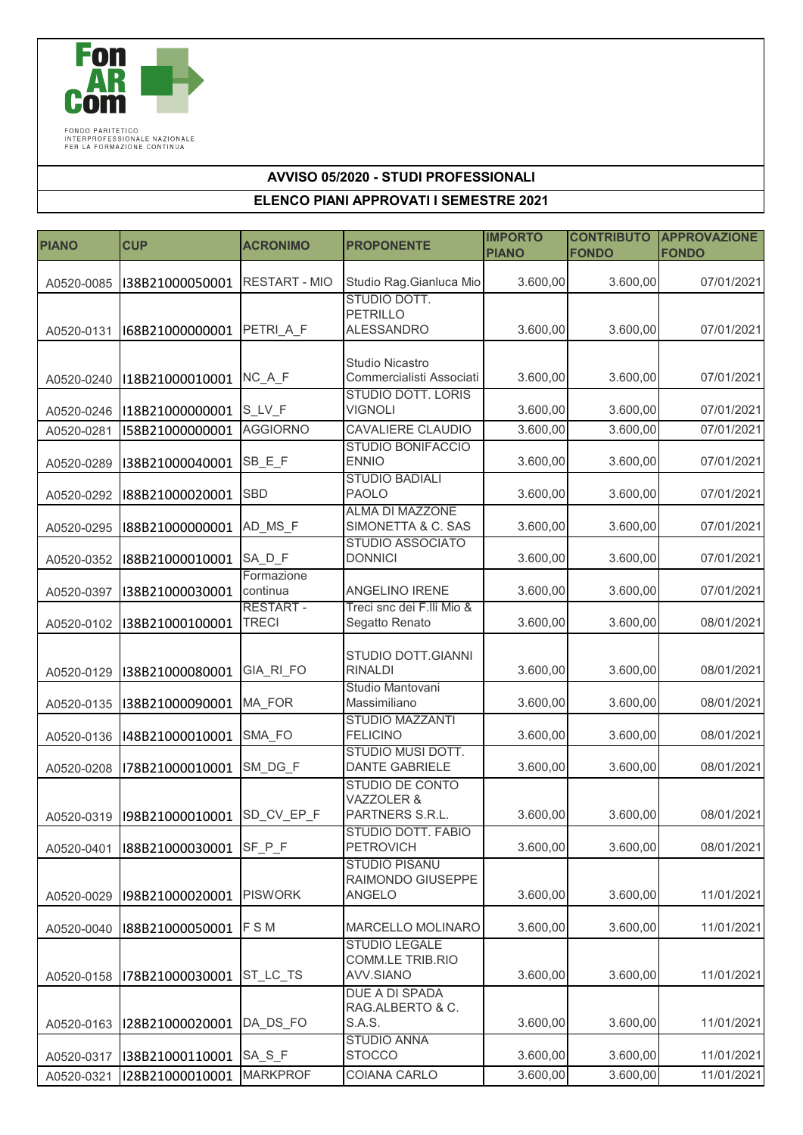

FONDO PARITETICO<br>INTERPROFESSIONALE NAZIONALE<br>PER LA FORMAZIONE CONTINUA

## **AVVISO 05/2020 - STUDI PROFESSIONALI**

## **ELENCO PIANI APPROVATI I SEMESTRE 2021**

| <b>PIANO</b> | <b>CUP</b>      | <b>ACRONIMO</b>        | <b>PROPONENTE</b>                                  | <b>IMPORTO</b><br><b>PIANO</b> | <b>CONTRIBUTO</b><br><b>FONDO</b> | <b>APPROVAZIONE</b><br><b>FONDO</b> |
|--------------|-----------------|------------------------|----------------------------------------------------|--------------------------------|-----------------------------------|-------------------------------------|
|              |                 |                        |                                                    |                                |                                   |                                     |
| A0520-0085   | I38B21000050001 | <b>RESTART - MIO</b>   | Studio Rag. Gianluca Mio                           | 3.600,00                       | 3.600,00                          | 07/01/2021                          |
|              |                 |                        | STUDIO DOTT.<br><b>PETRILLO</b>                    |                                |                                   |                                     |
| A0520-0131   | I68B21000000001 | PETRI A F              | <b>ALESSANDRO</b>                                  | 3.600,00                       | 3.600,00                          | 07/01/2021                          |
|              |                 |                        |                                                    |                                |                                   |                                     |
| A0520-0240   | I18B21000010001 | NC A F                 | <b>Studio Nicastro</b><br>Commercialisti Associati | 3.600,00                       | 3.600,00                          | 07/01/2021                          |
|              |                 |                        | <b>STUDIO DOTT. LORIS</b>                          |                                |                                   |                                     |
| A0520-0246   | I18B21000000001 | S_LV_F                 | <b>VIGNOLI</b>                                     | 3.600,00                       | 3.600,00                          | 07/01/2021                          |
| A0520-0281   | I58B21000000001 | <b>AGGIORNO</b>        | CAVALIERE CLAUDIO                                  | 3.600,00                       | 3.600,00                          | 07/01/2021                          |
| A0520-0289   | I38B21000040001 | SB_E_F                 | <b>STUDIO BONIFACCIO</b><br><b>ENNIO</b>           | 3.600,00                       | 3.600,00                          | 07/01/2021                          |
|              |                 |                        | <b>STUDIO BADIALI</b>                              |                                |                                   |                                     |
| A0520-0292   | I88B21000020001 | <b>SBD</b>             | <b>PAOLO</b>                                       | 3.600,00                       | 3.600,00                          | 07/01/2021                          |
| A0520-0295   | I88B21000000001 | AD MS F                | <b>ALMA DI MAZZONE</b><br>SIMONETTA & C. SAS       | 3.600,00                       | 3.600,00                          | 07/01/2021                          |
|              |                 |                        | STUDIO ASSOCIATO                                   |                                |                                   |                                     |
| A0520-0352   | I88B21000010001 | SADF                   | <b>DONNICI</b>                                     | 3.600,00                       | 3.600,00                          | 07/01/2021                          |
|              |                 | Formazione<br>continua | ANGELINO IRENE                                     | 3.600,00                       | 3.600,00                          | 07/01/2021                          |
| A0520-0397   | I38B21000030001 | <b>RESTART-</b>        | Treci snc dei F.Ili Mio &                          |                                |                                   |                                     |
| A0520-0102   | I38B21000100001 | <b>TRECI</b>           | Segatto Renato                                     | 3.600,00                       | 3.600,00                          | 08/01/2021                          |
|              |                 |                        |                                                    |                                |                                   |                                     |
| A0520-0129   | I38B21000080001 | GIA RI FO              | STUDIO DOTT.GIANNI<br><b>RINALDI</b>               | 3.600,00                       | 3.600,00                          | 08/01/2021                          |
|              |                 |                        | Studio Mantovani                                   |                                |                                   |                                     |
| A0520-0135   | I38B21000090001 | <b>MA FOR</b>          | Massimiliano                                       | 3.600,00                       | 3.600,00                          | 08/01/2021                          |
| A0520-0136   | I48B21000010001 | SMA_FO                 | <b>STUDIO MAZZANTI</b><br><b>FELICINO</b>          | 3.600,00                       | 3.600,00                          | 08/01/2021                          |
|              |                 |                        | STUDIO MUSI DOTT.                                  |                                |                                   |                                     |
| A0520-0208   | I78B21000010001 | SM_DG_F                | <b>DANTE GABRIELE</b>                              | 3.600,00                       | 3.600,00                          | 08/01/2021                          |
|              |                 |                        | <b>STUDIO DE CONTO</b><br>VAZZOLER &               |                                |                                   |                                     |
| A0520-0319   | I98B21000010001 | SD_CV_EP_F             | PARTNERS S.R.L.                                    | 3.600,00                       | 3.600,00                          | 08/01/2021                          |
|              |                 |                        | STUDIO DOTT. FABIO                                 |                                |                                   |                                     |
| A0520-0401   | I88B21000030001 | SF_P_F                 | <b>PETROVICH</b><br><b>STUDIO PISANU</b>           | 3.600,00                       | 3.600,00                          | 08/01/2021                          |
|              |                 |                        | RAIMONDO GIUSEPPE                                  |                                |                                   |                                     |
| A0520-0029   | I98B21000020001 | <b>PISWORK</b>         | ANGELO                                             | 3.600,00                       | 3.600,00                          | 11/01/2021                          |
|              |                 | <b>FSM</b>             |                                                    | 3.600,00                       | 3.600,00                          | 11/01/2021                          |
| A0520-0040   | I88B21000050001 |                        | MARCELLO MOLINARO<br><b>STUDIO LEGALE</b>          |                                |                                   |                                     |
|              |                 |                        | <b>COMM.LE TRIB.RIO</b>                            |                                |                                   |                                     |
| A0520-0158   | I78B21000030001 | ST_LC_TS               | AVV.SIANO                                          | 3.600,00                       | 3.600,00                          | 11/01/2021                          |
|              |                 |                        | DUE A DI SPADA<br>RAG.ALBERTO & C.                 |                                |                                   |                                     |
| A0520-0163   | I28B21000020001 | DA DS FO               | S.A.S.                                             | 3.600,00                       | 3.600,00                          | 11/01/2021                          |
|              |                 |                        | <b>STUDIO ANNA</b>                                 |                                |                                   |                                     |
| A0520-0317   | I38B21000110001 | SA_S_F                 | <b>STOCCO</b>                                      | 3.600,00                       | 3.600,00                          | 11/01/2021                          |
| A0520-0321   | I28B21000010001 | <b>MARKPROF</b>        | COIANA CARLO                                       | 3.600,00                       | 3.600,00                          | 11/01/2021                          |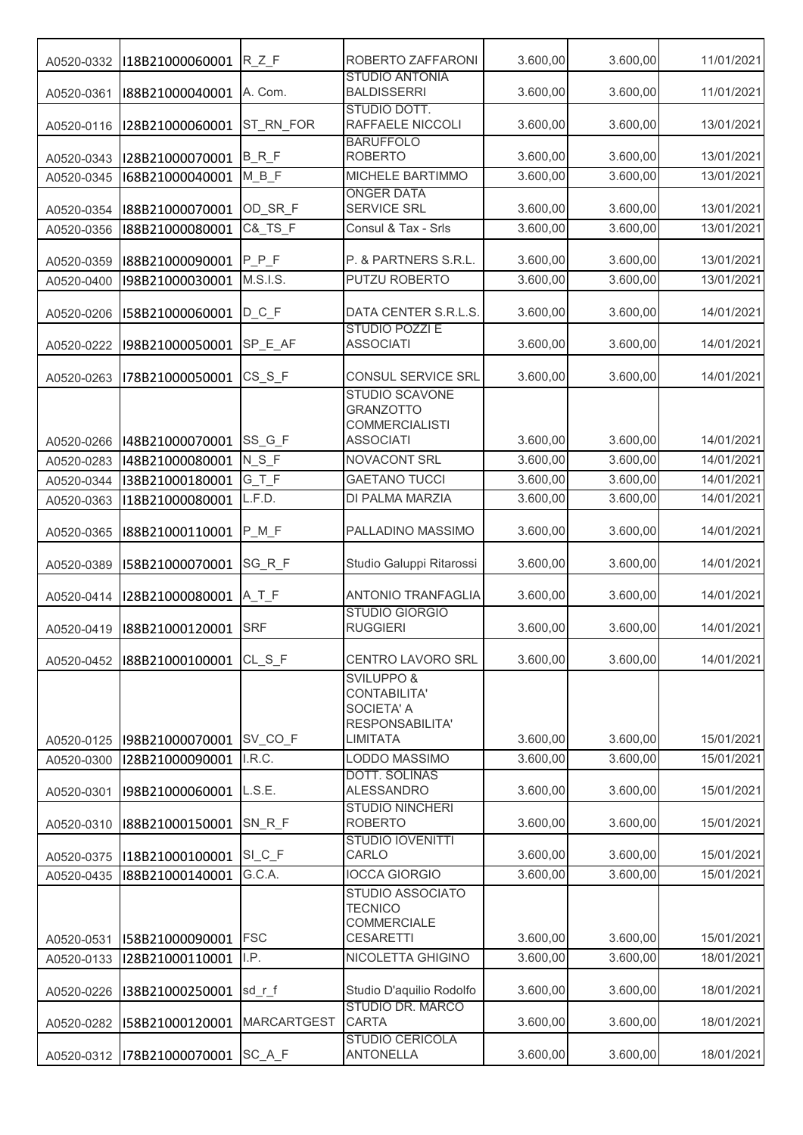| A0520-0332 | I18B21000060001       | $R_ZF$             | ROBERTO ZAFFARONI                                                                                | 3.600,00 | 3.600,00 | 11/01/2021 |
|------------|-----------------------|--------------------|--------------------------------------------------------------------------------------------------|----------|----------|------------|
| A0520-0361 | I88B21000040001       | A. Com.            | <b>STUDIO ANTONIA</b><br><b>BALDISSERRI</b>                                                      | 3.600,00 | 3.600,00 | 11/01/2021 |
| A0520-0116 | I28B21000060001       | ST_RN_FOR          | STUDIO DOTT.<br>RAFFAELE NICCOLI                                                                 | 3.600,00 | 3.600,00 | 13/01/2021 |
| A0520-0343 | I28B21000070001       | $B_R_F$            | <b>BARUFFOLO</b><br><b>ROBERTO</b>                                                               | 3.600,00 | 3.600,00 | 13/01/2021 |
| A0520-0345 | I68B21000040001       | $M_B_F$            | MICHELE BARTIMMO                                                                                 | 3.600,00 | 3.600,00 | 13/01/2021 |
| A0520-0354 | I88B21000070001       | OD_SR_F            | <b>ONGER DATA</b><br>SERVICE SRL                                                                 | 3.600,00 | 3.600,00 | 13/01/2021 |
| A0520-0356 | I88B21000080001       | C&_TS_F            | Consul & Tax - Srls                                                                              | 3.600,00 | 3.600,00 | 13/01/2021 |
| A0520-0359 | I88B21000090001       | $P_P_F$            | P. & PARTNERS S.R.L.                                                                             | 3.600,00 | 3.600,00 | 13/01/2021 |
| A0520-0400 | I98B21000030001       | M.S.I.S.           | PUTZU ROBERTO                                                                                    | 3.600,00 | 3.600,00 | 13/01/2021 |
|            |                       |                    |                                                                                                  |          |          |            |
| A0520-0206 | I58B21000060001       | $D_C_F$            | DATA CENTER S.R.L.S.<br>STUDIO POZZI E                                                           | 3.600,00 | 3.600,00 | 14/01/2021 |
| A0520-0222 | I98B21000050001       | SP E AF            | <b>ASSOCIATI</b>                                                                                 | 3.600,00 | 3.600,00 | 14/01/2021 |
| A0520-0263 | I78B21000050001       | $CS_S_F$           | CONSUL SERVICE SRL                                                                               | 3.600,00 | 3.600,00 | 14/01/2021 |
| A0520-0266 | I48B21000070001       | SS_G_F             | STUDIO SCAVONE<br><b>GRANZOTTO</b><br><b>COMMERCIALISTI</b><br><b>ASSOCIATI</b>                  | 3.600,00 | 3.600,00 | 14/01/2021 |
| A0520-0283 | I48B21000080001       | N S F              | NOVACONT SRL                                                                                     | 3.600,00 | 3.600,00 | 14/01/2021 |
| A0520-0344 | I38B21000180001       | $G_T_F$            | <b>GAETANO TUCCI</b>                                                                             | 3.600,00 | 3.600,00 | 14/01/2021 |
| A0520-0363 | I18B21000080001       | L.F.D.             | DI PALMA MARZIA                                                                                  | 3.600,00 | 3.600,00 | 14/01/2021 |
| A0520-0365 | I88B21000110001       | $P_M_F$            | PALLADINO MASSIMO                                                                                | 3.600,00 | 3.600,00 | 14/01/2021 |
| A0520-0389 | I58B21000070001       | SG_R_F             | Studio Galuppi Ritarossi                                                                         | 3.600,00 | 3.600,00 | 14/01/2021 |
| A0520-0414 | 128B21000080001 A_T_F |                    | <b>ANTONIO TRANFAGLIA</b>                                                                        | 3.600,00 | 3.600,00 | 14/01/2021 |
| A0520-0419 | I88B21000120001       | <b>SRF</b>         | <b>STUDIO GIORGIO</b><br><b>RUGGIERI</b>                                                         | 3.600,00 | 3.600,00 | 14/01/2021 |
| A0520-0452 | I88B21000100001       | CL S F             | <b>CENTRO LAVORO SRL</b>                                                                         | 3.600,00 | 3.600,00 | 14/01/2021 |
| A0520-0125 | I98B21000070001       | SV CO F            | <b>SVILUPPO &amp;</b><br>CONTABILITA'<br><b>SOCIETA' A</b><br>RESPONSABILITA'<br><b>LIMITATA</b> | 3.600,00 | 3.600,00 | 15/01/2021 |
| A0520-0300 | I28B21000090001       | I.R.C.             | LODDO MASSIMO                                                                                    | 3.600,00 | 3.600,00 | 15/01/2021 |
| A0520-0301 | I98B21000060001       | L.S.E.             | <b>DOTT. SOLINAS</b><br><b>ALESSANDRO</b>                                                        | 3.600,00 | 3.600,00 | 15/01/2021 |
| A0520-0310 | I88B21000150001       | $SN_R_F$           | <b>STUDIO NINCHERI</b><br><b>ROBERTO</b>                                                         | 3.600,00 | 3.600,00 | 15/01/2021 |
| A0520-0375 | I18B21000100001       | $SI_C_F$           | <b>STUDIO IOVENITTI</b><br>CARLO                                                                 | 3.600,00 | 3.600,00 | 15/01/2021 |
| A0520-0435 | I88B21000140001       | G.C.A.             | <b>IOCCA GIORGIO</b>                                                                             | 3.600,00 | 3.600,00 | 15/01/2021 |
| A0520-0531 | I58B21000090001       | <b>FSC</b>         | <b>STUDIO ASSOCIATO</b><br><b>TECNICO</b><br>COMMERCIALE<br><b>CESARETTI</b>                     | 3.600,00 | 3.600,00 | 15/01/2021 |
| A0520-0133 | I28B21000110001       | I.P.               | NICOLETTA GHIGINO                                                                                | 3.600,00 | 3.600,00 | 18/01/2021 |
| A0520-0226 | I38B21000250001       | sd_r_f             | Studio D'aquilio Rodolfo                                                                         | 3.600,00 | 3.600,00 | 18/01/2021 |
| A0520-0282 | I58B21000120001       | <b>MARCARTGEST</b> | STUDIO DR. MARCO<br><b>CARTA</b>                                                                 | 3.600,00 | 3.600,00 | 18/01/2021 |
|            |                       |                    | <b>STUDIO CERICOLA</b>                                                                           |          |          |            |
| A0520-0312 | I78B21000070001       | SC_A_F             | <b>ANTONELLA</b>                                                                                 | 3.600,00 | 3.600,00 | 18/01/2021 |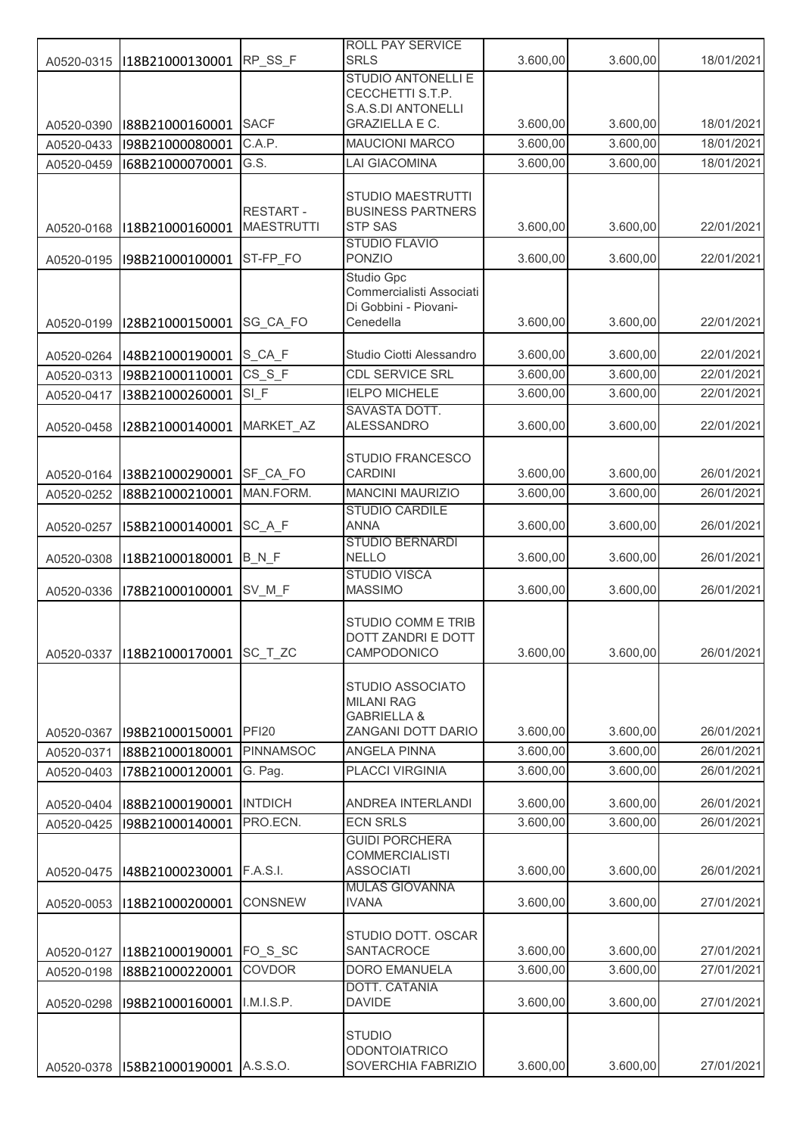|                          |                                    |                                      | ROLL PAY SERVICE<br><b>SRLS</b>                   | 3.600,00             | 3.600,00             | 18/01/2021               |
|--------------------------|------------------------------------|--------------------------------------|---------------------------------------------------|----------------------|----------------------|--------------------------|
| A0520-0315               | I18B21000130001                    | RP_SS_F                              | <b>STUDIO ANTONELLI E</b>                         |                      |                      |                          |
|                          |                                    |                                      | CECCHETTI S.T.P.                                  |                      |                      |                          |
|                          |                                    |                                      | S.A.S.DI ANTONELLI<br><b>GRAZIELLA E C.</b>       |                      |                      |                          |
| A0520-0390               | I88B21000160001                    | <b>SACF</b><br>C.A.P.                | <b>MAUCIONI MARCO</b>                             | 3.600,00<br>3.600,00 | 3.600,00<br>3.600,00 | 18/01/2021<br>18/01/2021 |
| A0520-0433<br>A0520-0459 | I98B21000080001<br>I68B21000070001 | G.S.                                 | <b>LAI GIACOMINA</b>                              | 3.600,00             | 3.600,00             | 18/01/2021               |
|                          |                                    |                                      |                                                   |                      |                      |                          |
|                          |                                    |                                      | STUDIO MAESTRUTTI                                 |                      |                      |                          |
|                          |                                    | <b>RESTART-</b><br><b>MAESTRUTTI</b> | <b>BUSINESS PARTNERS</b><br><b>STP SAS</b>        | 3.600,00             | 3.600,00             | 22/01/2021               |
| A0520-0168               | I18B21000160001                    |                                      | <b>STUDIO FLAVIO</b>                              |                      |                      |                          |
| A0520-0195               | I98B21000100001                    | ST-FP_FO                             | <b>PONZIO</b>                                     | 3.600,00             | 3.600,00             | 22/01/2021               |
|                          |                                    |                                      | <b>Studio Gpc</b>                                 |                      |                      |                          |
|                          |                                    |                                      | Commercialisti Associati<br>Di Gobbini - Piovani- |                      |                      |                          |
| A0520-0199               | I28B21000150001                    | SG_CA_FO                             | Cenedella                                         | 3.600,00             | 3.600,00             | 22/01/2021               |
|                          |                                    |                                      |                                                   |                      |                      |                          |
| A0520-0264               | I48B21000190001                    | S_CA_F                               | Studio Ciotti Alessandro                          | 3.600,00             | 3.600,00             | 22/01/2021               |
| A0520-0313               | I98B21000110001                    | $CS_S_F$                             | CDL SERVICE SRL<br><b>IELPO MICHELE</b>           | 3.600,00             | 3.600,00             | 22/01/2021               |
| A0520-0417               | I38B21000260001                    | SI F                                 | SAVASTA DOTT.                                     | 3.600,00             | 3.600,00             | 22/01/2021               |
| A0520-0458               | I28B21000140001                    | MARKET AZ                            | <b>ALESSANDRO</b>                                 | 3.600,00             | 3.600,00             | 22/01/2021               |
|                          |                                    |                                      |                                                   |                      |                      |                          |
|                          | I38B21000290001                    | SF_CA_FO                             | STUDIO FRANCESCO<br><b>CARDINI</b>                | 3.600,00             | 3.600,00             | 26/01/2021               |
| A0520-0164<br>A0520-0252 | I88B21000210001                    | MAN.FORM.                            | <b>MANCINI MAURIZIO</b>                           | 3.600,00             | 3.600,00             | 26/01/2021               |
|                          |                                    |                                      | <b>STUDIO CARDILE</b>                             |                      |                      |                          |
| A0520-0257               | I58B21000140001                    | SC_A_F                               | <b>ANNA</b>                                       | 3.600,00             | 3.600,00             | 26/01/2021               |
|                          |                                    |                                      | <b>STUDIO BERNARDI</b><br><b>NELLO</b>            |                      |                      | 26/01/2021               |
| A0520-0308               | I18B21000180001                    | $B_N_F$                              | <b>STUDIO VISCA</b>                               | 3.600,00             | 3.600,00             |                          |
| A0520-0336               | I78B21000100001                    | SV_M_F                               | <b>MASSIMO</b>                                    | 3.600,00             | 3.600,00             | 26/01/2021               |
|                          |                                    |                                      |                                                   |                      |                      |                          |
|                          |                                    |                                      | STUDIO COMM E TRIB<br>DOTT ZANDRI E DOTT          |                      |                      |                          |
| A0520-0337               | I18B21000170001                    | SC_T_ZC                              | CAMPODONICO                                       | 3.600,00             | 3.600,00             | 26/01/2021               |
|                          |                                    |                                      |                                                   |                      |                      |                          |
|                          |                                    |                                      | STUDIO ASSOCIATO<br><b>MILANI RAG</b>             |                      |                      |                          |
|                          |                                    |                                      | <b>GABRIELLA &amp;</b>                            |                      |                      |                          |
| A0520-0367               | I98B21000150001                    | <b>PFI20</b>                         | ZANGANI DOTT DARIO                                | 3.600,00             | 3.600,00             | 26/01/2021               |
| A0520-0371               | I88B21000180001                    | <b>PINNAMSOC</b>                     | <b>ANGELA PINNA</b>                               | 3.600,00             | 3.600,00             | 26/01/2021               |
| A0520-0403               | I78B21000120001                    | G. Pag.                              | <b>PLACCI VIRGINIA</b>                            | 3.600,00             | 3.600,00             | 26/01/2021               |
| A0520-0404               | I88B21000190001                    | <b>INTDICH</b>                       | ANDREA INTERLANDI                                 | 3.600,00             | 3.600,00             | 26/01/2021               |
| A0520-0425               | I98B21000140001                    | PRO.ECN.                             | <b>ECN SRLS</b>                                   | 3.600,00             | 3.600,00             | 26/01/2021               |
|                          |                                    |                                      | <b>GUIDI PORCHERA</b>                             |                      |                      |                          |
|                          |                                    | <b>F.A.S.I.</b>                      | <b>COMMERCIALISTI</b><br><b>ASSOCIATI</b>         | 3.600,00             | 3.600,00             | 26/01/2021               |
| A0520-0475               | I48B21000230001                    |                                      | <b>MULAS GIOVANNA</b>                             |                      |                      |                          |
| A0520-0053               | I18B21000200001                    | CONSNEW                              | <b>IVANA</b>                                      | 3.600,00             | 3.600,00             | 27/01/2021               |
|                          |                                    |                                      |                                                   |                      |                      |                          |
| A0520-0127               | I18B21000190001                    | FO_S_SC                              | STUDIO DOTT. OSCAR<br>SANTACROCE                  | 3.600,00             | 3.600,00             | 27/01/2021               |
| A0520-0198               | I88B21000220001                    | <b>COVDOR</b>                        | <b>DORO EMANUELA</b>                              | 3.600,00             | 3.600,00             | 27/01/2021               |
|                          |                                    |                                      | DOTT. CATANIA                                     |                      |                      |                          |
| A0520-0298               | I98B21000160001                    | I.M.I.S.P.                           | <b>DAVIDE</b>                                     | 3.600,00             | 3.600,00             | 27/01/2021               |
|                          |                                    |                                      | <b>STUDIO</b>                                     |                      |                      |                          |
|                          |                                    |                                      | <b>ODONTOIATRICO</b>                              |                      |                      |                          |
| A0520-0378               | I58B21000190001                    | A.S.S.O.                             | SOVERCHIA FABRIZIO                                | 3.600,00             | 3.600,00             | 27/01/2021               |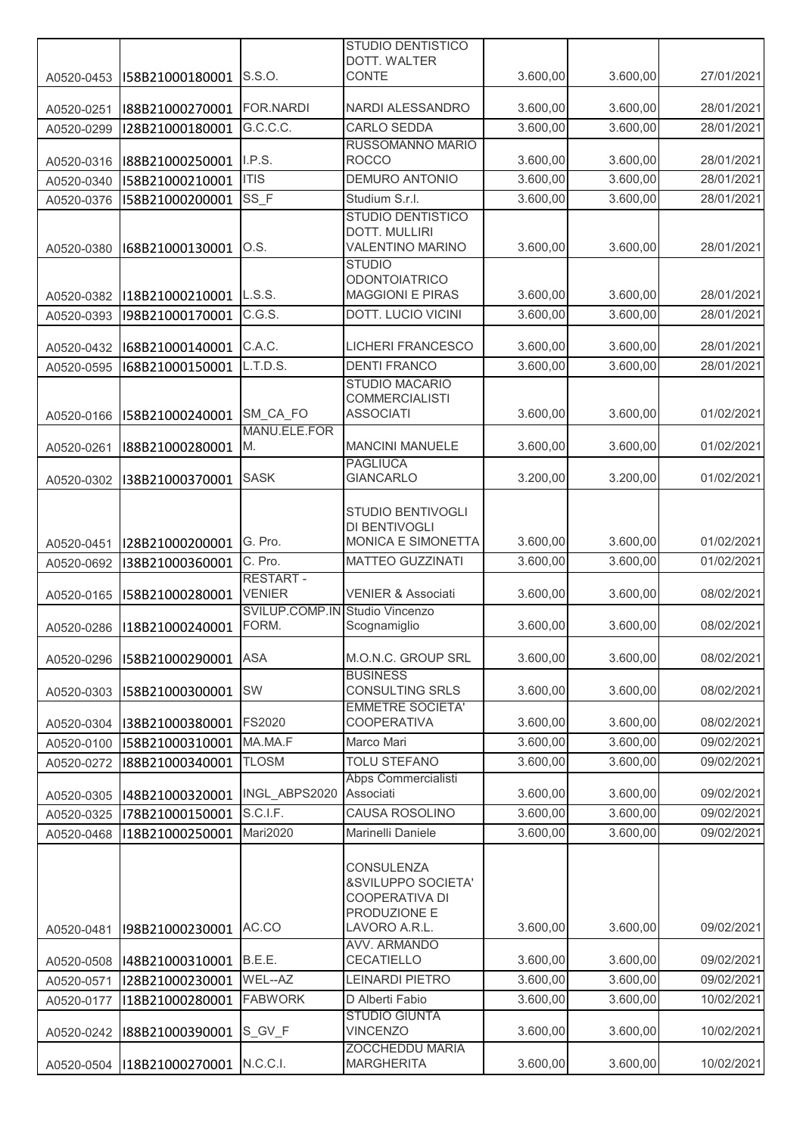|            |                             |                                | <b>STUDIO DENTISTICO</b>                         |          |          |            |
|------------|-----------------------------|--------------------------------|--------------------------------------------------|----------|----------|------------|
|            |                             | S.S.O.                         | DOTT. WALTER<br><b>CONTE</b>                     | 3.600,00 | 3.600,00 | 27/01/2021 |
| A0520-0453 | I58B21000180001             |                                |                                                  |          |          |            |
| A0520-0251 | I88B21000270001             | <b>FOR.NARDI</b>               | NARDI ALESSANDRO                                 | 3.600,00 | 3.600,00 | 28/01/2021 |
| A0520-0299 | I28B21000180001             | G.C.C.C.                       | <b>CARLO SEDDA</b>                               | 3.600,00 | 3.600,00 | 28/01/2021 |
|            |                             |                                | RUSSOMANNO MARIO                                 |          |          |            |
| A0520-0316 | I88B21000250001             | I.P.S.                         | <b>ROCCO</b>                                     | 3.600,00 | 3.600,00 | 28/01/2021 |
| A0520-0340 | I58B21000210001             | <b>ITIS</b>                    | <b>DEMURO ANTONIO</b>                            | 3.600,00 | 3.600,00 | 28/01/2021 |
| A0520-0376 | I58B21000200001             | SS_F                           | Studium S.r.l.                                   | 3.600,00 | 3.600,00 | 28/01/2021 |
|            |                             |                                | <b>STUDIO DENTISTICO</b><br><b>DOTT. MULLIRI</b> |          |          |            |
| A0520-0380 | I68B21000130001             | O.S.                           | <b>VALENTINO MARINO</b>                          | 3.600,00 | 3.600,00 | 28/01/2021 |
|            |                             |                                | <b>STUDIO</b>                                    |          |          |            |
|            |                             |                                | <b>ODONTOIATRICO</b>                             |          |          |            |
| A0520-0382 | I18B21000210001             | L.S.S.                         | <b>MAGGIONI E PIRAS</b>                          | 3.600,00 | 3.600,00 | 28/01/2021 |
| A0520-0393 | I98B21000170001             | C.G.S.                         | DOTT. LUCIO VICINI                               | 3.600,00 | 3.600,00 | 28/01/2021 |
| A0520-0432 | I68B21000140001             | C.A.C.                         | <b>LICHERI FRANCESCO</b>                         | 3.600,00 | 3.600,00 | 28/01/2021 |
| A0520-0595 | I68B21000150001             | L.T.D.S.                       | <b>DENTI FRANCO</b>                              | 3.600,00 | 3.600,00 | 28/01/2021 |
|            |                             |                                | <b>STUDIO MACARIO</b>                            |          |          |            |
|            |                             |                                | <b>COMMERCIALISTI</b>                            |          |          |            |
| A0520-0166 | I58B21000240001             | SM_CA_FO                       | <b>ASSOCIATI</b>                                 | 3.600,00 | 3.600,00 | 01/02/2021 |
|            | I88B21000280001             | MANU.ELE.FOR<br>M.             | <b>MANCINI MANUELE</b>                           | 3.600,00 | 3.600,00 | 01/02/2021 |
| A0520-0261 |                             |                                | <b>PAGLIUCA</b>                                  |          |          |            |
| A0520-0302 | I38B21000370001             | <b>SASK</b>                    | <b>GIANCARLO</b>                                 | 3.200,00 | 3.200,00 | 01/02/2021 |
|            |                             |                                |                                                  |          |          |            |
|            |                             |                                | STUDIO BENTIVOGLI                                |          |          |            |
| A0520-0451 | I28B21000200001             | G. Pro.                        | DI BENTIVOGLI<br>MONICA E SIMONETTA              | 3.600,00 | 3.600,00 | 01/02/2021 |
| A0520-0692 | I38B21000360001             | C. Pro.                        | <b>MATTEO GUZZINATI</b>                          | 3.600,00 | 3.600,00 | 01/02/2021 |
|            |                             | <b>RESTART-</b>                |                                                  |          |          |            |
| A0520-0165 | I58B21000280001             | <b>VENIER</b>                  | <b>VENIER &amp; Associati</b>                    | 3.600,00 | 3.600,00 | 08/02/2021 |
|            |                             | SVILUP.COMP.IN Studio Vincenzo |                                                  |          |          |            |
| A0520-0286 | I18B21000240001             | FORM.                          | Scognamiglio                                     | 3.600,00 | 3.600,00 | 08/02/2021 |
| A0520-0296 | I58B21000290001             | <b>ASA</b>                     | M.O.N.C. GROUP SRL                               | 3.600,00 | 3.600,00 | 08/02/2021 |
|            |                             |                                | <b>BUSINESS</b>                                  |          |          |            |
| A0520-0303 | I58B21000300001             | SW                             | <b>CONSULTING SRLS</b>                           | 3.600,00 | 3.600,00 | 08/02/2021 |
|            |                             |                                | <b>EMMETRE SOCIETA'</b>                          |          |          |            |
| A0520-0304 | I38B21000380001             | FS2020                         | <b>COOPERATIVA</b>                               | 3.600,00 | 3.600,00 | 08/02/2021 |
| A0520-0100 | I58B21000310001             | MA.MA.F                        | Marco Mari                                       | 3.600,00 | 3.600,00 | 09/02/2021 |
| A0520-0272 | I88B21000340001             | <b>TLOSM</b>                   | <b>TOLU STEFANO</b><br>Abps Commercialisti       | 3.600,00 | 3.600,00 | 09/02/2021 |
| A0520-0305 | I48B21000320001             | INGL ABPS2020                  | Associati                                        | 3.600,00 | 3.600,00 | 09/02/2021 |
| A0520-0325 | I78B21000150001             | S.C.I.F.                       | CAUSA ROSOLINO                                   | 3.600,00 | 3.600,00 | 09/02/2021 |
| A0520-0468 | I18B21000250001             | <b>Mari2020</b>                | Marinelli Daniele                                | 3.600,00 | 3.600,00 | 09/02/2021 |
|            |                             |                                |                                                  |          |          |            |
|            |                             |                                | <b>CONSULENZA</b>                                |          |          |            |
|            |                             |                                | &SVILUPPO SOCIETA'                               |          |          |            |
|            |                             |                                | COOPERATIVA DI<br>PRODUZIONE E                   |          |          |            |
| A0520-0481 | I98B21000230001             | AC.CO                          | LAVORO A.R.L.                                    | 3.600,00 | 3.600,00 | 09/02/2021 |
|            |                             |                                | AVV. ARMANDO                                     |          |          |            |
| A0520-0508 | I48B21000310001             | B.E.E.                         | CECATIELLO                                       | 3.600,00 | 3.600,00 | 09/02/2021 |
| A0520-0571 | I28B21000230001             | WEL--AZ                        | <b>LEINARDI PIETRO</b>                           | 3.600,00 | 3.600,00 | 09/02/2021 |
| A0520-0177 | I18B21000280001             | <b>FABWORK</b>                 | D Alberti Fabio                                  | 3.600,00 | 3.600,00 | 10/02/2021 |
|            | I88B21000390001             | S_GV_F                         | <b>STUDIO GIUNTA</b><br><b>VINCENZO</b>          | 3.600,00 | 3.600,00 | 10/02/2021 |
| A0520-0242 |                             |                                | <b>ZOCCHEDDU MARIA</b>                           |          |          |            |
|            | A0520-0504  I18B21000270001 | N.C.C.I.                       | <b>MARGHERITA</b>                                | 3.600,00 | 3.600,00 | 10/02/2021 |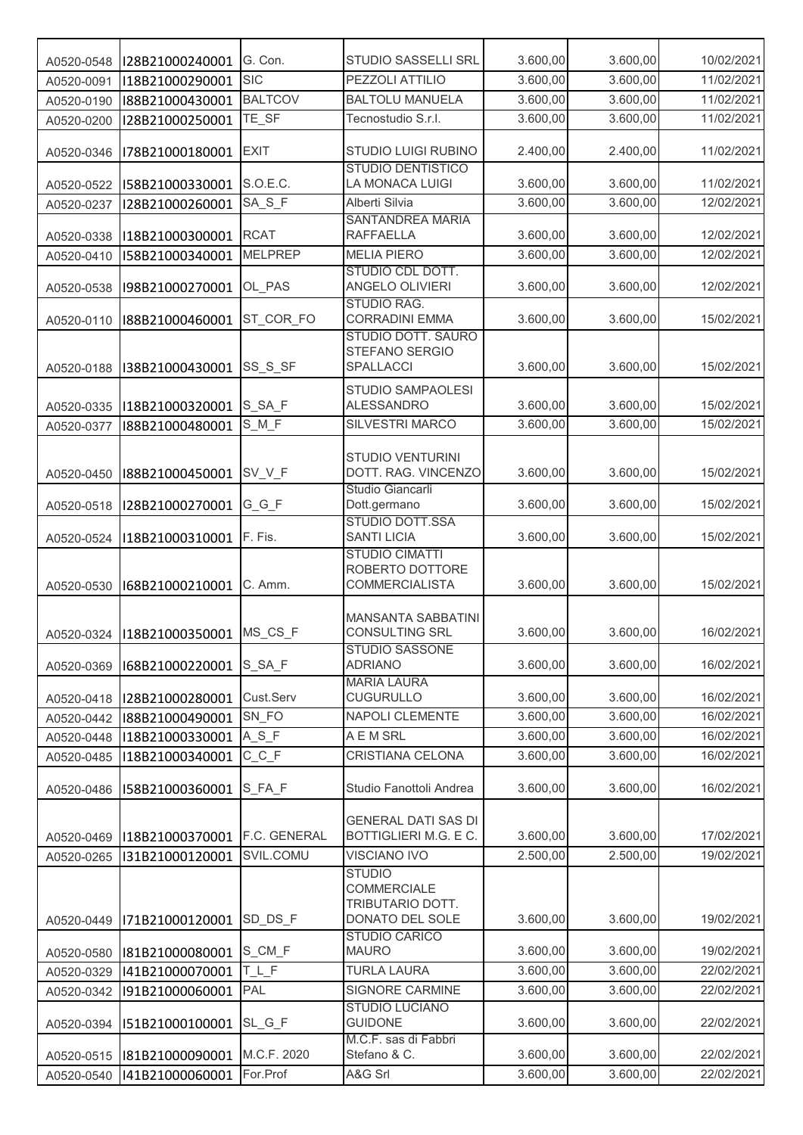| A0520-0548 | I28B21000240001             | G. Con.        | STUDIO SASSELLI SRL                                               | 3.600,00 | 3.600,00 | 10/02/2021 |
|------------|-----------------------------|----------------|-------------------------------------------------------------------|----------|----------|------------|
| A0520-0091 | I18B21000290001             | <b>SIC</b>     | PEZZOLI ATTILIO                                                   | 3.600,00 | 3.600,00 | 11/02/2021 |
| A0520-0190 | I88B21000430001             | <b>BALTCOV</b> | <b>BALTOLU MANUELA</b>                                            | 3.600,00 | 3.600,00 | 11/02/2021 |
| A0520-0200 | I28B21000250001             | TE_SF          | Tecnostudio S.r.l.                                                | 3.600,00 | 3.600,00 | 11/02/2021 |
| A0520-0346 | I78B21000180001             | <b>EXIT</b>    | STUDIO LUIGI RUBINO                                               | 2.400,00 | 2.400,00 | 11/02/2021 |
| A0520-0522 | I58B21000330001             | S.O.E.C.       | <b>STUDIO DENTISTICO</b><br>LA MONACA LUIGI                       | 3.600,00 | 3.600,00 | 11/02/2021 |
| A0520-0237 | I28B21000260001             | SA_S_F         | Alberti Silvia                                                    | 3.600,00 | 3.600,00 | 12/02/2021 |
| A0520-0338 | I18B21000300001             | <b>RCAT</b>    | SANTANDREA MARIA<br><b>RAFFAELLA</b>                              | 3.600,00 | 3.600,00 | 12/02/2021 |
| A0520-0410 | I58B21000340001             | <b>MELPREP</b> | <b>MELIA PIERO</b>                                                | 3.600,00 | 3.600,00 | 12/02/2021 |
| A0520-0538 | I98B21000270001             | OL_PAS         | STUDIO CDL DOTT.<br>ANGELO OLIVIERI                               | 3.600,00 | 3.600,00 | 12/02/2021 |
| A0520-0110 | I88B21000460001             | ST COR FO      | STUDIO RAG.<br><b>CORRADINI EMMA</b>                              | 3.600,00 | 3.600,00 | 15/02/2021 |
| A0520-0188 | I38B21000430001             | SS_S_SF        | STUDIO DOTT. SAURO<br>STEFANO SERGIO<br>SPALLACCI                 | 3.600,00 | 3.600,00 | 15/02/2021 |
| A0520-0335 | I18B21000320001             | S_SA_F         | STUDIO SAMPAOLESI<br><b>ALESSANDRO</b>                            | 3.600,00 | 3.600,00 | 15/02/2021 |
| A0520-0377 | I88B21000480001             | S M F          | SILVESTRI MARCO                                                   | 3.600,00 | 3.600,00 | 15/02/2021 |
| A0520-0450 | I88B21000450001             | SV_V_F         | <b>STUDIO VENTURINI</b><br>DOTT. RAG. VINCENZO                    | 3.600,00 | 3.600,00 | 15/02/2021 |
| A0520-0518 | I28B21000270001             | $G_G_F$        | Studio Giancarli<br>Dott.germano                                  | 3.600,00 | 3.600,00 | 15/02/2021 |
| A0520-0524 | I18B21000310001             | F. Fis.        | STUDIO DOTT.SSA<br><b>SANTI LICIA</b>                             | 3.600,00 | 3.600,00 | 15/02/2021 |
| A0520-0530 | I68B21000210001             | C. Amm.        | <b>STUDIO CIMATTI</b><br>ROBERTO DOTTORE<br><b>COMMERCIALISTA</b> | 3.600,00 | 3.600,00 | 15/02/2021 |
|            | A0520-0324  I18B21000350001 | MS_CS_F        | <b>MANSANTA SABBATINI</b><br><b>CONSULTING SRL</b>                | 3.600,00 | 3.600,00 | 16/02/2021 |
| A0520-0369 | I68B21000220001             | S_SA_F         | STUDIO SASSONE<br><b>ADRIANO</b>                                  | 3.600,00 | 3.600,00 | 16/02/2021 |
| A0520-0418 | I28B21000280001             | Cust.Serv      | <b>MARIA LAURA</b><br><b>CUGURULLO</b>                            | 3.600,00 | 3.600,00 | 16/02/2021 |
| A0520-0442 | I88B21000490001             | SN_FO          | <b>NAPOLI CLEMENTE</b>                                            | 3.600,00 | 3.600,00 | 16/02/2021 |
| A0520-0448 | I18B21000330001             | $A_S_F$        | A E M SRL                                                         | 3.600,00 | 3.600,00 | 16/02/2021 |
| A0520-0485 | I18B21000340001             | $C_C$ $F$      | CRISTIANA CELONA                                                  | 3.600,00 | 3.600,00 | 16/02/2021 |
| A0520-0486 | I58B21000360001             | S_FA_F         | Studio Fanottoli Andrea                                           | 3.600,00 | 3.600,00 | 16/02/2021 |
| A0520-0469 | I18B21000370001             | F.C. GENERAL   | <b>GENERAL DATI SAS DI</b><br>BOTTIGLIERI M.G. E C.               | 3.600,00 | 3.600,00 | 17/02/2021 |
| A0520-0265 | I31B21000120001             | SVIL.COMU      | <b>VISCIANO IVO</b>                                               | 2.500,00 | 2.500,00 | 19/02/2021 |
|            |                             |                | <b>STUDIO</b><br>COMMERCIALE<br>TRIBUTARIO DOTT.                  |          |          |            |
| A0520-0449 | I71B21000120001             | SD_DS_F        | DONATO DEL SOLE<br><b>STUDIO CARICO</b>                           | 3.600,00 | 3.600,00 | 19/02/2021 |
| A0520-0580 | I81B21000080001             | S_CM_F         | <b>MAURO</b>                                                      | 3.600,00 | 3.600,00 | 19/02/2021 |
| A0520-0329 | I41B21000070001             | TLF            | <b>TURLA LAURA</b>                                                | 3.600,00 | 3.600,00 | 22/02/2021 |
| A0520-0342 | I91B21000060001             | PAL            | SIGNORE CARMINE<br><b>STUDIO LUCIANO</b>                          | 3.600,00 | 3.600,00 | 22/02/2021 |
| A0520-0394 | I51B21000100001             | SL_G_F         | <b>GUIDONE</b>                                                    | 3.600,00 | 3.600,00 | 22/02/2021 |
| A0520-0515 | I81B21000090001             | M.C.F. 2020    | M.C.F. sas di Fabbri<br>Stefano & C.                              | 3.600,00 | 3.600,00 | 22/02/2021 |
| A0520-0540 | I41B21000060001             | For.Prof       | A&G Srl                                                           | 3.600,00 | 3.600,00 | 22/02/2021 |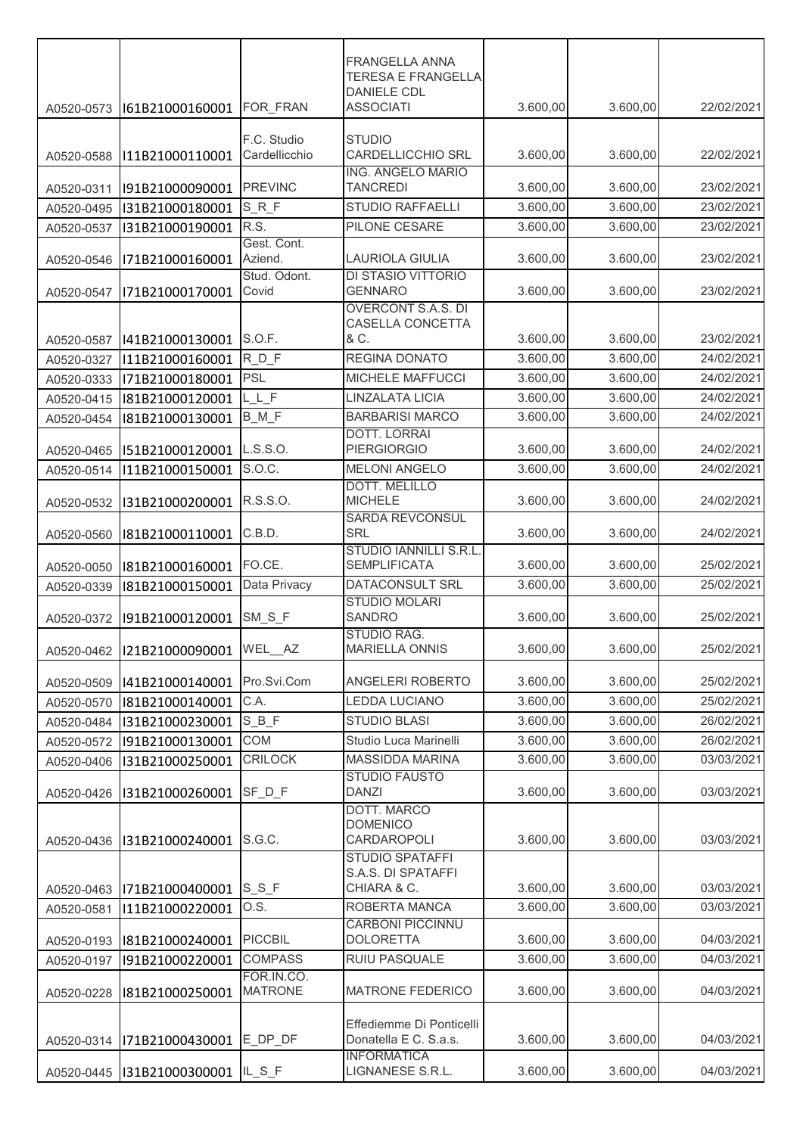|                          |                                    |                       | <b>FRANGELLA ANNA</b><br><b>TERESA E FRANGELLA</b>  |                      |                      |            |
|--------------------------|------------------------------------|-----------------------|-----------------------------------------------------|----------------------|----------------------|------------|
|                          |                                    |                       | <b>DANIELE CDL</b>                                  |                      |                      |            |
| A0520-0573               | I61B21000160001                    | FOR FRAN              | <b>ASSOCIATI</b>                                    | 3.600,00             | 3.600,00             | 22/02/2021 |
|                          |                                    | F.C. Studio           | <b>STUDIO</b>                                       |                      |                      |            |
| A0520-0588               | I11B21000110001                    | Cardellicchio         | <b>CARDELLICCHIO SRL</b>                            | 3.600,00             | 3.600,00             | 22/02/2021 |
|                          |                                    |                       | <b>ING. ANGELO MARIO</b><br><b>TANCREDI</b>         |                      |                      | 23/02/2021 |
| A0520-0311<br>A0520-0495 | I91B21000090001<br>I31B21000180001 | <b>PREVINC</b><br>SRF | <b>STUDIO RAFFAELLI</b>                             | 3.600,00<br>3.600,00 | 3.600,00<br>3.600,00 | 23/02/2021 |
| A0520-0537               | I31B21000190001                    | R.S.                  | PILONE CESARE                                       | 3.600,00             | 3.600,00             | 23/02/2021 |
|                          |                                    | Gest. Cont.           |                                                     |                      |                      |            |
| A0520-0546               | I71B21000160001                    | Aziend.               | <b>LAURIOLA GIULIA</b>                              | 3.600,00             | 3.600,00             | 23/02/2021 |
|                          |                                    | Stud. Odont.          | DI STASIO VITTORIO                                  |                      |                      |            |
| A0520-0547               | I71B21000170001                    | Covid                 | <b>GENNARO</b><br><b>OVERCONT S.A.S. DI</b>         | 3.600,00             | 3.600,00             | 23/02/2021 |
|                          |                                    |                       | CASELLA CONCETTA                                    |                      |                      |            |
| A0520-0587               | I41B21000130001                    | S.O.F.                | & C.                                                | 3.600,00             | 3.600,00             | 23/02/2021 |
| A0520-0327               | I11B21000160001                    | RDF                   | REGINA DONATO                                       | 3.600,00             | 3.600,00             | 24/02/2021 |
| A0520-0333               | I71B21000180001                    | <b>PSL</b>            | MICHELE MAFFUCCI                                    | 3.600,00             | 3.600,00             | 24/02/2021 |
| A0520-0415               | I81B21000120001                    | $L_L$ $F$             | <b>LINZALATA LICIA</b>                              | 3.600,00             | 3.600,00             | 24/02/2021 |
| A0520-0454               | I81B21000130001                    | B M F                 | <b>BARBARISI MARCO</b>                              | 3.600,00             | 3.600,00             | 24/02/2021 |
|                          |                                    |                       | <b>DOTT. LORRAI</b>                                 |                      |                      |            |
| A0520-0465               | I51B21000120001                    | L.S.S.O.<br>S.O.C.    | <b>PIERGIORGIO</b><br><b>MELONI ANGELO</b>          | 3.600,00             | 3.600,00<br>3.600,00 | 24/02/2021 |
| A0520-0514               | I11B21000150001                    |                       | DOTT. MELILLO                                       | 3.600,00             |                      | 24/02/2021 |
| A0520-0532               | I31B21000200001                    | R.S.S.O.              | <b>MICHELE</b>                                      | 3.600,00             | 3.600,00             | 24/02/2021 |
|                          |                                    |                       | <b>SARDA REVCONSUL</b>                              |                      |                      |            |
| A0520-0560               | I81B21000110001                    | C.B.D.                | SRL                                                 | 3.600,00             | 3.600,00             | 24/02/2021 |
| A0520-0050               | I81B21000160001                    | FO.CE.                | <b>STUDIO IANNILLI S.R.L</b><br><b>SEMPLIFICATA</b> | 3.600,00             | 3.600,00             | 25/02/2021 |
| A0520-0339               | I81B21000150001                    | Data Privacy          | DATACONSULT SRL                                     | 3.600,00             | 3.600,00             | 25/02/2021 |
|                          |                                    |                       | <b>STUDIO MOLARI</b>                                |                      |                      |            |
| A0520-0372               | I91B21000120001                    | $SM_S_F$              | <b>SANDRO</b>                                       | 3.600,00             | 3.600,00             | 25/02/2021 |
|                          |                                    |                       | STUDIO RAG.<br><b>MARIELLA ONNIS</b>                |                      | 3.600,00             |            |
| A0520-0462               | I21B21000090001                    | WEL_AZ                |                                                     | 3.600,00             |                      | 25/02/2021 |
| A0520-0509               | I41B21000140001                    | Pro.Svi.Com           | ANGELERI ROBERTO                                    | 3.600,00             | 3.600,00             | 25/02/2021 |
| A0520-0570               | I81B21000140001                    | C.A.                  | LEDDA LUCIANO                                       | 3.600,00             | 3.600,00             | 25/02/2021 |
| A0520-0484               | I31B21000230001                    | $S$ $B$ $F$           | <b>STUDIO BLASI</b>                                 | 3.600,00             | 3.600,00             | 26/02/2021 |
| A0520-0572               | I91B21000130001                    | <b>COM</b>            | Studio Luca Marinelli                               | 3.600,00             | 3.600,00             | 26/02/2021 |
| A0520-0406               | I31B21000250001                    | <b>CRILOCK</b>        | <b>MASSIDDA MARINA</b>                              | 3.600,00             | 3.600,00             | 03/03/2021 |
|                          |                                    |                       | <b>STUDIO FAUSTO</b>                                |                      |                      |            |
| A0520-0426               | I31B21000260001                    | SF_D_F                | <b>DANZI</b><br>DOTT. MARCO                         | 3.600,00             | 3.600,00             | 03/03/2021 |
|                          |                                    |                       | <b>DOMENICO</b>                                     |                      |                      |            |
| A0520-0436               | I31B21000240001                    | S.G.C.                | CARDAROPOLI                                         | 3.600,00             | 3.600,00             | 03/03/2021 |
|                          |                                    |                       | <b>STUDIO SPATAFFI</b>                              |                      |                      |            |
|                          |                                    | $S_S F$               | S.A.S. DI SPATAFFI<br>CHIARA & C.                   | 3.600,00             | 3.600,00             | 03/03/2021 |
| A0520-0463               | I71B21000400001<br>I11B21000220001 | O.S.                  | ROBERTA MANCA                                       | 3.600,00             | 3.600,00             | 03/03/2021 |
| A0520-0581               |                                    |                       | <b>CARBONI PICCINNU</b>                             |                      |                      |            |
| A0520-0193               | I81B21000240001                    | <b>PICCBIL</b>        | <b>DOLORETTA</b>                                    | 3.600,00             | 3.600,00             | 04/03/2021 |
| A0520-0197               | I91B21000220001                    | <b>COMPASS</b>        | RUIU PASQUALE                                       | 3.600,00             | 3.600,00             | 04/03/2021 |
|                          |                                    | FOR.IN.CO.            |                                                     |                      |                      |            |
| A0520-0228               | I81B21000250001                    | <b>MATRONE</b>        | <b>MATRONE FEDERICO</b>                             | 3.600,00             | 3.600,00             | 04/03/2021 |
|                          |                                    |                       | Effediemme Di Ponticelli                            |                      |                      |            |
| A0520-0314               | I71B21000430001                    | E DP DF               | Donatella E C. S.a.s.                               | 3.600,00             | 3.600,00             | 04/03/2021 |
|                          |                                    |                       | <b>INFORMATICA</b>                                  |                      |                      |            |
| A0520-0445               | 131B21000300001  IL_S_F            |                       | LIGNANESE S.R.L.                                    | 3.600,00             | 3.600,00             | 04/03/2021 |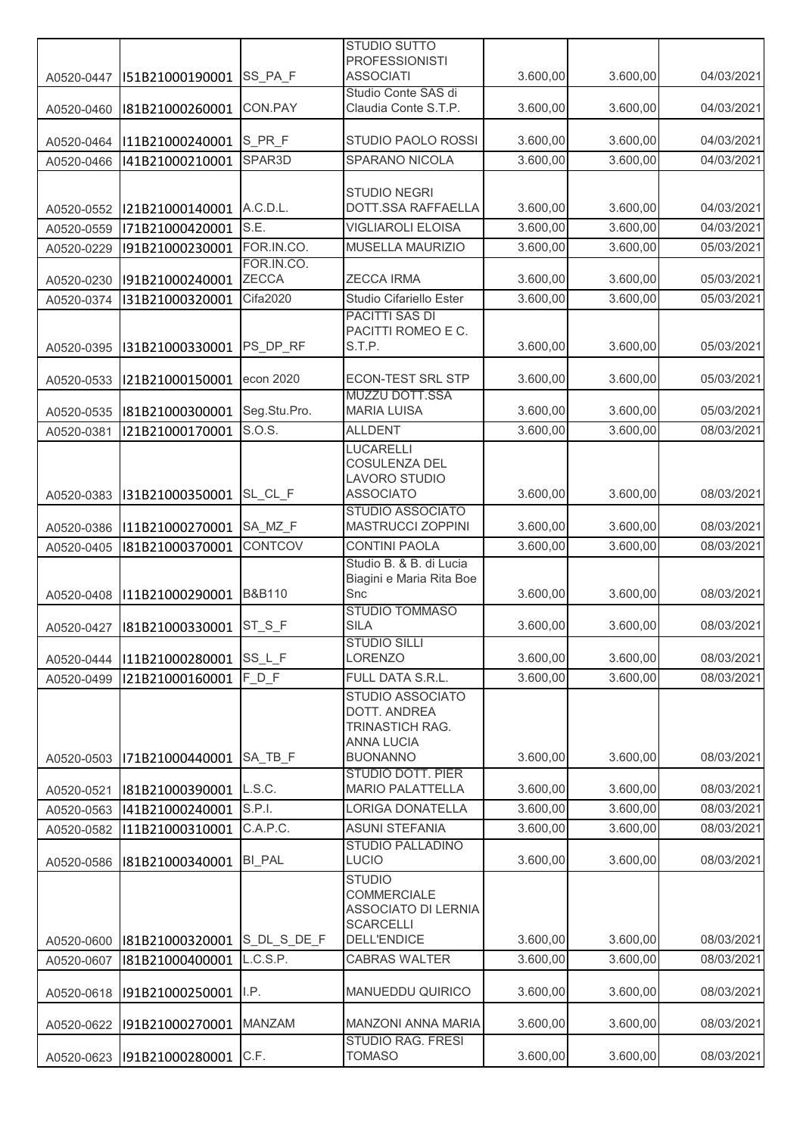|            |                 |                   | <b>STUDIO SUTTO</b>                                 |                      |                      |            |
|------------|-----------------|-------------------|-----------------------------------------------------|----------------------|----------------------|------------|
|            |                 |                   | <b>PROFESSIONISTI</b>                               |                      |                      |            |
| A0520-0447 | I51B21000190001 | SS_PA_F           | <b>ASSOCIATI</b>                                    | 3.600,00             | 3.600,00             | 04/03/2021 |
| A0520-0460 | I81B21000260001 | CON.PAY           | Studio Conte SAS di<br>Claudia Conte S.T.P.         | 3.600,00             | 3.600,00             | 04/03/2021 |
|            |                 |                   |                                                     |                      |                      |            |
| A0520-0464 | I11B21000240001 | S_PR_F            | STUDIO PAOLO ROSSI                                  | 3.600,00             | 3.600,00             | 04/03/2021 |
| A0520-0466 | I41B21000210001 | SPAR3D            | SPARANO NICOLA                                      | 3.600,00             | 3.600,00             | 04/03/2021 |
|            |                 |                   |                                                     |                      |                      |            |
|            |                 |                   | <b>STUDIO NEGRI</b><br>DOTT.SSA RAFFAELLA           |                      |                      | 04/03/2021 |
| A0520-0552 | I21B21000140001 | A.C.D.L.<br>S.E.  | <b>VIGLIAROLI ELOISA</b>                            | 3.600,00<br>3.600,00 | 3.600,00<br>3.600,00 | 04/03/2021 |
| A0520-0559 | I71B21000420001 | FOR.IN.CO.        | MUSELLA MAURIZIO                                    |                      |                      |            |
| A0520-0229 | I91B21000230001 | FOR.IN.CO.        |                                                     | 3.600,00             | 3.600,00             | 05/03/2021 |
| A0520-0230 | I91B21000240001 | ZECCA             | <b>ZECCA IRMA</b>                                   | 3.600,00             | 3.600,00             | 05/03/2021 |
| A0520-0374 | I31B21000320001 | Cifa2020          | Studio Cifariello Ester                             | 3.600,00             | 3.600,00             | 05/03/2021 |
|            |                 |                   | <b>PACITTI SAS DI</b>                               |                      |                      |            |
|            |                 |                   | PACITTI ROMEO E C.                                  |                      |                      |            |
| A0520-0395 | I31B21000330001 | PS DP RF          | S.T.P.                                              | 3.600,00             | 3.600,00             | 05/03/2021 |
|            |                 |                   |                                                     |                      |                      |            |
| A0520-0533 | I21B21000150001 | econ 2020         | <b>ECON-TEST SRL STP</b><br><b>MUZZU DOTT.SSA</b>   | 3.600,00             | 3.600,00             | 05/03/2021 |
| A0520-0535 | I81B21000300001 | Seg.Stu.Pro.      | <b>MARIA LUISA</b>                                  | 3.600,00             | 3.600,00             | 05/03/2021 |
| A0520-0381 | I21B21000170001 | S.O.S.            | <b>ALLDENT</b>                                      | 3.600,00             | 3.600,00             | 08/03/2021 |
|            |                 |                   | <b>LUCARELLI</b>                                    |                      |                      |            |
|            |                 |                   | COSULENZA DEL                                       |                      |                      |            |
|            |                 |                   | <b>LAVORO STUDIO</b>                                |                      |                      |            |
| A0520-0383 | I31B21000350001 | SL_CL_F           | <b>ASSOCIATO</b>                                    | 3.600,00             | 3.600,00             | 08/03/2021 |
| A0520-0386 | I11B21000270001 | SA_MZ_F           | <b>STUDIO ASSOCIATO</b><br>MASTRUCCI ZOPPINI        | 3.600,00             | 3.600,00             | 08/03/2021 |
|            | I81B21000370001 | CONTCOV           | <b>CONTINI PAOLA</b>                                | 3.600,00             | 3.600,00             | 08/03/2021 |
| A0520-0405 |                 |                   | Studio B. & B. di Lucia                             |                      |                      |            |
|            |                 |                   | Biagini e Maria Rita Boe                            |                      |                      |            |
| A0520-0408 | I11B21000290001 | <b>B&amp;B110</b> | Snc                                                 | 3.600,00             | 3.600,00             | 08/03/2021 |
|            |                 |                   | <b>STUDIO TOMMASO</b>                               |                      |                      |            |
| A0520-0427 | I81B21000330001 | $ST_S_F$          | <b>SILA</b>                                         | 3.600,00             | 3.600,00             | 08/03/2021 |
|            | 111B21000280001 | SS_L_F            | <b>STUDIO SILLI</b><br><b>LORENZO</b>               | 3.600,00             | 3.600,00             | 08/03/2021 |
| A0520-0444 |                 | $F_D$ F           | FULL DATA S.R.L.                                    | 3.600,00             | 3.600,00             | 08/03/2021 |
| A0520-0499 | I21B21000160001 |                   | STUDIO ASSOCIATO                                    |                      |                      |            |
|            |                 |                   | DOTT. ANDREA                                        |                      |                      |            |
|            |                 |                   | TRINASTICH RAG.                                     |                      |                      |            |
|            |                 |                   | <b>ANNA LUCIA</b>                                   |                      |                      |            |
| A0520-0503 | I71B21000440001 | SA TB F           | <b>BUONANNO</b>                                     | 3.600,00             | 3.600,00             | 08/03/2021 |
| A0520-0521 | I81B21000390001 | L.S.C.            | <b>STUDIO DOTT. PIER</b><br><b>MARIO PALATTELLA</b> | 3.600,00             | 3.600,00             | 08/03/2021 |
|            | I41B21000240001 | S.P.I.            | <b>LORIGA DONATELLA</b>                             | 3.600,00             | 3.600,00             | 08/03/2021 |
| A0520-0563 |                 | C.A.P.C.          | <b>ASUNI STEFANIA</b>                               |                      |                      | 08/03/2021 |
| A0520-0582 | I11B21000310001 |                   | <b>STUDIO PALLADINO</b>                             | 3.600,00             | 3.600,00             |            |
| A0520-0586 | I81B21000340001 | <b>BI_PAL</b>     | LUCIO                                               | 3.600,00             | 3.600,00             | 08/03/2021 |
|            |                 |                   | <b>STUDIO</b>                                       |                      |                      |            |
|            |                 |                   | COMMERCIALE                                         |                      |                      |            |
|            |                 |                   | ASSOCIATO DI LERNIA                                 |                      |                      |            |
|            |                 | S_DL_S_DE_F       | <b>SCARCELLI</b><br><b>DELL'ENDICE</b>              | 3.600,00             | 3.600,00             | 08/03/2021 |
| A0520-0600 | I81B21000320001 | L.C.S.P.          |                                                     | 3.600,00             | 3.600,00             | 08/03/2021 |
| A0520-0607 | I81B21000400001 |                   | <b>CABRAS WALTER</b>                                |                      |                      |            |
| A0520-0618 | I91B21000250001 | I.P.              | <b>MANUEDDU QUIRICO</b>                             | 3.600,00             | 3.600,00             | 08/03/2021 |
|            |                 |                   |                                                     |                      |                      |            |
| A0520-0622 | I91B21000270001 | MANZAM            | MANZONI ANNA MARIA                                  | 3.600,00             | 3.600,00             | 08/03/2021 |
|            |                 |                   | <b>STUDIO RAG. FRESI</b>                            |                      |                      |            |
| A0520-0623 | I91B21000280001 | C.F.              | <b>TOMASO</b>                                       | 3.600,00             | 3.600,00             | 08/03/2021 |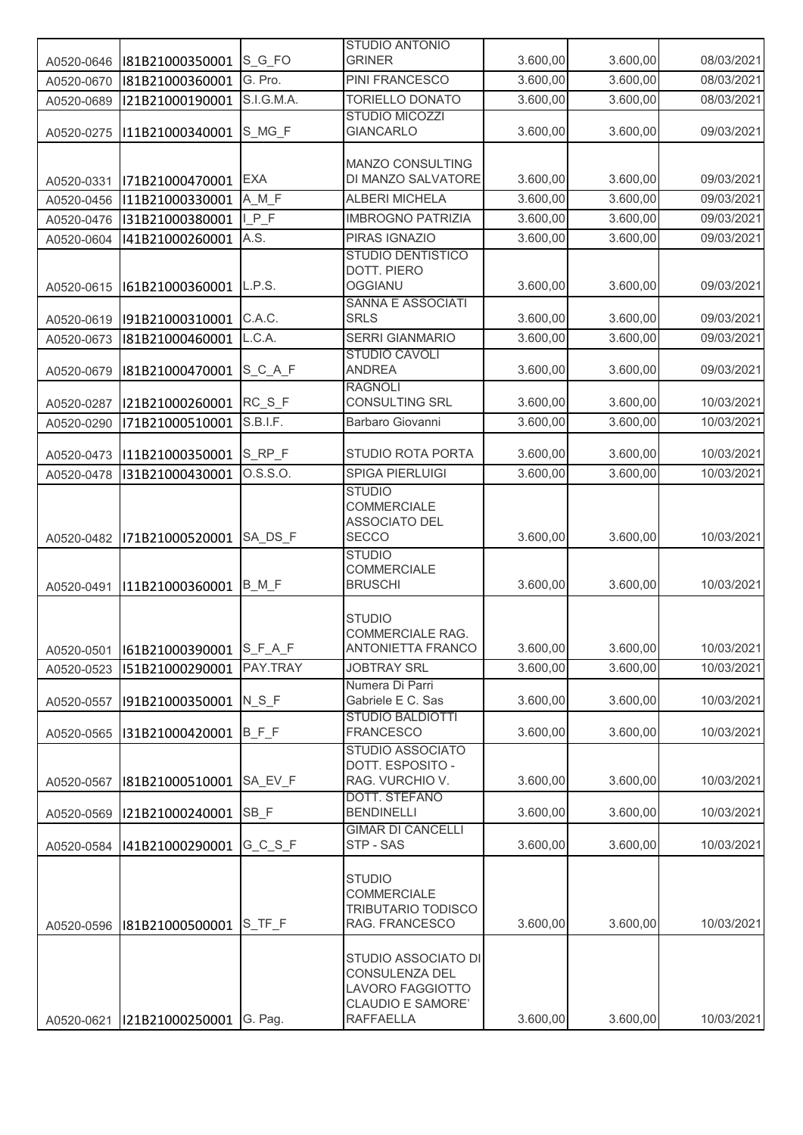|            |                 |             | <b>STUDIO ANTONIO</b>                           |          |          |            |
|------------|-----------------|-------------|-------------------------------------------------|----------|----------|------------|
| A0520-0646 | I81B21000350001 | S G FO      | <b>GRINER</b>                                   | 3.600,00 | 3.600,00 | 08/03/2021 |
| A0520-0670 | I81B21000360001 | G. Pro.     | PINI FRANCESCO                                  | 3.600,00 | 3.600,00 | 08/03/2021 |
| A0520-0689 | I21B21000190001 | S.I.G.M.A.  | <b>TORIELLO DONATO</b>                          | 3.600,00 | 3.600,00 | 08/03/2021 |
|            |                 |             | <b>STUDIO MICOZZI</b>                           |          |          |            |
| A0520-0275 | I11B21000340001 | S_MG_F      | <b>GIANCARLO</b>                                | 3.600,00 | 3.600,00 | 09/03/2021 |
|            |                 |             |                                                 |          |          |            |
|            |                 |             | <b>MANZO CONSULTING</b>                         |          |          |            |
| A0520-0331 | I71B21000470001 | <b>EXA</b>  | DI MANZO SALVATORE                              | 3.600,00 | 3.600,00 | 09/03/2021 |
| A0520-0456 | I11B21000330001 | $A$ $M$ $F$ | <b>ALBERI MICHELA</b>                           | 3.600,00 | 3.600,00 | 09/03/2021 |
| A0520-0476 | I31B21000380001 | $LP_F$      | <b>IMBROGNO PATRIZIA</b>                        | 3.600,00 | 3.600,00 | 09/03/2021 |
| A0520-0604 | I41B21000260001 | A.S.        | PIRAS IGNAZIO                                   | 3.600,00 | 3.600,00 | 09/03/2021 |
|            |                 |             | <b>STUDIO DENTISTICO</b>                        |          |          |            |
|            |                 |             | DOTT. PIERO                                     |          |          |            |
| A0520-0615 | I61B21000360001 | L.P.S.      | <b>OGGIANU</b>                                  | 3.600,00 | 3.600,00 | 09/03/2021 |
|            |                 |             | <b>SANNA E ASSOCIATI</b>                        |          |          |            |
| A0520-0619 | I91B21000310001 | C.A.C.      | <b>SRLS</b>                                     | 3.600,00 | 3.600,00 | 09/03/2021 |
| A0520-0673 | I81B21000460001 | L.C.A.      | <b>SERRI GIANMARIO</b>                          | 3.600,00 | 3.600,00 | 09/03/2021 |
|            |                 |             | <b>STUDIO CAVOLI</b>                            |          |          |            |
| A0520-0679 | I81B21000470001 | $S_C_A_F$   | <b>ANDREA</b>                                   | 3.600,00 | 3.600,00 | 09/03/2021 |
|            |                 |             | <b>RAGNOLI</b>                                  |          |          |            |
| A0520-0287 | I21B21000260001 | $RC_S_F$    | CONSULTING SRL                                  | 3.600,00 | 3.600,00 | 10/03/2021 |
| A0520-0290 | I71B21000510001 | S.B.I.F.    | Barbaro Giovanni                                | 3.600,00 | 3.600,00 | 10/03/2021 |
|            |                 | $S_RP_F$    | STUDIO ROTA PORTA                               | 3.600,00 | 3.600,00 | 10/03/2021 |
| A0520-0473 | I11B21000350001 |             |                                                 |          |          |            |
| A0520-0478 | I31B21000430001 | 0. S.S. 0.  | <b>SPIGA PIERLUIGI</b>                          | 3.600,00 | 3.600,00 | 10/03/2021 |
|            |                 |             | <b>STUDIO</b><br><b>COMMERCIALE</b>             |          |          |            |
|            |                 |             | ASSOCIATO DEL                                   |          |          |            |
| A0520-0482 | I71B21000520001 | SA DS F     | <b>SECCO</b>                                    | 3.600,00 | 3.600,00 | 10/03/2021 |
|            |                 |             | <b>STUDIO</b>                                   |          |          |            |
|            |                 |             | <b>COMMERCIALE</b>                              |          |          |            |
| A0520-0491 | I11B21000360001 | B_M_F       | <b>BRUSCHI</b>                                  | 3.600,00 | 3.600,00 | 10/03/2021 |
|            |                 |             |                                                 |          |          |            |
|            |                 |             | <b>STUDIO</b>                                   |          |          |            |
|            |                 |             | <b>COMMERCIALE RAG.</b>                         |          |          |            |
| A0520-0501 | 161B21000390001 | $S_F_A_F$   | <b>ANTONIETTA FRANCO</b>                        | 3.600,00 | 3.600,00 | 10/03/2021 |
| A0520-0523 | I51B21000290001 | PAY.TRAY    | <b>JOBTRAY SRL</b>                              | 3.600,00 | 3.600,00 | 10/03/2021 |
|            |                 |             | Numera Di Parri                                 |          |          |            |
| A0520-0557 | I91B21000350001 | $N_S_F$     | Gabriele E C. Sas                               | 3.600,00 | 3.600,00 | 10/03/2021 |
| A0520-0565 | I31B21000420001 | $B$ $F$ $F$ | <b>STUDIO BALDIOTTI</b><br><b>FRANCESCO</b>     | 3.600,00 | 3.600,00 | 10/03/2021 |
|            |                 |             | <b>STUDIO ASSOCIATO</b>                         |          |          |            |
|            |                 |             | DOTT. ESPOSITO -                                |          |          |            |
| A0520-0567 | I81B21000510001 | SA EV F     | RAG. VURCHIO V.                                 | 3.600,00 | 3.600,00 | 10/03/2021 |
|            |                 |             | DOTT. STEFANO                                   |          |          |            |
| A0520-0569 | I21B21000240001 | SB_F        | <b>BENDINELLI</b>                               | 3.600,00 | 3.600,00 | 10/03/2021 |
|            |                 |             | <b>GIMAR DI CANCELLI</b>                        |          |          |            |
| A0520-0584 | I41B21000290001 | GCSF        | STP - SAS                                       | 3.600,00 | 3.600,00 | 10/03/2021 |
|            |                 |             |                                                 |          |          |            |
|            |                 |             | <b>STUDIO</b>                                   |          |          |            |
|            |                 |             | <b>COMMERCIALE</b><br><b>TRIBUTARIO TODISCO</b> |          |          |            |
| A0520-0596 | I81B21000500001 | S_TF_F      | RAG. FRANCESCO                                  | 3.600,00 | 3.600,00 | 10/03/2021 |
|            |                 |             |                                                 |          |          |            |
|            |                 |             | STUDIO ASSOCIATO DI                             |          |          |            |
|            |                 |             | CONSULENZA DEL                                  |          |          |            |
|            |                 |             | LAVORO FAGGIOTTO                                |          |          |            |
|            |                 |             | CLAUDIO E SAMORE'                               |          |          |            |
| A0520-0621 | I21B21000250001 | G. Pag.     | <b>RAFFAELLA</b>                                | 3.600,00 | 3.600,00 | 10/03/2021 |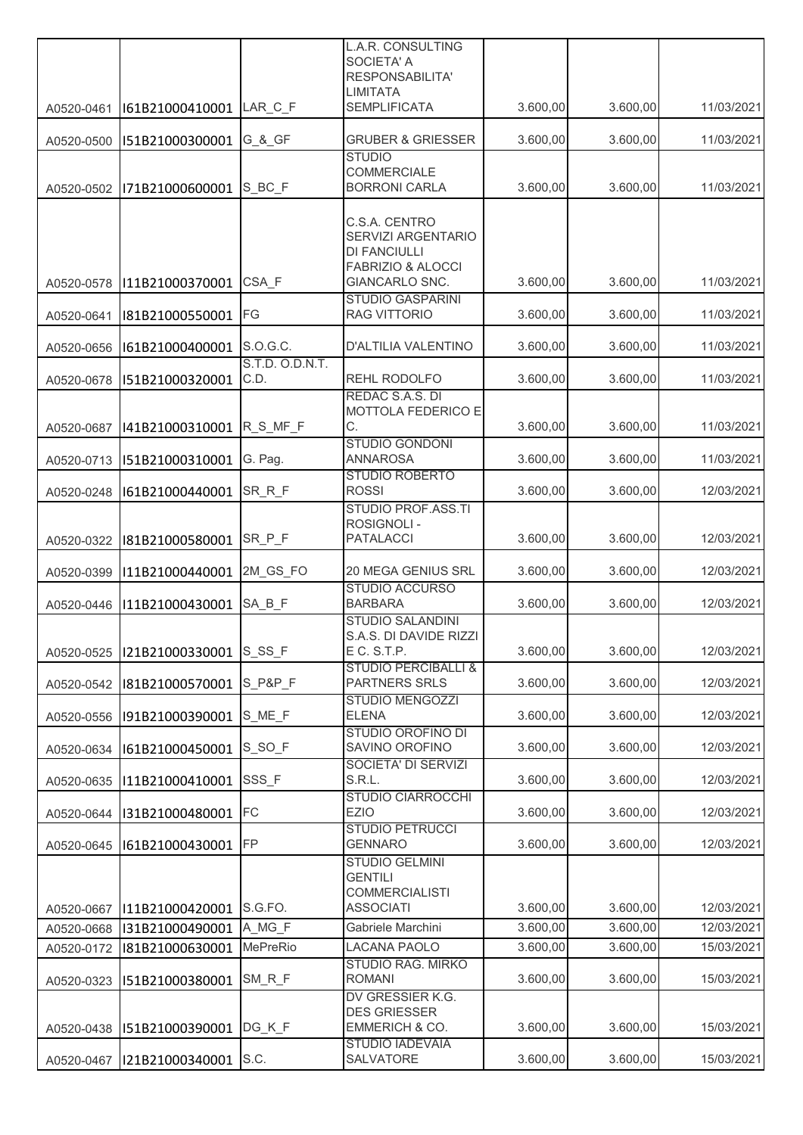|            |                        |                         | L.A.R. CONSULTING<br><b>SOCIETA' A</b>                                                     |          |          |            |
|------------|------------------------|-------------------------|--------------------------------------------------------------------------------------------|----------|----------|------------|
|            |                        |                         | RESPONSABILITA'<br><b>LIMITATA</b>                                                         |          |          |            |
| A0520-0461 | I61B21000410001        | LAR C F                 | <b>SEMPLIFICATA</b>                                                                        | 3.600,00 | 3.600,00 | 11/03/2021 |
| A0520-0500 | I51B21000300001        | G_&_GF                  | <b>GRUBER &amp; GRIESSER</b>                                                               | 3.600,00 | 3.600,00 | 11/03/2021 |
| A0520-0502 | I71B21000600001        | $S$ <sub>_BC_F</sub>    | <b>STUDIO</b><br>COMMERCIALE<br><b>BORRONI CARLA</b>                                       | 3.600,00 | 3.600,00 | 11/03/2021 |
|            |                        |                         |                                                                                            |          |          |            |
|            |                        |                         | C.S.A. CENTRO<br>SERVIZI ARGENTARIO<br><b>DI FANCIULLI</b><br><b>FABRIZIO &amp; ALOCCI</b> |          |          |            |
| A0520-0578 | I11B21000370001        | CSA F                   | GIANCARLO SNC.                                                                             | 3.600,00 | 3.600,00 | 11/03/2021 |
| A0520-0641 | I81B21000550001        | FG                      | <b>STUDIO GASPARINI</b><br>RAG VITTORIO                                                    | 3.600,00 | 3.600,00 | 11/03/2021 |
| A0520-0656 | I61B21000400001        | S.O.G.C.                | D'ALTILIA VALENTINO                                                                        | 3.600,00 | 3.600,00 | 11/03/2021 |
| A0520-0678 | I51B21000320001        | S.T.D. O.D.N.T.<br>C.D. | REHL RODOLFO                                                                               | 3.600,00 | 3.600,00 | 11/03/2021 |
|            |                        |                         | REDAC S.A.S. DI<br>MOTTOLA FEDERICO E                                                      |          |          |            |
| A0520-0687 | I41B21000310001        | R_S_MF_F                | С.                                                                                         | 3.600,00 | 3.600,00 | 11/03/2021 |
| A0520-0713 | I51B21000310001        | G. Pag.                 | <b>STUDIO GONDONI</b><br><b>ANNAROSA</b>                                                   | 3.600,00 | 3.600,00 | 11/03/2021 |
| A0520-0248 | I61B21000440001        | SR_R_F                  | <b>STUDIO ROBERTO</b><br><b>ROSSI</b>                                                      | 3.600,00 | 3.600,00 | 12/03/2021 |
|            |                        |                         | <b>STUDIO PROF.ASS.TI</b><br><b>ROSIGNOLI-</b>                                             |          |          |            |
| A0520-0322 | I81B21000580001        | SR_P_F                  | <b>PATALACCI</b>                                                                           | 3.600,00 | 3.600,00 | 12/03/2021 |
| A0520-0399 | I11B21000440001        | 2M_GS_FO                | 20 MEGA GENIUS SRL                                                                         | 3.600,00 | 3.600,00 | 12/03/2021 |
| A0520-0446 | I11B21000430001        | SA_B_F                  | <b>STUDIO ACCURSO</b><br><b>BARBARA</b>                                                    | 3.600,00 | 3.600,00 | 12/03/2021 |
| A0520-0525 | 121B21000330001 S_SS_F |                         | <b>STUDIO SALANDINI</b><br>S.A.S. DI DAVIDE RIZZI<br>E C. S.T.P.                           | 3.600,00 | 3.600,00 | 12/03/2021 |
| A0520-0542 | I81B21000570001        | S_P&P_F                 | <b>STUDIO PERCIBALLI &amp;</b><br>PARTNERS SRLS                                            | 3.600,00 | 3.600,00 | 12/03/2021 |
| A0520-0556 | I91B21000390001        | S ME F                  | <b>STUDIO MENGOZZI</b><br><b>ELENA</b>                                                     | 3.600,00 | 3.600,00 | 12/03/2021 |
| A0520-0634 | I61B21000450001        | S_SO_F                  | <b>STUDIO OROFINO DI</b><br>SAVINO OROFINO                                                 | 3.600,00 | 3.600,00 | 12/03/2021 |
| A0520-0635 | I11B21000410001        | SSS_F                   | SOCIETA' DI SERVIZI<br>S.R.L.                                                              | 3.600,00 | 3.600,00 | 12/03/2021 |
|            |                        |                         | <b>STUDIO CIARROCCHI</b>                                                                   |          |          |            |
| A0520-0644 | I31B21000480001        | FC                      | <b>EZIO</b><br><b>STUDIO PETRUCCI</b>                                                      | 3.600,00 | 3.600,00 | 12/03/2021 |
| A0520-0645 | I61B21000430001        | FP                      | <b>GENNARO</b><br><b>STUDIO GELMINI</b>                                                    | 3.600,00 | 3.600,00 | 12/03/2021 |
|            |                        |                         | <b>GENTILI</b>                                                                             |          |          |            |
| A0520-0667 | I11B21000420001        | S.G.FO.                 | <b>COMMERCIALISTI</b><br><b>ASSOCIATI</b>                                                  | 3.600,00 | 3.600,00 | 12/03/2021 |
| A0520-0668 | I31B21000490001        | A_MG_F                  | Gabriele Marchini                                                                          | 3.600,00 | 3.600,00 | 12/03/2021 |
| A0520-0172 | I81B21000630001        | <b>MePreRio</b>         | <b>LACANA PAOLO</b>                                                                        | 3.600,00 | 3.600,00 | 15/03/2021 |
| A0520-0323 | I51B21000380001        | SM R F                  | STUDIO RAG. MIRKO<br><b>ROMANI</b>                                                         | 3.600,00 | 3.600,00 | 15/03/2021 |
| A0520-0438 | I51B21000390001        | DG K F                  | DV GRESSIER K.G.<br><b>DES GRIESSER</b><br>EMMERICH & CO.                                  | 3.600,00 | 3.600,00 | 15/03/2021 |
| A0520-0467 | I21B21000340001        | S.C.                    | <b>STUDIO IADEVAIA</b><br>SALVATORE                                                        | 3.600,00 | 3.600,00 | 15/03/2021 |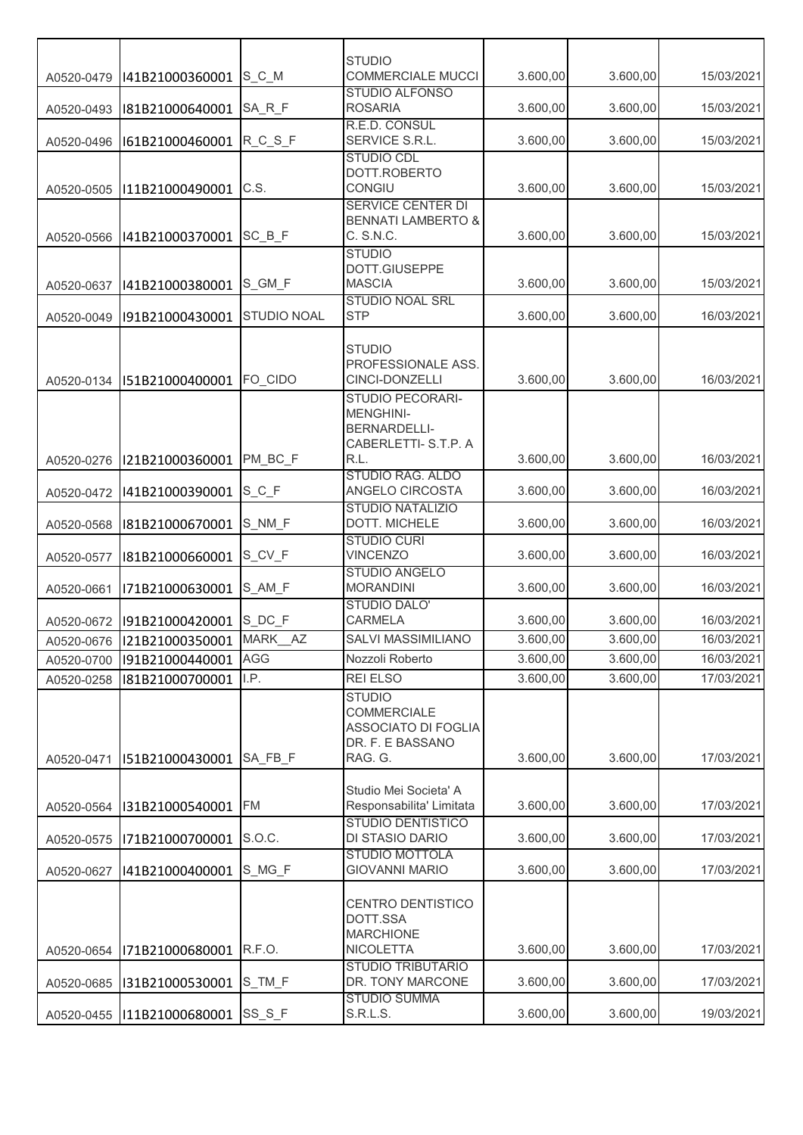|            |                        |                    | <b>STUDIO</b>                                  |          |          |            |
|------------|------------------------|--------------------|------------------------------------------------|----------|----------|------------|
| A0520-0479 | I41B21000360001        | S <sub>_C_</sub> M | <b>COMMERCIALE MUCCI</b>                       | 3.600,00 | 3.600,00 | 15/03/2021 |
| A0520-0493 | I81B21000640001        | SA_R_F             | <b>STUDIO ALFONSO</b><br><b>ROSARIA</b>        | 3.600,00 | 3.600,00 | 15/03/2021 |
| A0520-0496 | I61B21000460001        | $R_C_S_F$          | R.E.D. CONSUL<br>SERVICE S.R.L.                | 3.600,00 | 3.600,00 | 15/03/2021 |
|            |                        |                    | <b>STUDIO CDL</b>                              |          |          |            |
| A0520-0505 | I11B21000490001        | C.S.               | DOTT.ROBERTO<br>CONGIU                         | 3.600,00 | 3.600,00 | 15/03/2021 |
|            |                        |                    | <b>SERVICE CENTER DI</b>                       |          |          |            |
| A0520-0566 | I41B21000370001        | $SC$ $B$ $F$       | <b>BENNATI LAMBERTO &amp;</b><br>C. S.N.C.     | 3.600,00 | 3.600,00 | 15/03/2021 |
|            |                        |                    | <b>STUDIO</b><br>DOTT.GIUSEPPE                 |          |          |            |
| A0520-0637 | I41B21000380001        | S_GM_F             | <b>MASCIA</b>                                  | 3.600,00 | 3.600,00 | 15/03/2021 |
| A0520-0049 | I91B21000430001        | <b>STUDIO NOAL</b> | STUDIO NOAL SRL<br><b>STP</b>                  | 3.600,00 | 3.600,00 | 16/03/2021 |
|            |                        |                    |                                                |          |          |            |
|            |                        |                    | <b>STUDIO</b><br>PROFESSIONALE ASS.            |          |          |            |
| A0520-0134 | I51B21000400001        | FO_CIDO            | CINCI-DONZELLI                                 | 3.600,00 | 3.600,00 | 16/03/2021 |
|            |                        |                    | STUDIO PECORARI-<br><b>MENGHINI-</b>           |          |          |            |
|            |                        |                    | <b>BERNARDELLI-</b>                            |          |          |            |
| A0520-0276 | I21B21000360001        | PM_BC_F            | CABERLETTI- S.T.P. A<br>R.L.                   | 3.600,00 | 3.600,00 | 16/03/2021 |
|            |                        |                    | <b>STUDIO RAG. ALDO</b>                        |          |          |            |
| A0520-0472 | I41B21000390001        | $S_C$ F            | ANGELO CIRCOSTA<br><b>STUDIO NATALIZIO</b>     | 3.600,00 | 3.600,00 | 16/03/2021 |
| A0520-0568 | I81B21000670001        | S_NM_F             | DOTT. MICHELE                                  | 3.600,00 | 3.600,00 | 16/03/2021 |
| A0520-0577 | I81B21000660001        | S_CV_F             | <b>STUDIO CURI</b><br><b>VINCENZO</b>          | 3.600,00 | 3.600,00 | 16/03/2021 |
|            |                        |                    | <b>STUDIO ANGELO</b>                           |          |          |            |
| A0520-0661 | I71B21000630001        | S_AM_F             | <b>MORANDINI</b><br><b>STUDIO DALO'</b>        | 3.600,00 | 3.600,00 | 16/03/2021 |
| A0520-0672 | 191B21000420001 S_DC_F |                    | <b>CARMELA</b>                                 | 3.600,00 | 3.600,00 | 16/03/2021 |
| A0520-0676 | I21B21000350001        | MARK AZ            | <b>SALVI MASSIMILIANO</b>                      | 3.600,00 | 3.600,00 | 16/03/2021 |
| A0520-0700 | I91B21000440001        | <b>AGG</b>         | Nozzoli Roberto                                | 3.600,00 | 3.600,00 | 16/03/2021 |
| A0520-0258 | I81B21000700001        | I.P.               | <b>REI ELSO</b><br><b>STUDIO</b>               | 3.600,00 | 3.600,00 | 17/03/2021 |
|            |                        |                    | COMMERCIALE                                    |          |          |            |
|            |                        |                    | ASSOCIATO DI FOGLIA<br>DR. F. E BASSANO        |          |          |            |
| A0520-0471 | I51B21000430001        | SA FB F            | RAG. G.                                        | 3.600,00 | 3.600,00 | 17/03/2021 |
|            |                        |                    | Studio Mei Societa' A                          |          |          |            |
| A0520-0564 | I31B21000540001        | <b>FM</b>          | Responsabilita' Limitata                       | 3.600,00 | 3.600,00 | 17/03/2021 |
| A0520-0575 | I71B21000700001        | S.O.C.             | <b>STUDIO DENTISTICO</b><br>DI STASIO DARIO    | 3.600,00 | 3.600,00 | 17/03/2021 |
| A0520-0627 | I41B21000400001        | S MG F             | <b>STUDIO MOTTOLA</b><br><b>GIOVANNI MARIO</b> | 3.600,00 | 3.600,00 | 17/03/2021 |
|            |                        |                    |                                                |          |          |            |
|            |                        |                    | CENTRO DENTISTICO                              |          |          |            |
|            |                        |                    | DOTT.SSA<br><b>MARCHIONE</b>                   |          |          |            |
| A0520-0654 | I71B21000680001        | R.F.O.             | <b>NICOLETTA</b><br><b>STUDIO TRIBUTARIO</b>   | 3.600,00 | 3.600,00 | 17/03/2021 |
| A0520-0685 | I31B21000530001        | S TM F             | DR. TONY MARCONE                               | 3.600,00 | 3.600,00 | 17/03/2021 |
| A0520-0455 | I11B21000680001        | $SS_S_F$           | <b>STUDIO SUMMA</b><br>S.R.L.S.                | 3.600,00 | 3.600,00 | 19/03/2021 |
|            |                        |                    |                                                |          |          |            |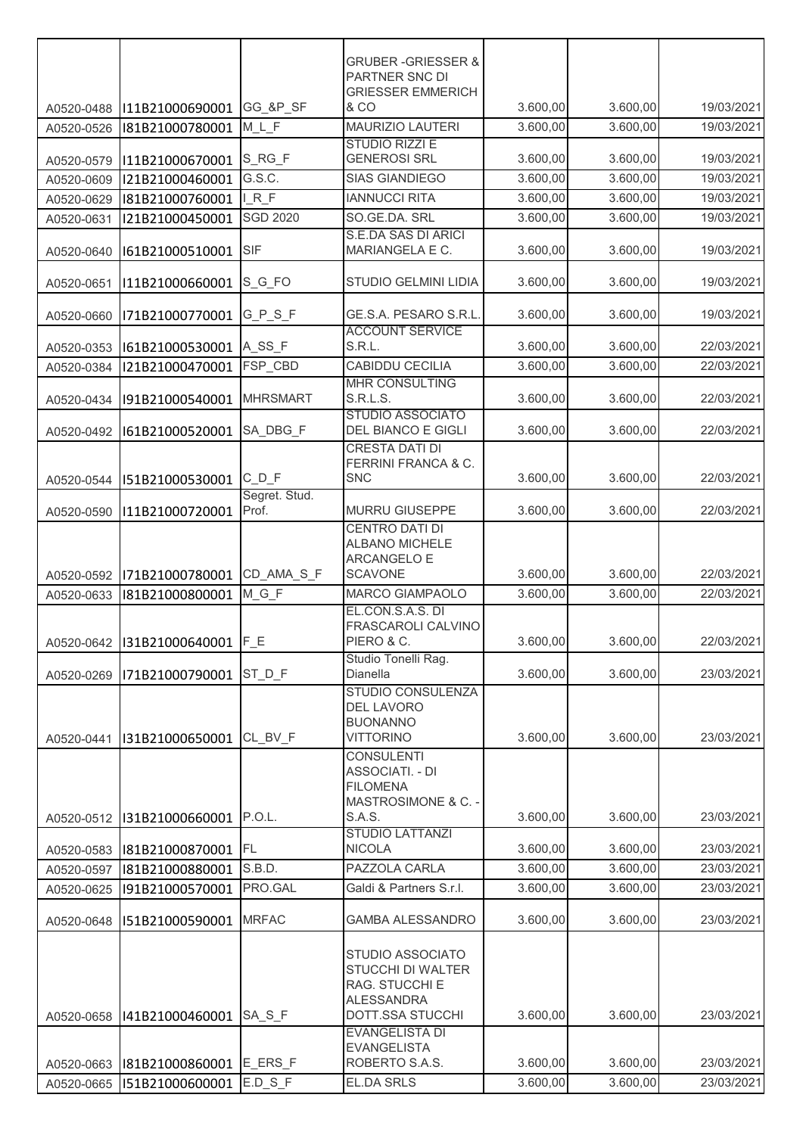|                          |                 |                        | <b>GRUBER-GRIESSER &amp;</b>                   |                      |                      |                          |
|--------------------------|-----------------|------------------------|------------------------------------------------|----------------------|----------------------|--------------------------|
|                          |                 |                        | PARTNER SNC DI                                 |                      |                      |                          |
|                          | I11B21000690001 | GG_&P_SF               | <b>GRIESSER EMMERICH</b><br><b>&amp; CO</b>    | 3.600,00             | 3.600,00             | 19/03/2021               |
| A0520-0488<br>A0520-0526 | I81B21000780001 | $M_L$ F                | <b>MAURIZIO LAUTERI</b>                        | 3.600,00             | 3.600,00             | 19/03/2021               |
|                          |                 |                        | <b>STUDIO RIZZI E</b>                          |                      |                      |                          |
| A0520-0579               | I11B21000670001 | $S_RG_F$               | <b>GENEROSI SRL</b>                            | 3.600,00             | 3.600,00             | 19/03/2021               |
| A0520-0609               | I21B21000460001 | G.S.C.                 | <b>SIAS GIANDIEGO</b>                          | 3.600,00             | 3.600,00             | 19/03/2021               |
| A0520-0629               | I81B21000760001 | IRF                    | <b>IANNUCCI RITA</b>                           | 3.600,00             | 3.600,00             | 19/03/2021               |
| A0520-0631               | I21B21000450001 | <b>SGD 2020</b>        | SO.GE.DA. SRL<br>S.E.DA SAS DI ARICI           | 3.600,00             | 3.600,00             | 19/03/2021               |
| A0520-0640               | I61B21000510001 | SIF                    | MARIANGELA E C.                                | 3.600,00             | 3.600,00             | 19/03/2021               |
| A0520-0651               | I11B21000660001 | S_G_FO                 | STUDIO GELMINI LIDIA                           | 3.600,00             | 3.600,00             | 19/03/2021               |
| A0520-0660               | I71B21000770001 | $G_P_S_F$              | GE.S.A. PESARO S.R.L<br><b>ACCOUNT SERVICE</b> | 3.600,00             | 3.600,00             | 19/03/2021               |
| A0520-0353               | I61B21000530001 | A_SS_F                 | S.R.L.                                         | 3.600,00             | 3.600,00             | 22/03/2021               |
| A0520-0384               | I21B21000470001 | FSP_CBD                | <b>CABIDDU CECILIA</b>                         | 3.600,00             | 3.600,00             | 22/03/2021               |
|                          |                 |                        | MHR CONSULTING                                 |                      |                      |                          |
| A0520-0434               | I91B21000540001 | <b>MHRSMART</b>        | S.R.L.S.<br><b>STUDIO ASSOCIATO</b>            | 3.600,00             | 3.600,00             | 22/03/2021               |
| A0520-0492               | I61B21000520001 | SA_DBG_F               | DEL BIANCO E GIGLI<br><b>CRESTA DATI DI</b>    | 3.600,00             | 3.600,00             | 22/03/2021               |
|                          |                 |                        | FERRINI FRANCA & C.                            |                      |                      |                          |
| A0520-0544               | I51B21000530001 | $C/D_F$                | <b>SNC</b>                                     | 3.600,00             | 3.600,00             | 22/03/2021               |
| A0520-0590               | I11B21000720001 | Segret. Stud.<br>Prof. | <b>MURRU GIUSEPPE</b>                          | 3.600,00             | 3.600,00             | 22/03/2021               |
|                          |                 |                        | <b>CENTRO DATI DI</b><br><b>ALBANO MICHELE</b> |                      |                      |                          |
|                          |                 |                        | ARCANGELO E                                    |                      |                      |                          |
| A0520-0592               | I71B21000780001 | CD_AMA_S_F<br>M_G_F    | <b>SCAVONE</b><br>MARCO GIAMPAOLO              | 3.600,00<br>3.600,00 | 3.600,00<br>3.600,00 | 22/03/2021<br>22/03/2021 |
| A0520-0633               | I81B21000800001 |                        | EL.CON.S.A.S. DI                               |                      |                      |                          |
|                          |                 |                        | FRASCAROLI CALVINO                             |                      |                      |                          |
| A0520-0642               | I31B21000640001 | $F_E$                  | PIERO & C.                                     | 3.600,00             | 3.600,00             | 22/03/2021               |
| A0520-0269               | I71B21000790001 | ST D F                 | Studio Tonelli Rag.<br>Dianella                | 3.600,00             | 3.600,00             | 23/03/2021               |
|                          |                 |                        | STUDIO CONSULENZA<br><b>DEL LAVORO</b>         |                      |                      |                          |
|                          |                 |                        | <b>BUONANNO</b>                                |                      |                      |                          |
| A0520-0441               | I31B21000650001 | CL BV F                | <b>VITTORINO</b><br><b>CONSULENTI</b>          | 3.600,00             | 3.600,00             | 23/03/2021               |
|                          |                 |                        | <b>ASSOCIATI. - DI</b>                         |                      |                      |                          |
|                          |                 |                        | <b>FILOMENA</b>                                |                      |                      |                          |
| A0520-0512               | I31B21000660001 | P.O.L.                 | MASTROSIMONE & C. -<br>S.A.S.                  | 3.600,00             | 3.600,00             | 23/03/2021               |
|                          |                 |                        | <b>STUDIO LATTANZI</b>                         |                      |                      |                          |
| A0520-0583               | I81B21000870001 | <b>FL</b>              | <b>NICOLA</b>                                  | 3.600,00             | 3.600,00             | 23/03/2021               |
| A0520-0597               | I81B21000880001 | S.B.D.                 | PAZZOLA CARLA                                  | 3.600,00             | 3.600,00             | 23/03/2021               |
| A0520-0625               | I91B21000570001 | PRO.GAL                | Galdi & Partners S.r.l.                        | 3.600,00             | 3.600,00             | 23/03/2021               |
| A0520-0648               | I51B21000590001 | <b>MRFAC</b>           | <b>GAMBA ALESSANDRO</b>                        | 3.600,00             | 3.600,00             | 23/03/2021               |
|                          |                 |                        | STUDIO ASSOCIATO                               |                      |                      |                          |
|                          |                 |                        | STUCCHI DI WALTER                              |                      |                      |                          |
|                          |                 |                        | RAG. STUCCHI E<br><b>ALESSANDRA</b>            |                      |                      |                          |
| A0520-0658               | I41B21000460001 | SA_S_F                 | DOTT.SSA STUCCHI                               | 3.600,00             | 3.600,00             | 23/03/2021               |
|                          |                 |                        | <b>EVANGELISTA DI</b>                          |                      |                      |                          |
| A0520-0663               | I81B21000860001 | E_ERS F                | <b>EVANGELISTA</b><br>ROBERTO S.A.S.           | 3.600,00             | 3.600,00             | 23/03/2021               |
| A0520-0665               | I51B21000600001 | E.D S F                | <b>EL.DA SRLS</b>                              | 3.600,00             | 3.600,00             | 23/03/2021               |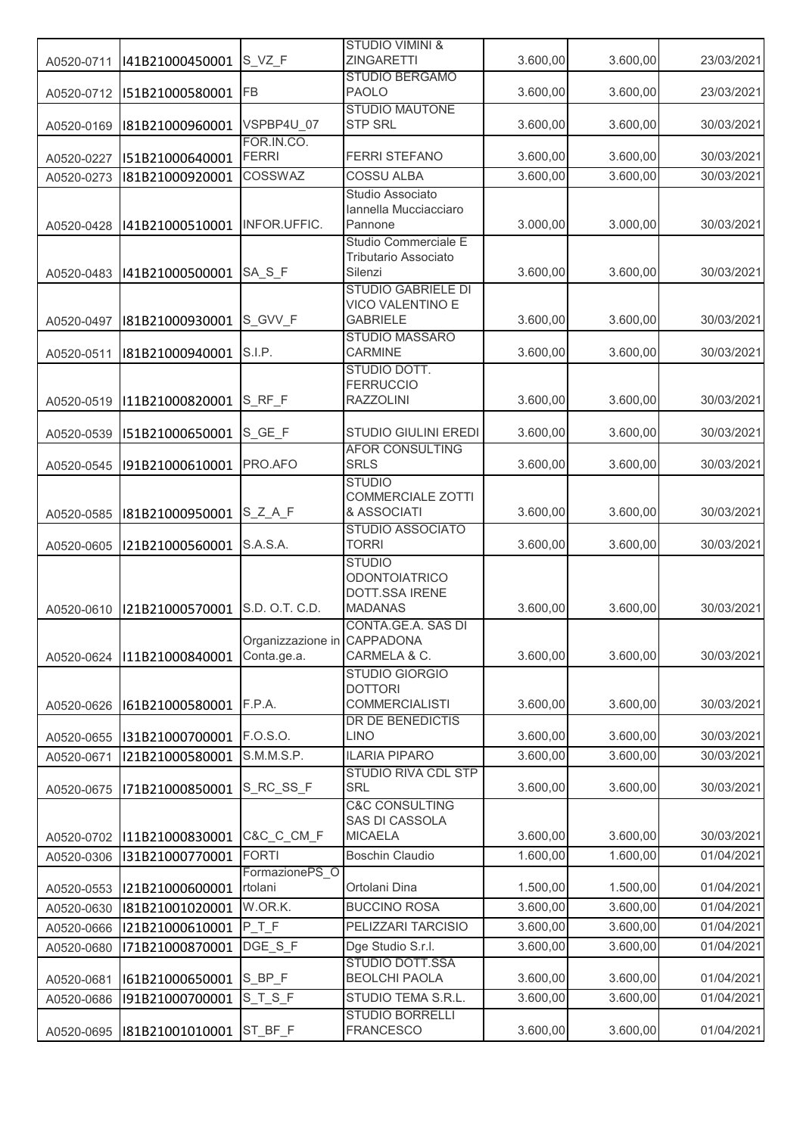|            |                 |                             | <b>STUDIO VIMINI &amp;</b><br><b>ZINGARETTI</b>      | 3.600,00 | 3.600,00 | 23/03/2021 |
|------------|-----------------|-----------------------------|------------------------------------------------------|----------|----------|------------|
| A0520-0711 | I41B21000450001 | S_VZ_F                      | <b>STUDIO BERGAMO</b>                                |          |          |            |
| A0520-0712 | I51B21000580001 | FB                          | <b>PAOLO</b>                                         | 3.600,00 | 3.600,00 | 23/03/2021 |
|            |                 |                             | <b>STUDIO MAUTONE</b>                                |          |          |            |
| A0520-0169 | I81B21000960001 | VSPBP4U 07<br>FOR.IN.CO.    | <b>STP SRL</b>                                       | 3.600,00 | 3.600,00 | 30/03/2021 |
| A0520-0227 | I51B21000640001 | <b>FERRI</b>                | <b>FERRI STEFANO</b>                                 | 3.600,00 | 3.600,00 | 30/03/2021 |
| A0520-0273 | I81B21000920001 | COSSWAZ                     | <b>COSSU ALBA</b>                                    | 3.600,00 | 3.600,00 | 30/03/2021 |
|            |                 |                             | Studio Associato                                     |          |          |            |
|            |                 | INFOR.UFFIC.                | Iannella Mucciacciaro<br>Pannone                     | 3.000,00 | 3.000,00 | 30/03/2021 |
| A0520-0428 | I41B21000510001 |                             | Studio Commerciale E                                 |          |          |            |
|            |                 |                             | Tributario Associato                                 |          |          |            |
| A0520-0483 | I41B21000500001 | SA_S_F                      | Silenzi                                              | 3.600,00 | 3.600,00 | 30/03/2021 |
|            |                 |                             | <b>STUDIO GABRIELE DI</b><br><b>VICO VALENTINO E</b> |          |          |            |
| A0520-0497 | I81B21000930001 | S GVV F                     | <b>GABRIELE</b>                                      | 3.600,00 | 3.600,00 | 30/03/2021 |
|            |                 |                             | <b>STUDIO MASSARO</b>                                |          |          |            |
| A0520-0511 | I81B21000940001 | S.I.P.                      | CARMINE                                              | 3.600,00 | 3.600,00 | 30/03/2021 |
|            |                 |                             | STUDIO DOTT.<br><b>FERRUCCIO</b>                     |          |          |            |
| A0520-0519 | I11B21000820001 | S RF F                      | <b>RAZZOLINI</b>                                     | 3.600,00 | 3.600,00 | 30/03/2021 |
|            |                 |                             |                                                      |          |          |            |
| A0520-0539 | I51B21000650001 | S GE F                      | STUDIO GIULINI EREDI                                 | 3.600,00 | 3.600,00 | 30/03/2021 |
| A0520-0545 | I91B21000610001 | PRO.AFO                     | <b>AFOR CONSULTING</b><br><b>SRLS</b>                | 3.600,00 | 3.600,00 | 30/03/2021 |
|            |                 |                             | <b>STUDIO</b>                                        |          |          |            |
|            |                 |                             | <b>COMMERCIALE ZOTTI</b>                             |          |          |            |
| A0520-0585 | I81B21000950001 | $S_Z A_F$                   | & ASSOCIATI                                          | 3.600,00 | 3.600,00 | 30/03/2021 |
| A0520-0605 | I21B21000560001 | S.A.S.A.                    | <b>STUDIO ASSOCIATO</b><br><b>TORRI</b>              | 3.600,00 | 3.600,00 | 30/03/2021 |
|            |                 |                             | <b>STUDIO</b>                                        |          |          |            |
|            |                 |                             | <b>ODONTOIATRICO</b>                                 |          |          |            |
|            |                 | S.D. O.T. C.D.              | DOTT.SSA IRENE                                       | 3.600,00 |          | 30/03/2021 |
| A0520-0610 | I21B21000570001 |                             | <b>MADANAS</b><br>CONTA.GE.A. SAS DI                 |          | 3.600,00 |            |
|            |                 | Organizzazione in CAPPADONA |                                                      |          |          |            |
| A0520-0624 | I11B21000840001 | Conta.ge.a.                 | CARMELA & C.                                         | 3.600,00 | 3.600,00 | 30/03/2021 |
|            |                 |                             | <b>STUDIO GIORGIO</b><br><b>DOTTORI</b>              |          |          |            |
| A0520-0626 | I61B21000580001 | F.P.A.                      | <b>COMMERCIALISTI</b>                                | 3.600,00 | 3.600,00 | 30/03/2021 |
|            |                 |                             | DR DE BENEDICTIS                                     |          |          |            |
| A0520-0655 | I31B21000700001 | F.O.S.O.                    | <b>LINO</b>                                          | 3.600,00 | 3.600,00 | 30/03/2021 |
| A0520-0671 | I21B21000580001 | S.M.M.S.P.                  | <b>ILARIA PIPARO</b>                                 | 3.600,00 | 3.600,00 | 30/03/2021 |
| A0520-0675 | I71B21000850001 | S RC SS F                   | <b>STUDIO RIVA CDL STP</b><br><b>SRL</b>             | 3.600,00 | 3.600,00 | 30/03/2021 |
|            |                 |                             | <b>C&amp;C CONSULTING</b>                            |          |          |            |
|            |                 |                             | SAS DI CASSOLA                                       |          |          |            |
| A0520-0702 | I11B21000830001 | C&C_C_CM_F                  | <b>MICAELA</b>                                       | 3.600,00 | 3.600,00 | 30/03/2021 |
| A0520-0306 | I31B21000770001 | <b>FORTI</b>                | <b>Boschin Claudio</b>                               | 1.600,00 | 1.600,00 | 01/04/2021 |
| A0520-0553 | I21B21000600001 | FormazionePS_O<br>rtolani   | Ortolani Dina                                        | 1.500,00 | 1.500,00 | 01/04/2021 |
| A0520-0630 | I81B21001020001 | W.OR.K.                     | <b>BUCCINO ROSA</b>                                  | 3.600,00 | 3.600,00 | 01/04/2021 |
| A0520-0666 | I21B21000610001 | PTF                         | PELIZZARI TARCISIO                                   | 3.600,00 | 3.600,00 | 01/04/2021 |
| A0520-0680 | I71B21000870001 | DGE_S_F                     | Dge Studio S.r.l.                                    | 3.600,00 | 3.600,00 | 01/04/2021 |
|            |                 |                             | STUDIO DOTT.SSA                                      |          |          |            |
| A0520-0681 | I61B21000650001 | S_BP_F                      | <b>BEOLCHI PAOLA</b>                                 | 3.600,00 | 3.600,00 | 01/04/2021 |
| A0520-0686 | I91B21000700001 | $S_T_S_F$                   | STUDIO TEMA S.R.L.                                   | 3.600,00 | 3.600,00 | 01/04/2021 |
| A0520-0695 | I81B21001010001 | ST_BF_F                     | <b>STUDIO BORRELLI</b><br><b>FRANCESCO</b>           | 3.600,00 | 3.600,00 | 01/04/2021 |
|            |                 |                             |                                                      |          |          |            |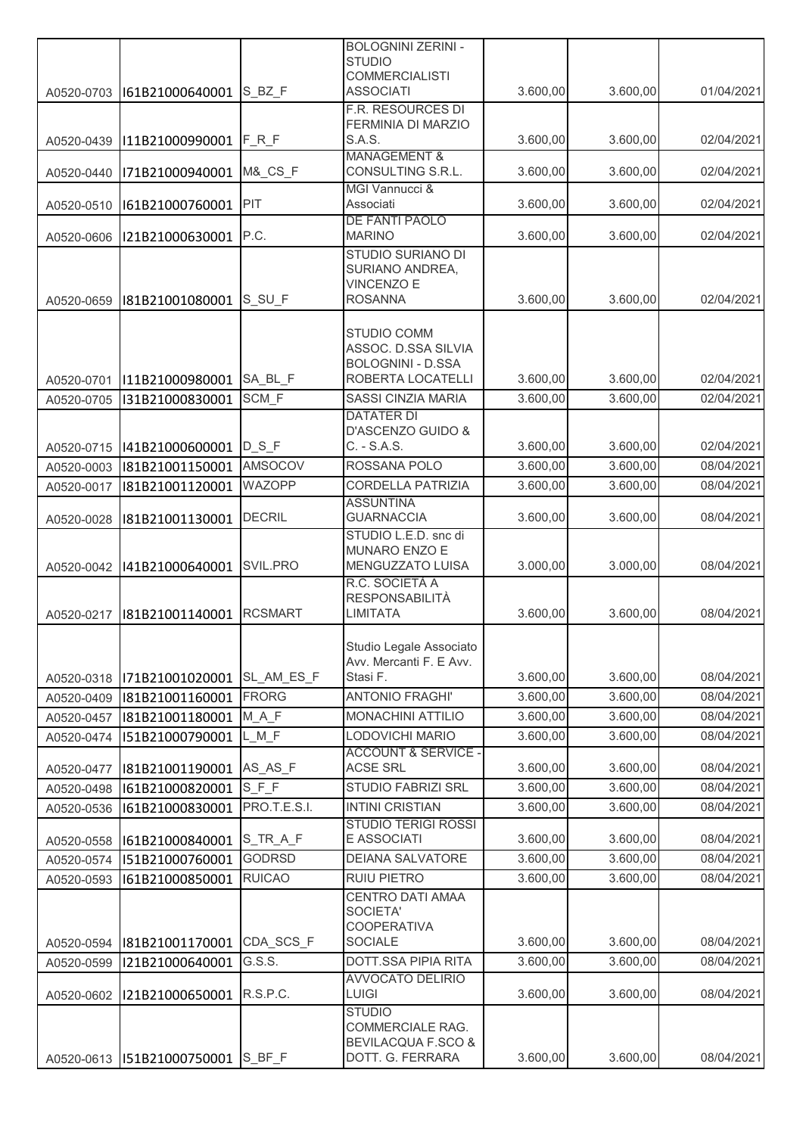|                          |                                    |                                   | <b>BOLOGNINI ZERINI -</b>                          |                      |          |                          |
|--------------------------|------------------------------------|-----------------------------------|----------------------------------------------------|----------------------|----------|--------------------------|
|                          |                                    |                                   | <b>STUDIO</b><br><b>COMMERCIALISTI</b>             |                      |          |                          |
| A0520-0703               | I61B21000640001                    | S BZ F                            | <b>ASSOCIATI</b>                                   | 3.600,00             | 3.600,00 | 01/04/2021               |
|                          |                                    |                                   | F.R. RESOURCES DI                                  |                      |          |                          |
|                          |                                    |                                   | FERMINIA DI MARZIO                                 |                      |          |                          |
| A0520-0439               | I11B21000990001                    | $F_R_F$                           | S.A.S.<br><b>MANAGEMENT &amp;</b>                  | 3.600,00             | 3.600,00 | 02/04/2021               |
| A0520-0440               | I71B21000940001                    | <b>M&amp;_CS_F</b>                | CONSULTING S.R.L.                                  | 3.600,00             | 3.600,00 | 02/04/2021               |
|                          |                                    |                                   | MGI Vannucci &                                     |                      |          |                          |
| A0520-0510               | I61B21000760001                    | PIT                               | Associati                                          | 3.600,00             | 3.600,00 | 02/04/2021               |
| A0520-0606               | I21B21000630001                    | P.C.                              | DE FANTI PAOLO<br><b>MARINO</b>                    | 3.600,00             | 3.600,00 | 02/04/2021               |
|                          |                                    |                                   | <b>STUDIO SURIANO DI</b>                           |                      |          |                          |
|                          |                                    |                                   | SURIANO ANDREA,                                    |                      |          |                          |
|                          |                                    |                                   | <b>VINCENZO E</b><br><b>ROSANNA</b>                | 3.600,00             | 3.600,00 | 02/04/2021               |
| A0520-0659               | I81B21001080001                    | S_SU_F                            |                                                    |                      |          |                          |
|                          |                                    |                                   | <b>STUDIO COMM</b>                                 |                      |          |                          |
|                          |                                    |                                   | ASSOC. D.SSA SILVIA                                |                      |          |                          |
|                          | I11B21000980001                    | SA BL F                           | <b>BOLOGNINI - D.SSA</b><br>ROBERTA LOCATELLI      | 3.600,00             | 3.600,00 | 02/04/2021               |
| A0520-0701<br>A0520-0705 | I31B21000830001                    | SCM F                             | <b>SASSI CINZIA MARIA</b>                          | 3.600,00             | 3.600,00 | 02/04/2021               |
|                          |                                    |                                   | <b>DATATER DI</b>                                  |                      |          |                          |
|                          |                                    |                                   | D'ASCENZO GUIDO &                                  |                      |          |                          |
| A0520-0715               | 141B21000600001                    | $D_S_F$                           | C. - S.A.S.                                        | 3.600,00             | 3.600,00 | 02/04/2021               |
| A0520-0003               | I81B21001150001                    | AMSOCOV                           | ROSSANA POLO                                       | 3.600,00             | 3.600,00 | 08/04/2021               |
| A0520-0017               | I81B21001120001                    | WAZOPP                            | <b>CORDELLA PATRIZIA</b>                           | 3.600,00             | 3.600,00 | 08/04/2021               |
| A0520-0028               | I81B21001130001                    | <b>DECRIL</b>                     | <b>ASSUNTINA</b><br><b>GUARNACCIA</b>              | 3.600,00             | 3.600,00 | 08/04/2021               |
|                          |                                    |                                   | STUDIO L.E.D. snc di                               |                      |          |                          |
|                          |                                    |                                   | MUNARO ENZO E                                      |                      |          |                          |
| A0520-0042               | I41B21000640001                    | SVIL.PRO                          | MENGUZZATO LUISA<br>R.C. SOCIETÀ A                 | 3.000,00             | 3.000,00 | 08/04/2021               |
|                          |                                    |                                   | RESPONSABILITÀ                                     |                      |          |                          |
| A0520-0217               | I81B21001140001                    | <b>RCSMART</b>                    | LIMITATA                                           | 3.600,00             | 3.600,00 | 08/04/2021               |
|                          |                                    |                                   |                                                    |                      |          |                          |
|                          |                                    |                                   | Studio Legale Associato<br>Avv. Mercanti F. E Avv. |                      |          |                          |
| A0520-0318               | I71B21001020001                    | SL AM ES F                        | Stasi F.                                           | 3.600,00             | 3.600,00 | 08/04/2021               |
| A0520-0409               | I81B21001160001                    | <b>FRORG</b>                      | <b>ANTONIO FRAGHI'</b>                             | 3.600,00             | 3.600,00 | 08/04/2021               |
| A0520-0457               | I81B21001180001                    | M A F                             | MONACHINI ATTILIO                                  | 3.600,00             | 3.600,00 | 08/04/2021               |
| A0520-0474               | I51B21000790001                    | $L$ <sub><math>M</math></sub> $F$ | LODOVICHI MARIO                                    | 3.600,00             | 3.600,00 | 08/04/2021               |
|                          |                                    |                                   | <b>ACCOUNT &amp; SERVICE -</b><br><b>ACSE SRL</b>  |                      | 3.600,00 |                          |
| A0520-0477<br>A0520-0498 | I81B21001190001<br>I61B21000820001 | AS_AS_F<br>$S_F_F$                | <b>STUDIO FABRIZI SRL</b>                          | 3.600,00<br>3.600,00 | 3.600,00 | 08/04/2021<br>08/04/2021 |
| A0520-0536               | I61B21000830001                    | PRO.T.E.S.I.                      | <b>INTINI CRISTIAN</b>                             | 3.600,00             | 3.600,00 | 08/04/2021               |
|                          |                                    |                                   | <b>STUDIO TERIGI ROSSI</b>                         |                      |          |                          |
| A0520-0558               | I61B21000840001                    | S_TR_A_F                          | E ASSOCIATI                                        | 3.600,00             | 3.600,00 | 08/04/2021               |
| A0520-0574               | I51B21000760001                    | <b>GODRSD</b>                     | DEIANA SALVATORE                                   | 3.600,00             | 3.600,00 | 08/04/2021               |
| A0520-0593               | I61B21000850001                    | <b>RUICAO</b>                     | <b>RUIU PIETRO</b>                                 | 3.600,00             | 3.600,00 | 08/04/2021               |
|                          |                                    |                                   | CENTRO DATI AMAA                                   |                      |          |                          |
|                          |                                    |                                   | SOCIETA'<br><b>COOPERATIVA</b>                     |                      |          |                          |
| A0520-0594               | I81B21001170001                    | CDA_SCS_F                         | <b>SOCIALE</b>                                     | 3.600,00             | 3.600,00 | 08/04/2021               |
| A0520-0599               | I21B21000640001                    | G.S.S.                            | DOTT.SSA PIPIA RITA                                | 3.600,00             | 3.600,00 | 08/04/2021               |
|                          |                                    |                                   | <b>AVVOCATO DELIRIO</b>                            |                      |          |                          |
| A0520-0602               | I21B21000650001                    | R.S.P.C.                          | LUIGI                                              | 3.600,00             | 3.600,00 | 08/04/2021               |
|                          |                                    |                                   | <b>STUDIO</b><br>COMMERCIALE RAG.                  |                      |          |                          |
|                          |                                    |                                   | <b>BEVILACQUA F.SCO &amp;</b>                      |                      |          |                          |
|                          | A0520-0613   151B21000750001       | $S$ <sub>_BF_F</sub>              | DOTT. G. FERRARA                                   | 3.600,00             | 3.600,00 | 08/04/2021               |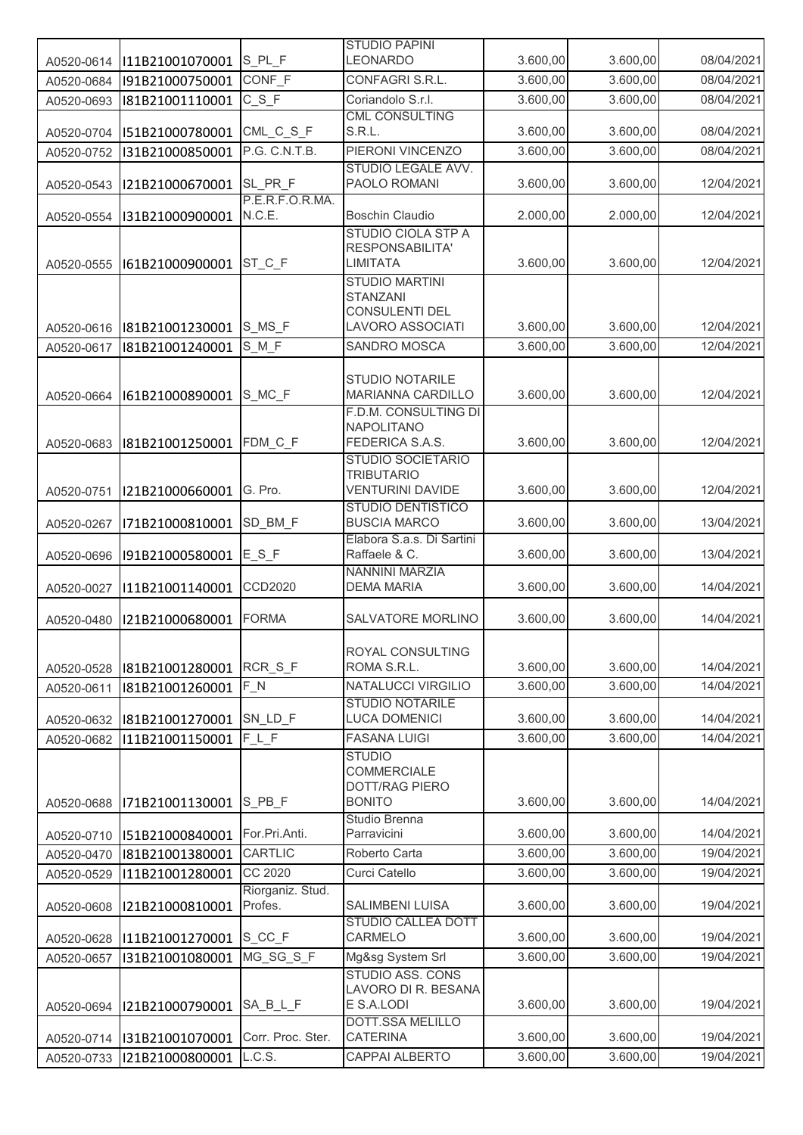|                          |                                    |                             | <b>STUDIO PAPINI</b><br><b>LEONARDO</b>         |                      |                      |                          |
|--------------------------|------------------------------------|-----------------------------|-------------------------------------------------|----------------------|----------------------|--------------------------|
| A0520-0614               | I11B21001070001                    | S PL F<br>CONF F            | CONFAGRI S.R.L.                                 | 3.600,00<br>3.600,00 | 3.600,00<br>3.600,00 | 08/04/2021<br>08/04/2021 |
| A0520-0684<br>A0520-0693 | I91B21000750001<br>I81B21001110001 | $C_S_F$                     | Coriandolo S.r.l.                               | 3.600,00             | 3.600,00             | 08/04/2021               |
|                          |                                    |                             | <b>CML CONSULTING</b>                           |                      |                      |                          |
| A0520-0704               | I51B21000780001                    | CML_C_S_F                   | S.R.L.                                          | 3.600,00             | 3.600,00             | 08/04/2021               |
| A0520-0752               | I31B21000850001                    | P.G. C.N.T.B.               | PIERONI VINCENZO                                | 3.600,00             | 3.600,00             | 08/04/2021               |
| A0520-0543               | I21B21000670001                    | SL_PR_F                     | STUDIO LEGALE AVV.<br>PAOLO ROMANI              | 3.600,00             | 3.600,00             | 12/04/2021               |
| A0520-0554               | I31B21000900001                    | P.E.R.F.O.R.MA.<br>N.C.E.   | <b>Boschin Claudio</b>                          | 2.000,00             | 2.000,00             | 12/04/2021               |
|                          |                                    |                             | <b>STUDIO CIOLA STP A</b>                       |                      |                      |                          |
|                          |                                    |                             | RESPONSABILITA'                                 |                      |                      |                          |
| A0520-0555               | I61B21000900001                    | ST_C_F                      | <b>LIMITATA</b>                                 | 3.600,00             | 3.600,00             | 12/04/2021               |
|                          |                                    |                             | <b>STUDIO MARTINI</b><br><b>STANZANI</b>        |                      |                      |                          |
|                          |                                    |                             | CONSULENTI DEL                                  |                      |                      |                          |
| A0520-0616               | I81B21001230001                    | S_MS_F                      | <b>LAVORO ASSOCIATI</b>                         | 3.600,00             | 3.600,00             | 12/04/2021               |
| A0520-0617               | I81B21001240001                    | $S_M F$                     | <b>SANDRO MOSCA</b>                             | 3.600,00             | 3.600,00             | 12/04/2021               |
|                          |                                    |                             | <b>STUDIO NOTARILE</b>                          |                      |                      |                          |
| A0520-0664               | I61B21000890001                    | S_MC_F                      | MARIANNA CARDILLO                               | 3.600,00             | 3.600,00             | 12/04/2021               |
|                          |                                    |                             | F.D.M. CONSULTING DI                            |                      |                      |                          |
|                          |                                    |                             | <b>NAPOLITANO</b>                               |                      |                      | 12/04/2021               |
| A0520-0683               | I81B21001250001                    | FDM_C_F                     | FEDERICA S.A.S.<br><b>STUDIO SOCIETARIO</b>     | 3.600,00             | 3.600,00             |                          |
|                          |                                    |                             | <b>TRIBUTARIO</b>                               |                      |                      |                          |
| A0520-0751               | I21B21000660001                    | G. Pro.                     | <b>VENTURINI DAVIDE</b>                         | 3.600,00             | 3.600,00             | 12/04/2021               |
|                          |                                    |                             | <b>STUDIO DENTISTICO</b><br><b>BUSCIA MARCO</b> | 3.600,00             | 3.600,00             | 13/04/2021               |
| A0520-0267               | I71B21000810001                    | SD_BM_F                     | Elabora S.a.s. Di Sartini                       |                      |                      |                          |
| A0520-0696               | I91B21000580001                    | $E_S_F$                     | Raffaele & C.                                   | 3.600,00             | 3.600,00             | 13/04/2021               |
|                          |                                    |                             | NANNINI MARZIA                                  |                      |                      |                          |
| A0520-0027               | I11B21001140001                    | CCD2020                     | <b>DEMA MARIA</b>                               | 3.600,00             | 3.600,00             | 14/04/2021               |
| A0520-0480               | I21B21000680001                    | <b>FORMA</b>                | SALVATORE MORLINO                               | 3.600,00             | 3.600,00             | 14/04/2021               |
|                          |                                    |                             |                                                 |                      |                      |                          |
|                          |                                    |                             | ROYAL CONSULTING                                |                      |                      |                          |
| A0520-0528               | I81B21001280001                    | RCR S F                     | ROMA S.R.L.                                     | 3.600,00             | 3.600,00             | 14/04/2021               |
| A0520-0611               | I81B21001260001                    | $F_N$                       | NATALUCCI VIRGILIO<br><b>STUDIO NOTARILE</b>    | 3.600,00             | 3.600,00             | 14/04/2021               |
| A0520-0632               | I81B21001270001                    | SN_LD_F                     | <b>LUCA DOMENICI</b>                            | 3.600,00             | 3.600,00             | 14/04/2021               |
| A0520-0682               | I11B21001150001                    | $F_L$ $F$                   | <b>FASANA LUIGI</b>                             | 3.600,00             | 3.600,00             | 14/04/2021               |
|                          |                                    |                             | <b>STUDIO</b>                                   |                      |                      |                          |
|                          |                                    |                             | COMMERCIALE                                     |                      |                      |                          |
| A0520-0688               | I71B21001130001                    | S_PB_F                      | DOTT/RAG PIERO<br><b>BONITO</b>                 | 3.600,00             | 3.600,00             | 14/04/2021               |
|                          |                                    |                             | Studio Brenna                                   |                      |                      |                          |
| A0520-0710               | I51B21000840001                    | For.Pri.Anti.               | Parravicini                                     | 3.600,00             | 3.600,00             | 14/04/2021               |
| A0520-0470               | I81B21001380001                    | CARTLIC                     | Roberto Carta                                   | 3.600,00             | 3.600,00             | 19/04/2021               |
| A0520-0529               | I11B21001280001                    | CC 2020                     | Curci Catello                                   | 3.600,00             | 3.600,00             | 19/04/2021               |
| A0520-0608               | I21B21000810001                    | Riorganiz. Stud.<br>Profes. | SALIMBENI LUISA                                 | 3.600,00             | 3.600,00             | 19/04/2021               |
|                          |                                    |                             | STUDIO CALLEA DOTT                              |                      |                      |                          |
| A0520-0628               | I11B21001270001                    | S_CC_F                      | CARMELO                                         | 3.600,00             | 3.600,00             | 19/04/2021               |
| A0520-0657               | I31B21001080001                    | MG SG S F                   | Mg&sg System Srl                                | 3.600,00             | 3.600,00             | 19/04/2021               |
|                          |                                    |                             | STUDIO ASS. CONS<br>LAVORO DI R. BESANA         |                      |                      |                          |
| A0520-0694               | I21B21000790001                    | SA_B_L_F                    | E S.A.LODI                                      | 3.600,00             | 3.600,00             | 19/04/2021               |
|                          |                                    |                             | DOTT.SSA MELILLO                                |                      |                      |                          |
| A0520-0714               | I31B21001070001                    | Corr. Proc. Ster.           | <b>CATERINA</b>                                 | 3.600,00             | 3.600,00             | 19/04/2021               |
| A0520-0733               | I21B21000800001                    | L.C.S.                      | CAPPAI ALBERTO                                  | 3.600,00             | 3.600,00             | 19/04/2021               |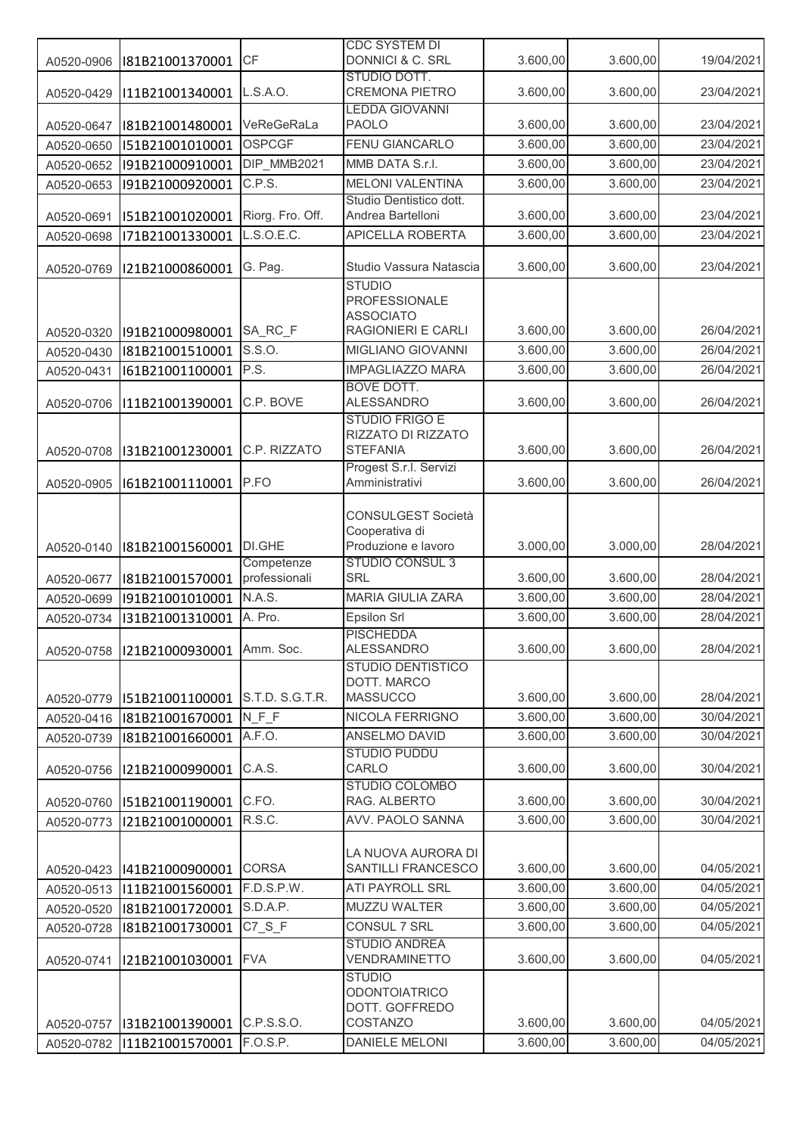|            |                 | CF                          | <b>CDC SYSTEM DI</b><br>DONNICI & C. SRL                                                     | 3.600,00 | 3.600,00 | 19/04/2021 |
|------------|-----------------|-----------------------------|----------------------------------------------------------------------------------------------|----------|----------|------------|
| A0520-0906 | I81B21001370001 |                             | STUDIO DOTT.                                                                                 |          |          |            |
| A0520-0429 | I11B21001340001 | L.S.A.O.                    | <b>CREMONA PIETRO</b><br><b>LEDDA GIOVANNI</b>                                               | 3.600,00 | 3.600,00 | 23/04/2021 |
| A0520-0647 | I81B21001480001 | VeReGeRaLa                  | <b>PAOLO</b>                                                                                 | 3.600,00 | 3.600,00 | 23/04/2021 |
| A0520-0650 | I51B21001010001 | <b>OSPCGF</b>               | <b>FENU GIANCARLO</b>                                                                        | 3.600,00 | 3.600,00 | 23/04/2021 |
| A0520-0652 | I91B21000910001 | DIP_MMB2021                 | MMB DATA S.r.l.                                                                              | 3.600,00 | 3.600,00 | 23/04/2021 |
| A0520-0653 | I91B21000920001 | C.P.S.                      | <b>MELONI VALENTINA</b>                                                                      | 3.600,00 | 3.600,00 | 23/04/2021 |
|            |                 |                             | Studio Dentistico dott.                                                                      |          |          |            |
| A0520-0691 | I51B21001020001 | Riorg. Fro. Off.            | Andrea Bartelloni                                                                            | 3.600,00 | 3.600,00 | 23/04/2021 |
| A0520-0698 | I71B21001330001 | L.S.O.E.C.                  | <b>APICELLA ROBERTA</b>                                                                      | 3.600,00 | 3.600,00 | 23/04/2021 |
| A0520-0769 | I21B21000860001 | G. Pag.                     | Studio Vassura Natascia                                                                      | 3.600,00 | 3.600,00 | 23/04/2021 |
| A0520-0320 | I91B21000980001 | SA_RC_F                     | <b>STUDIO</b><br><b>PROFESSIONALE</b><br><b>ASSOCIATO</b><br>RAGIONIERI E CARLI              | 3.600,00 | 3.600,00 | 26/04/2021 |
| A0520-0430 | I81B21001510001 | S.S.O.                      | MIGLIANO GIOVANNI                                                                            | 3.600,00 | 3.600,00 | 26/04/2021 |
| A0520-0431 | I61B21001100001 | P.S.                        | <b>IMPAGLIAZZO MARA</b>                                                                      | 3.600,00 | 3.600,00 | 26/04/2021 |
| A0520-0706 | I11B21001390001 | C.P. BOVE                   | <b>BOVE DOTT.</b><br><b>ALESSANDRO</b>                                                       | 3.600,00 | 3.600,00 | 26/04/2021 |
|            |                 |                             | <b>STUDIO FRIGO E</b><br>RIZZATO DI RIZZATO                                                  |          |          |            |
| A0520-0708 | I31B21001230001 | C.P. RIZZATO                | <b>STEFANIA</b>                                                                              | 3.600,00 | 3.600,00 | 26/04/2021 |
|            |                 |                             | Progest S.r.l. Servizi                                                                       |          |          |            |
| A0520-0905 | I61B21001110001 | P.FO                        | Amministrativi                                                                               | 3.600,00 | 3.600,00 | 26/04/2021 |
| A0520-0140 | I81B21001560001 | <b>DI.GHE</b><br>Competenze | <b>CONSULGEST Società</b><br>Cooperativa di<br>Produzione e lavoro<br><b>STUDIO CONSUL 3</b> | 3.000,00 | 3.000,00 | 28/04/2021 |
| A0520-0677 | I81B21001570001 | professionali               | SRL                                                                                          | 3.600,00 | 3.600,00 | 28/04/2021 |
| A0520-0699 | I91B21001010001 | N.A.S.                      | MARIA GIULIA ZARA                                                                            | 3.600,00 | 3.600,00 | 28/04/2021 |
| A0520-0734 | I31B21001310001 | A. Pro.                     | Epsilon Srl                                                                                  | 3.600,00 | 3.600,00 | 28/04/2021 |
| A0520-0758 | I21B21000930001 | Amm. Soc.                   | <b>PISCHEDDA</b><br><b>ALESSANDRO</b>                                                        | 3.600,00 | 3.600,00 | 28/04/2021 |
| A0520-0779 | I51B21001100001 | S.T.D. S.G.T.R.             | <b>STUDIO DENTISTICO</b><br>DOTT. MARCO<br><b>MASSUCCO</b>                                   | 3.600,00 | 3.600,00 | 28/04/2021 |
| A0520-0416 | I81B21001670001 | N F F                       | NICOLA FERRIGNO                                                                              | 3.600,00 | 3.600,00 | 30/04/2021 |
| A0520-0739 | I81B21001660001 | A.F.O.                      | ANSELMO DAVID                                                                                | 3.600,00 | 3.600,00 | 30/04/2021 |
|            |                 |                             | <b>STUDIO PUDDU</b>                                                                          |          |          |            |
| A0520-0756 | I21B21000990001 | C.A.S.                      | CARLO<br><b>STUDIO COLOMBO</b>                                                               | 3.600,00 | 3.600,00 | 30/04/2021 |
| A0520-0760 | I51B21001190001 | C.FO.                       | RAG. ALBERTO                                                                                 | 3.600,00 | 3.600,00 | 30/04/2021 |
| A0520-0773 | I21B21001000001 | R.S.C.                      | AVV. PAOLO SANNA                                                                             | 3.600,00 | 3.600,00 | 30/04/2021 |
|            |                 |                             |                                                                                              |          |          |            |
|            |                 |                             | LA NUOVA AURORA DI                                                                           |          |          |            |
| A0520-0423 | I41B21000900001 | <b>CORSA</b>                | SANTILLI FRANCESCO                                                                           | 3.600,00 | 3.600,00 | 04/05/2021 |
| A0520-0513 | I11B21001560001 | F.D.S.P.W.                  | ATI PAYROLL SRL                                                                              | 3.600,00 | 3.600,00 | 04/05/2021 |
| A0520-0520 | I81B21001720001 | S.D.A.P.                    | MUZZU WALTER                                                                                 | 3.600,00 | 3.600,00 | 04/05/2021 |
| A0520-0728 | I81B21001730001 | $C7_S_F$                    | CONSUL 7 SRL<br><b>STUDIO ANDREA</b>                                                         | 3.600,00 | 3.600,00 | 04/05/2021 |
| A0520-0741 | I21B21001030001 | <b>FVA</b>                  | VENDRAMINETTO                                                                                | 3.600,00 | 3.600,00 | 04/05/2021 |
|            |                 |                             | <b>STUDIO</b><br><b>ODONTOIATRICO</b>                                                        |          |          |            |
|            |                 |                             | DOTT. GOFFREDO                                                                               |          |          |            |
| A0520-0757 | I31B21001390001 | C.P.S.S.O.                  | COSTANZO                                                                                     | 3.600,00 | 3.600,00 | 04/05/2021 |
| A0520-0782 | I11B21001570001 | F.O.S.P.                    | <b>DANIELE MELONI</b>                                                                        | 3.600,00 | 3.600,00 | 04/05/2021 |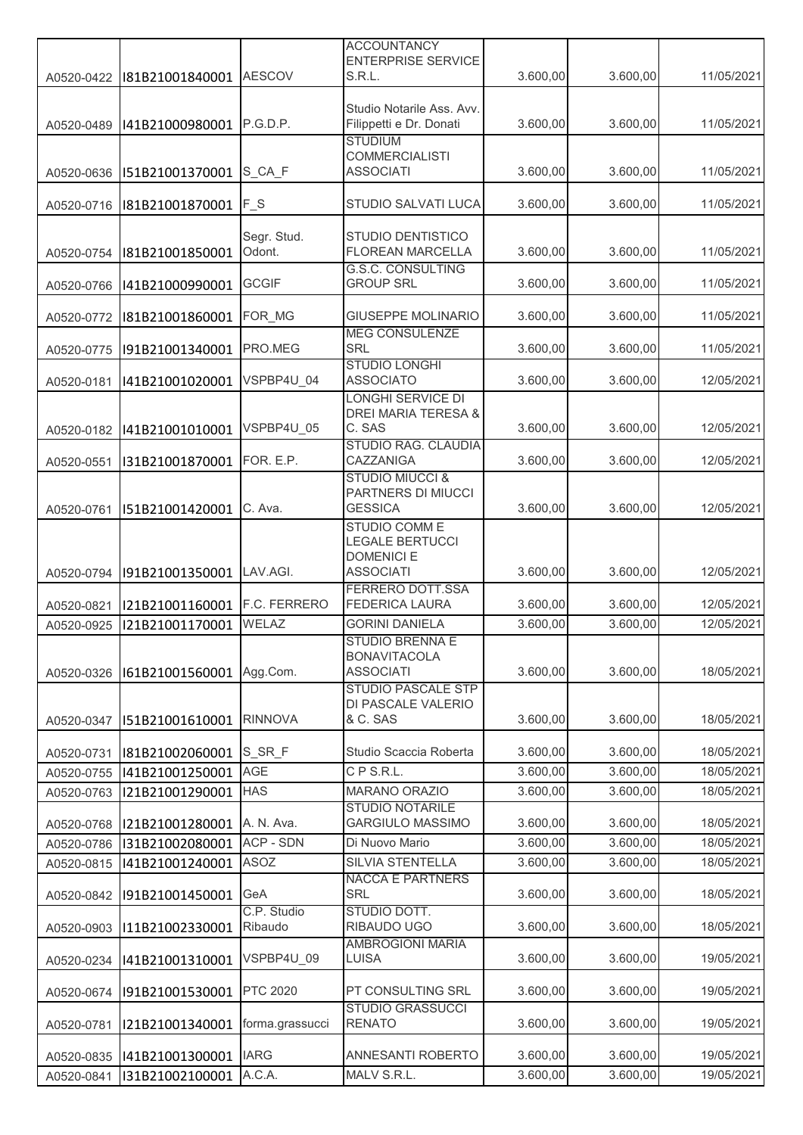|            |                 |                 | <b>ACCOUNTANCY</b>                    |          |          |            |
|------------|-----------------|-----------------|---------------------------------------|----------|----------|------------|
|            |                 |                 | <b>ENTERPRISE SERVICE</b>             |          |          |            |
| A0520-0422 | I81B21001840001 | <b>AESCOV</b>   | S.R.L.                                | 3.600,00 | 3.600,00 | 11/05/2021 |
|            |                 |                 | Studio Notarile Ass. Avv.             |          |          |            |
| A0520-0489 | I41B21000980001 | P.G.D.P.        | Filippetti e Dr. Donati               | 3.600,00 | 3.600,00 | 11/05/2021 |
|            |                 |                 | <b>STUDIUM</b>                        |          |          |            |
|            |                 |                 | <b>COMMERCIALISTI</b>                 |          |          |            |
| A0520-0636 | I51B21001370001 | S_CA_F          | <b>ASSOCIATI</b>                      | 3.600,00 | 3.600,00 | 11/05/2021 |
| A0520-0716 | I81B21001870001 | $F_S$           | STUDIO SALVATI LUCA                   | 3.600,00 | 3.600,00 | 11/05/2021 |
|            |                 |                 |                                       |          |          |            |
|            |                 | Segr. Stud.     | STUDIO DENTISTICO                     |          |          |            |
| A0520-0754 | I81B21001850001 | Odont.          | <b>FLOREAN MARCELLA</b>               | 3.600,00 | 3.600,00 | 11/05/2021 |
|            |                 |                 | <b>G.S.C. CONSULTING</b>              |          |          |            |
| A0520-0766 | I41B21000990001 | <b>GCGIF</b>    | <b>GROUP SRL</b>                      | 3.600,00 | 3.600,00 | 11/05/2021 |
|            | I81B21001860001 | FOR_MG          | GIUSEPPE MOLINARIO                    | 3.600,00 | 3.600,00 | 11/05/2021 |
| A0520-0772 |                 |                 | <b>MEG CONSULENZE</b>                 |          |          |            |
| A0520-0775 | I91B21001340001 | PRO.MEG         | SRL                                   | 3.600,00 | 3.600,00 | 11/05/2021 |
|            |                 |                 | <b>STUDIO LONGHI</b>                  |          |          |            |
| A0520-0181 | I41B21001020001 | VSPBP4U 04      | <b>ASSOCIATO</b>                      | 3.600,00 | 3.600,00 | 12/05/2021 |
|            |                 |                 | <b>LONGHI SERVICE DI</b>              |          |          |            |
|            |                 |                 | DREI MARIA TERESA &<br>C. SAS         |          |          |            |
| A0520-0182 | I41B21001010001 | VSPBP4U 05      | STUDIO RAG. CLAUDIA                   | 3.600,00 | 3.600,00 | 12/05/2021 |
| A0520-0551 | I31B21001870001 | FOR. E.P.       | CAZZANIGA                             | 3.600,00 | 3.600,00 | 12/05/2021 |
|            |                 |                 | <b>STUDIO MIUCCI &amp;</b>            |          |          |            |
|            |                 |                 | PARTNERS DI MIUCCI                    |          |          |            |
| A0520-0761 | I51B21001420001 | C. Ava.         | <b>GESSICA</b>                        | 3.600,00 | 3.600,00 | 12/05/2021 |
|            |                 |                 | <b>STUDIO COMME</b>                   |          |          |            |
|            |                 |                 | <b>LEGALE BERTUCCI</b>                |          |          |            |
| A0520-0794 | I91B21001350001 | LAV.AGI.        | <b>DOMENICI E</b><br><b>ASSOCIATI</b> | 3.600,00 | 3.600,00 | 12/05/2021 |
|            |                 |                 | <b>FERRERO DOTT.SSA</b>               |          |          |            |
| A0520-0821 | I21B21001160001 | F.C. FERRERO    | <b>FEDERICA LAURA</b>                 | 3.600,00 | 3.600,00 | 12/05/2021 |
| A0520-0925 | I21B21001170001 | WELAZ           | <b>GORINI DANIELA</b>                 | 3.600,00 | 3.600,00 | 12/05/2021 |
|            |                 |                 | STUDIO BRENNA E                       |          |          |            |
|            |                 |                 | <b>BONAVITACOLA</b>                   |          |          |            |
| A0520-0326 | I61B21001560001 | Agg.Com.        | <b>ASSOCIATI</b>                      | 3.600,00 | 3.600,00 | 18/05/2021 |
|            |                 |                 | <b>STUDIO PASCALE STP</b>             |          |          |            |
| A0520-0347 | I51B21001610001 | <b>RINNOVA</b>  | DI PASCALE VALERIO<br>& C. SAS        | 3.600,00 | 3.600,00 | 18/05/2021 |
|            |                 |                 |                                       |          |          |            |
| A0520-0731 | I81B21002060001 | S_SR_F          | Studio Scaccia Roberta                | 3.600,00 | 3.600,00 | 18/05/2021 |
| A0520-0755 | I41B21001250001 | AGE             | CPS.R.L.                              | 3.600,00 | 3.600,00 | 18/05/2021 |
| A0520-0763 | I21B21001290001 | <b>HAS</b>      | MARANO ORAZIO                         | 3.600,00 | 3.600,00 | 18/05/2021 |
|            |                 |                 | <b>STUDIO NOTARILE</b>                |          |          |            |
| A0520-0768 | I21B21001280001 | A. N. Ava.      | <b>GARGIULO MASSIMO</b>               | 3.600,00 | 3.600,00 | 18/05/2021 |
| A0520-0786 | I31B21002080001 | ACP - SDN       | Di Nuovo Mario                        | 3.600,00 | 3.600,00 | 18/05/2021 |
| A0520-0815 | I41B21001240001 | <b>ASOZ</b>     | SILVIA STENTELLA                      | 3.600,00 | 3.600,00 | 18/05/2021 |
|            |                 |                 | <b>NACCA E PARTNERS</b>               |          |          |            |
| A0520-0842 | I91B21001450001 | GeA             | SRL                                   | 3.600,00 | 3.600,00 | 18/05/2021 |
|            |                 | C.P. Studio     | STUDIO DOTT.<br>RIBAUDO UGO           |          |          |            |
| A0520-0903 | I11B21002330001 | Ribaudo         | <b>AMBROGIONI MARIA</b>               | 3.600,00 | 3.600,00 | 18/05/2021 |
| A0520-0234 | I41B21001310001 | VSPBP4U_09      | LUISA                                 | 3.600,00 | 3.600,00 | 19/05/2021 |
|            |                 |                 |                                       |          |          |            |
| A0520-0674 | I91B21001530001 | <b>PTC 2020</b> | PT CONSULTING SRL                     | 3.600,00 | 3.600,00 | 19/05/2021 |
|            |                 |                 | <b>STUDIO GRASSUCCI</b>               |          |          |            |
| A0520-0781 | I21B21001340001 | forma.grassucci | <b>RENATO</b>                         | 3.600,00 | 3.600,00 | 19/05/2021 |
|            | I41B21001300001 | <b>IARG</b>     | ANNESANTI ROBERTO                     | 3.600,00 | 3.600,00 | 19/05/2021 |
| A0520-0835 |                 | A.C.A.          | MALV S.R.L.                           | 3.600,00 | 3.600,00 | 19/05/2021 |
| A0520-0841 | I31B21002100001 |                 |                                       |          |          |            |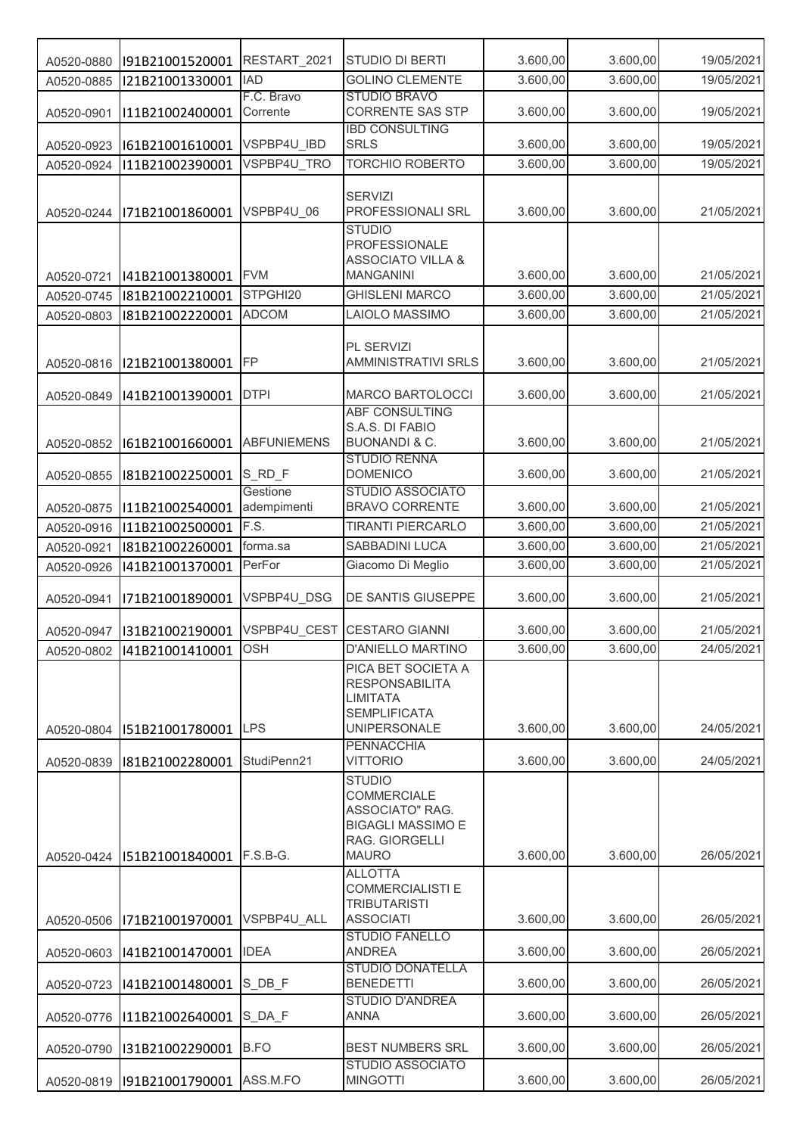| A0520-0880               | I91B21001520001                    | RESTART_2021        | <b>STUDIO DI BERTI</b>                                                                                        | 3.600,00 | 3.600,00 | 19/05/2021 |
|--------------------------|------------------------------------|---------------------|---------------------------------------------------------------------------------------------------------------|----------|----------|------------|
| A0520-0885               | I21B21001330001                    | <b>IAD</b>          | <b>GOLINO CLEMENTE</b>                                                                                        | 3.600,00 | 3.600,00 | 19/05/2021 |
|                          |                                    | F.C. Bravo          | <b>STUDIO BRAVO</b>                                                                                           |          |          |            |
| A0520-0901               | I11B21002400001                    | Corrente            | <b>CORRENTE SAS STP</b><br><b>IBD CONSULTING</b>                                                              | 3.600,00 | 3.600,00 | 19/05/2021 |
| A0520-0923               | I61B21001610001                    | VSPBP4U_IBD         | <b>SRLS</b>                                                                                                   | 3.600,00 | 3.600,00 | 19/05/2021 |
| A0520-0924               | I11B21002390001                    | VSPBP4U TRO         | <b>TORCHIO ROBERTO</b>                                                                                        | 3.600,00 | 3.600,00 | 19/05/2021 |
| A0520-0244               | I71B21001860001                    | VSPBP4U 06          | <b>SERVIZI</b><br>PROFESSIONALI SRL                                                                           | 3.600,00 | 3.600,00 | 21/05/2021 |
| A0520-0721               | I41B21001380001                    | <b>FVM</b>          | <b>STUDIO</b><br>PROFESSIONALE<br><b>ASSOCIATO VILLA &amp;</b><br><b>MANGANINI</b>                            | 3.600,00 | 3.600,00 | 21/05/2021 |
| A0520-0745               | I81B21002210001                    | STPGHI20            | <b>GHISLENI MARCO</b>                                                                                         | 3.600,00 | 3.600,00 | 21/05/2021 |
| A0520-0803               | I81B21002220001                    | <b>ADCOM</b>        | LAIOLO MASSIMO                                                                                                | 3.600,00 | 3.600,00 | 21/05/2021 |
| A0520-0816               | I21B21001380001                    | <b>FP</b>           | PL SERVIZI<br><b>AMMINISTRATIVI SRLS</b>                                                                      | 3.600,00 | 3.600,00 | 21/05/2021 |
| A0520-0849               | I41B21001390001                    | <b>DTPI</b>         | <b>MARCO BARTOLOCCI</b>                                                                                       | 3.600,00 | 3.600,00 | 21/05/2021 |
|                          |                                    |                     | <b>ABF CONSULTING</b>                                                                                         |          |          |            |
|                          |                                    | <b>ABFUNIEMENS</b>  | S.A.S. DI FABIO<br><b>BUONANDI &amp; C.</b>                                                                   | 3.600,00 |          |            |
| A0520-0852               | I61B21001660001                    |                     | <b>STUDIO RENNA</b>                                                                                           |          | 3.600,00 | 21/05/2021 |
| A0520-0855               | I81B21002250001                    | S_RD_F              | <b>DOMENICO</b>                                                                                               | 3.600,00 | 3.600,00 | 21/05/2021 |
|                          |                                    | Gestione            | <b>STUDIO ASSOCIATO</b><br><b>BRAVO CORRENTE</b>                                                              | 3.600,00 | 3.600,00 | 21/05/2021 |
| A0520-0875<br>A0520-0916 | I11B21002540001<br>I11B21002500001 | adempimenti<br>F.S. | <b>TIRANTI PIERCARLO</b>                                                                                      | 3.600,00 | 3.600,00 | 21/05/2021 |
| A0520-0921               | I81B21002260001                    | forma.sa            | SABBADINI LUCA                                                                                                | 3.600,00 | 3.600,00 | 21/05/2021 |
| A0520-0926               | I41B21001370001                    | PerFor              | Giacomo Di Meglio                                                                                             | 3.600,00 | 3.600,00 | 21/05/2021 |
| A0520-0941               | I71B21001890001                    | VSPBP4U_DSG         | DE SANTIS GIUSEPPE                                                                                            | 3.600,00 | 3.600,00 | 21/05/2021 |
| A0520-0947               | I31B21002190001                    |                     | VSPBP4U_CEST CESTARO GIANNI                                                                                   | 3.600,00 | 3.600,00 | 21/05/2021 |
| A0520-0802               | I41B21001410001                    | <b>OSH</b>          | D'ANIELLO MARTINO                                                                                             | 3.600,00 | 3.600,00 | 24/05/2021 |
|                          |                                    |                     | PICA BET SOCIETA A<br><b>RESPONSABILITA</b><br><b>LIMITATA</b><br><b>SEMPLIFICATA</b>                         |          |          |            |
| A0520-0804               | I51B21001780001                    | <b>LPS</b>          | <b>UNIPERSONALE</b>                                                                                           | 3.600,00 | 3.600,00 | 24/05/2021 |
| A0520-0839               | I81B21002280001                    | StudiPenn21         | <b>PENNACCHIA</b><br><b>VITTORIO</b>                                                                          | 3.600,00 | 3.600,00 | 24/05/2021 |
| A0520-0424               | I51B21001840001                    | $F.S.B-G.$          | <b>STUDIO</b><br>COMMERCIALE<br>ASSOCIATO" RAG.<br><b>BIGAGLI MASSIMO E</b><br>RAG. GIORGELLI<br><b>MAURO</b> | 3.600,00 | 3.600,00 | 26/05/2021 |
| A0520-0506               | I71B21001970001                    | VSPBP4U ALL         | <b>ALLOTTA</b><br><b>COMMERCIALISTI E</b><br><b>TRIBUTARISTI</b><br><b>ASSOCIATI</b>                          | 3.600,00 | 3.600,00 | 26/05/2021 |
| A0520-0603               | I41B21001470001                    | <b>IDEA</b>         | <b>STUDIO FANELLO</b><br><b>ANDREA</b>                                                                        | 3.600,00 | 3.600,00 | 26/05/2021 |
| A0520-0723               | I41B21001480001                    | S DB F              | <b>STUDIO DONATELLA</b><br><b>BENEDETTI</b>                                                                   | 3.600,00 | 3.600,00 | 26/05/2021 |
| A0520-0776               | 111B21002640001 S_DA_F             |                     | <b>STUDIO D'ANDREA</b><br><b>ANNA</b>                                                                         | 3.600,00 | 3.600,00 | 26/05/2021 |
| A0520-0790               | I31B21002290001                    | B.FO                | <b>BEST NUMBERS SRL</b>                                                                                       | 3.600,00 | 3.600,00 | 26/05/2021 |
|                          |                                    |                     | <b>STUDIO ASSOCIATO</b>                                                                                       |          |          |            |
| A0520-0819               | I91B21001790001                    | ASS.M.FO            | <b>MINGOTTI</b>                                                                                               | 3.600,00 | 3.600,00 | 26/05/2021 |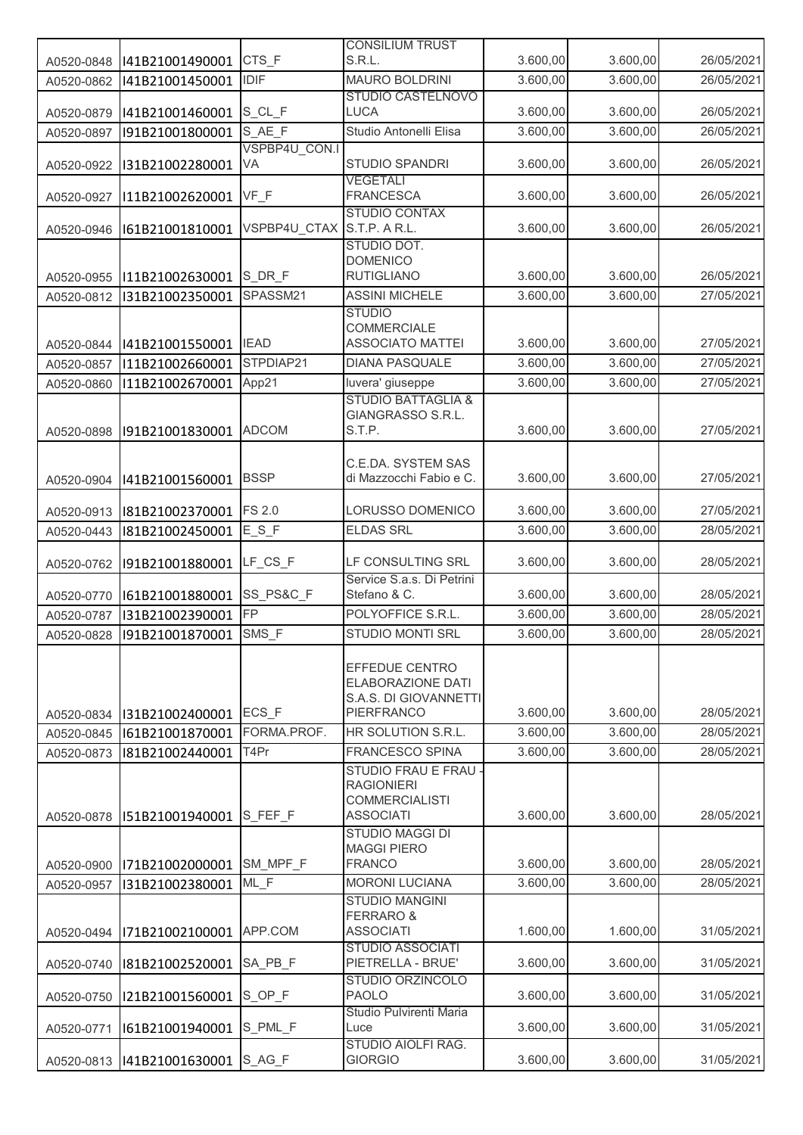|            |                         |                            | <b>CONSILIUM TRUST</b>                                                               |          |          |            |
|------------|-------------------------|----------------------------|--------------------------------------------------------------------------------------|----------|----------|------------|
| A0520-0848 | I41B21001490001         | CTS F                      | S.R.L.                                                                               | 3.600,00 | 3.600,00 | 26/05/2021 |
| A0520-0862 | I41B21001450001         | <b>IDIF</b>                | <b>MAURO BOLDRINI</b>                                                                | 3.600,00 | 3.600,00 | 26/05/2021 |
|            |                         |                            | STUDIO CASTELNOVO                                                                    |          |          |            |
| A0520-0879 | I41B21001460001         | S_CL_F                     | <b>LUCA</b>                                                                          | 3.600,00 | 3.600,00 | 26/05/2021 |
| A0520-0897 | I91B21001800001         | S_AE_F                     | Studio Antonelli Elisa                                                               | 3.600,00 | 3.600,00 | 26/05/2021 |
| A0520-0922 | I31B21002280001         | VSPBP4U CON.I<br>VA        | STUDIO SPANDRI                                                                       | 3.600,00 | 3.600,00 | 26/05/2021 |
| A0520-0927 | I11B21002620001         | $VF_F$                     | <b>VEGETALI</b><br><b>FRANCESCA</b>                                                  | 3.600,00 | 3.600,00 | 26/05/2021 |
| A0520-0946 | I61B21001810001         | VSPBP4U_CTAX S.T.P. A R.L. | <b>STUDIO CONTAX</b>                                                                 | 3.600,00 | 3.600,00 | 26/05/2021 |
| A0520-0955 | I11B21002630001         | $S$ <sub>_DR_F</sub>       | STUDIO DOT.<br><b>DOMENICO</b><br><b>RUTIGLIANO</b>                                  | 3.600,00 | 3.600,00 | 26/05/2021 |
| A0520-0812 | I31B21002350001         | SPASSM21                   | <b>ASSINI MICHELE</b>                                                                | 3.600,00 | 3.600,00 | 27/05/2021 |
| A0520-0844 | I41B21001550001         | <b>IEAD</b>                | <b>STUDIO</b><br>COMMERCIALE<br><b>ASSOCIATO MATTEI</b>                              | 3.600,00 | 3.600,00 | 27/05/2021 |
| A0520-0857 | I11B21002660001         | STPDIAP21                  | <b>DIANA PASQUALE</b>                                                                | 3.600,00 | 3.600,00 | 27/05/2021 |
| A0520-0860 | I11B21002670001         | App21                      | luvera' giuseppe                                                                     | 3.600,00 | 3.600,00 | 27/05/2021 |
| A0520-0898 | I91B21001830001         | <b>ADCOM</b>               | <b>STUDIO BATTAGLIA &amp;</b><br>GIANGRASSO S.R.L.<br>S.T.P.                         | 3.600,00 | 3.600,00 | 27/05/2021 |
|            |                         |                            | C.E.DA. SYSTEM SAS                                                                   |          |          |            |
| A0520-0904 | I41B21001560001         | <b>BSSP</b>                | di Mazzocchi Fabio e C.                                                              | 3.600,00 | 3.600,00 | 27/05/2021 |
| A0520-0913 | I81B21002370001         | <b>FS 2.0</b>              | LORUSSO DOMENICO                                                                     | 3.600,00 | 3.600,00 | 27/05/2021 |
| A0520-0443 | I81B21002450001         | $E_S F$                    | <b>ELDAS SRL</b>                                                                     | 3.600,00 | 3.600,00 | 28/05/2021 |
|            |                         |                            |                                                                                      |          |          |            |
| A0520-0762 | I91B21001880001         | $LF_CSS_F$                 | LF CONSULTING SRL                                                                    | 3.600,00 | 3.600,00 | 28/05/2021 |
| A0520-0770 | I61B21001880001         | SS_PS&C_F                  | Service S.a.s. Di Petrini<br>Stefano & C.                                            | 3.600,00 | 3.600,00 | 28/05/2021 |
| A0520-0787 | I31B21002390001         | FP                         | POLYOFFICE S.R.L.                                                                    | 3.600,00 | 3.600,00 | 28/05/2021 |
| A0520-0828 | I91B21001870001         | SMS F                      | <b>STUDIO MONTI SRL</b>                                                              | 3.600,00 | 3.600,00 | 28/05/2021 |
|            |                         |                            | EFFEDUE CENTRO<br>ELABORAZIONE DATI<br>S.A.S. DI GIOVANNETTI                         |          |          |            |
| A0520-0834 | I31B21002400001         | ECS F                      | <b>PIERFRANCO</b>                                                                    | 3.600,00 | 3.600,00 | 28/05/2021 |
| A0520-0845 | I61B21001870001         | FORMA.PROF.                | HR SOLUTION S.R.L.                                                                   | 3.600,00 | 3.600,00 | 28/05/2021 |
| A0520-0873 | I81B21002440001         | T4Pr                       | FRANCESCO SPINA                                                                      | 3.600,00 | 3.600,00 | 28/05/2021 |
| A0520-0878 | I51B21001940001 S_FEF_F |                            | STUDIO FRAU E FRAU<br><b>RAGIONIERI</b><br><b>COMMERCIALISTI</b><br><b>ASSOCIATI</b> | 3.600,00 | 3.600,00 | 28/05/2021 |
| A0520-0900 | I71B21002000001         | SM_MPF_F                   | <b>STUDIO MAGGI DI</b><br><b>MAGGI PIERO</b><br><b>FRANCO</b>                        | 3.600,00 | 3.600,00 | 28/05/2021 |
| A0520-0957 | I31B21002380001         | ML F                       | <b>MORONI LUCIANA</b>                                                                | 3.600,00 | 3.600,00 | 28/05/2021 |
|            |                         |                            | <b>STUDIO MANGINI</b>                                                                |          |          |            |
| A0520-0494 | I71B21002100001         | APP.COM                    | <b>FERRARO &amp;</b><br><b>ASSOCIATI</b>                                             | 1.600,00 | 1.600,00 | 31/05/2021 |
| A0520-0740 | I81B21002520001         | SA_PB_F                    | STUDIO ASSOCIATI<br>PIETRELLA - BRUE'                                                | 3.600,00 | 3.600,00 | 31/05/2021 |
|            |                         |                            | <b>STUDIO ORZINCOLO</b>                                                              |          |          |            |
| A0520-0750 | I21B21001560001         | S_OP_F                     | <b>PAOLO</b><br>Studio Pulvirenti Maria                                              | 3.600,00 | 3.600,00 | 31/05/2021 |
| A0520-0771 | I61B21001940001         | S PML F                    | Luce                                                                                 | 3.600,00 | 3.600,00 | 31/05/2021 |
| A0520-0813 | 141B21001630001 S_AG_F  |                            | STUDIO AIOLFI RAG.<br><b>GIORGIO</b>                                                 | 3.600,00 | 3.600,00 | 31/05/2021 |
|            |                         |                            |                                                                                      |          |          |            |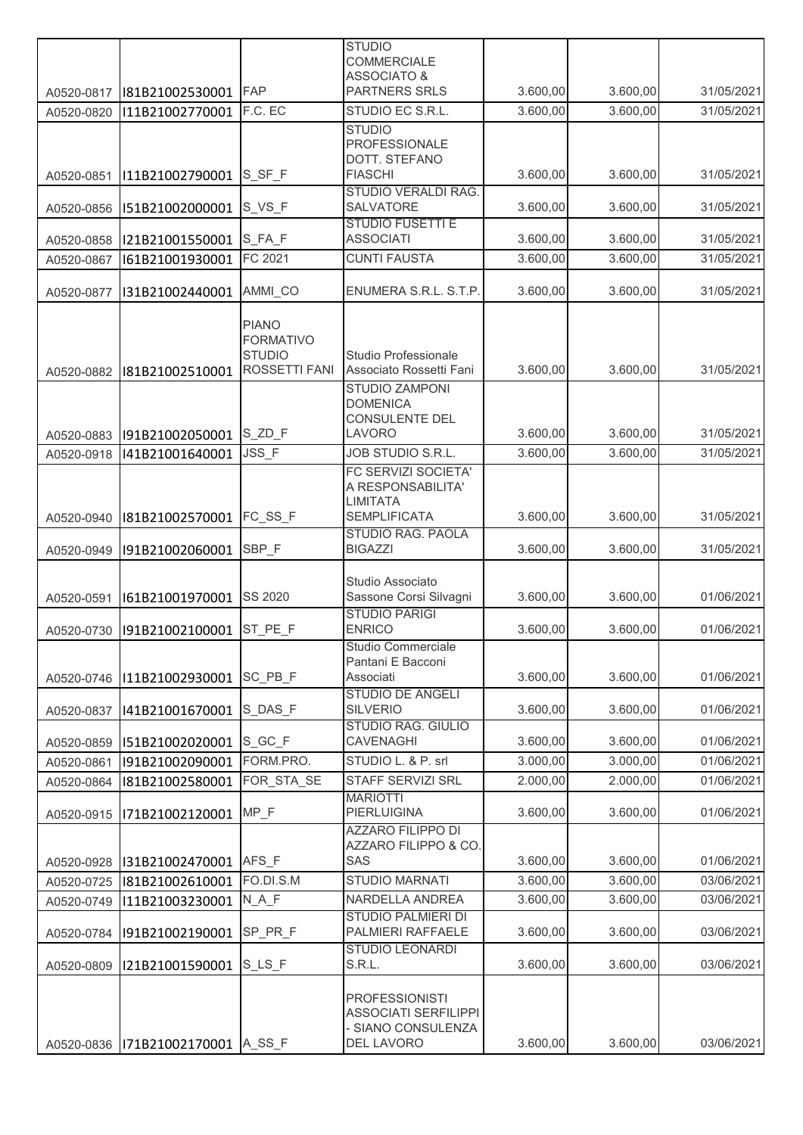|            |                                       |                                  | <b>STUDIO</b>                                     |          |          |            |
|------------|---------------------------------------|----------------------------------|---------------------------------------------------|----------|----------|------------|
|            |                                       |                                  | <b>COMMERCIALE</b><br><b>ASSOCIATO &amp;</b>      |          |          |            |
| A0520-0817 | I81B21002530001                       | <b>FAP</b>                       | <b>PARTNERS SRLS</b>                              | 3.600,00 | 3.600,00 | 31/05/2021 |
| A0520-0820 | I11B21002770001                       | F.C. EC                          | STUDIO EC S.R.L.                                  | 3.600,00 | 3.600,00 | 31/05/2021 |
|            |                                       |                                  | <b>STUDIO</b>                                     |          |          |            |
|            |                                       |                                  | PROFESSIONALE                                     |          |          |            |
| A0520-0851 | I11B21002790001                       | $S_S F_F$                        | DOTT. STEFANO<br><b>FIASCHI</b>                   | 3.600,00 | 3.600,00 | 31/05/2021 |
|            |                                       |                                  | STUDIO VERALDI RAG.                               |          |          |            |
| A0520-0856 | I51B21002000001                       | $S_VS_F$                         | SALVATORE                                         | 3.600,00 | 3.600,00 | 31/05/2021 |
| A0520-0858 | I21B21001550001 S_FA_F                |                                  | <b>STUDIO FUSETTI E</b><br><b>ASSOCIATI</b>       | 3.600,00 | 3.600,00 | 31/05/2021 |
| A0520-0867 | I61B21001930001                       | FC 2021                          | <b>CUNTI FAUSTA</b>                               | 3.600,00 | 3.600,00 | 31/05/2021 |
|            |                                       |                                  |                                                   |          |          |            |
| A0520-0877 | I31B21002440001                       | AMMI_CO                          | ENUMERA S.R.L. S.T.P.                             | 3.600,00 | 3.600,00 | 31/05/2021 |
|            |                                       |                                  |                                                   |          |          |            |
|            |                                       | <b>PIANO</b><br><b>FORMATIVO</b> |                                                   |          |          |            |
|            |                                       | <b>STUDIO</b>                    | Studio Professionale                              |          |          |            |
| A0520-0882 | I81B21002510001                       | ROSSETTI FANI                    | Associato Rossetti Fani                           | 3.600,00 | 3.600,00 | 31/05/2021 |
|            |                                       |                                  | STUDIO ZAMPONI                                    |          |          |            |
|            |                                       |                                  | <b>DOMENICA</b><br><b>CONSULENTE DEL</b>          |          |          |            |
| A0520-0883 | I91B21002050001                       | S_ZD_F                           | LAVORO                                            | 3.600,00 | 3.600,00 | 31/05/2021 |
| A0520-0918 | I41B21001640001                       | JSS_F                            | JOB STUDIO S.R.L.                                 | 3.600,00 | 3.600,00 | 31/05/2021 |
|            |                                       |                                  | FC SERVIZI SOCIETA'                               |          |          |            |
|            |                                       |                                  | A RESPONSABILITA'                                 |          |          |            |
| A0520-0940 | I81B21002570001                       | FC_SS_F                          | <b>LIMITATA</b><br><b>SEMPLIFICATA</b>            | 3.600,00 | 3.600,00 | 31/05/2021 |
|            |                                       |                                  | STUDIO RAG. PAOLA                                 |          |          |            |
| A0520-0949 | I91B21002060001                       | SBP_F                            | <b>BIGAZZI</b>                                    | 3.600,00 | 3.600,00 | 31/05/2021 |
|            |                                       |                                  | Studio Associato                                  |          |          |            |
| A0520-0591 | I61B21001970001                       | <b>SS 2020</b>                   | Sassone Corsi Silvagni                            | 3.600,00 | 3.600,00 | 01/06/2021 |
|            |                                       |                                  | <b>STUDIO PARIGI</b>                              |          |          |            |
| A0520-0730 | I91B21002100001                       | ST PE F                          | <b>ENRICO</b>                                     | 3.600,00 | 3.600,00 | 01/06/2021 |
|            |                                       |                                  | Studio Commerciale<br>Pantani E Bacconi           |          |          |            |
| A0520-0746 | I11B21002930001                       | SC PB F                          | Associati                                         | 3.600,00 | 3.600,00 | 01/06/2021 |
|            |                                       |                                  | <b>STUDIO DE ANGELI</b>                           |          |          |            |
| A0520-0837 | I41B21001670001                       | S DAS F                          | <b>SILVERIO</b>                                   | 3.600,00 | 3.600,00 | 01/06/2021 |
| A0520-0859 | I51B21002020001                       | S_GC_F                           | <b>STUDIO RAG. GIULIO</b><br><b>CAVENAGHI</b>     | 3.600,00 | 3.600,00 | 01/06/2021 |
| A0520-0861 | I91B21002090001                       | FORM.PRO.                        | STUDIO L. & P. srl                                | 3.000,00 | 3.000,00 | 01/06/2021 |
| A0520-0864 | I81B21002580001                       | FOR_STA_SE                       | STAFF SERVIZI SRL                                 | 2.000,00 | 2.000,00 | 01/06/2021 |
|            |                                       |                                  | <b>MARIOTTI</b>                                   |          |          |            |
| A0520-0915 | I71B21002120001                       | MP_F                             | <b>PIERLUIGINA</b>                                | 3.600,00 | 3.600,00 | 01/06/2021 |
|            |                                       |                                  | <b>AZZARO FILIPPO DI</b><br>AZZARO FILIPPO & CO.  |          |          |            |
| A0520-0928 | I31B21002470001                       | AFS F                            | SAS                                               | 3.600,00 | 3.600,00 | 01/06/2021 |
| A0520-0725 | I81B21002610001                       | FO.DI.S.M                        | STUDIO MARNATI                                    | 3.600,00 | 3.600,00 | 03/06/2021 |
| A0520-0749 | I11B21003230001                       | N A F                            | NARDELLA ANDREA                                   | 3.600,00 | 3.600,00 | 03/06/2021 |
|            |                                       |                                  | <b>STUDIO PALMIERI DI</b>                         |          |          |            |
| A0520-0784 | I91B21002190001                       | SP PR F                          | PALMIERI RAFFAELE                                 | 3.600,00 | 3.600,00 | 03/06/2021 |
| A0520-0809 | I21B21001590001                       | S LS F                           | <b>STUDIO LEONARDI</b><br>S.R.L.                  | 3.600,00 | 3.600,00 | 03/06/2021 |
|            |                                       |                                  |                                                   |          |          |            |
|            |                                       |                                  | <b>PROFESSIONISTI</b>                             |          |          |            |
|            |                                       |                                  | <b>ASSOCIATI SERFILIPPI</b><br>- SIANO CONSULENZA |          |          |            |
|            | A0520-0836   171B21002170001   A_SS_F |                                  | DEL LAVORO                                        | 3.600,00 | 3.600,00 | 03/06/2021 |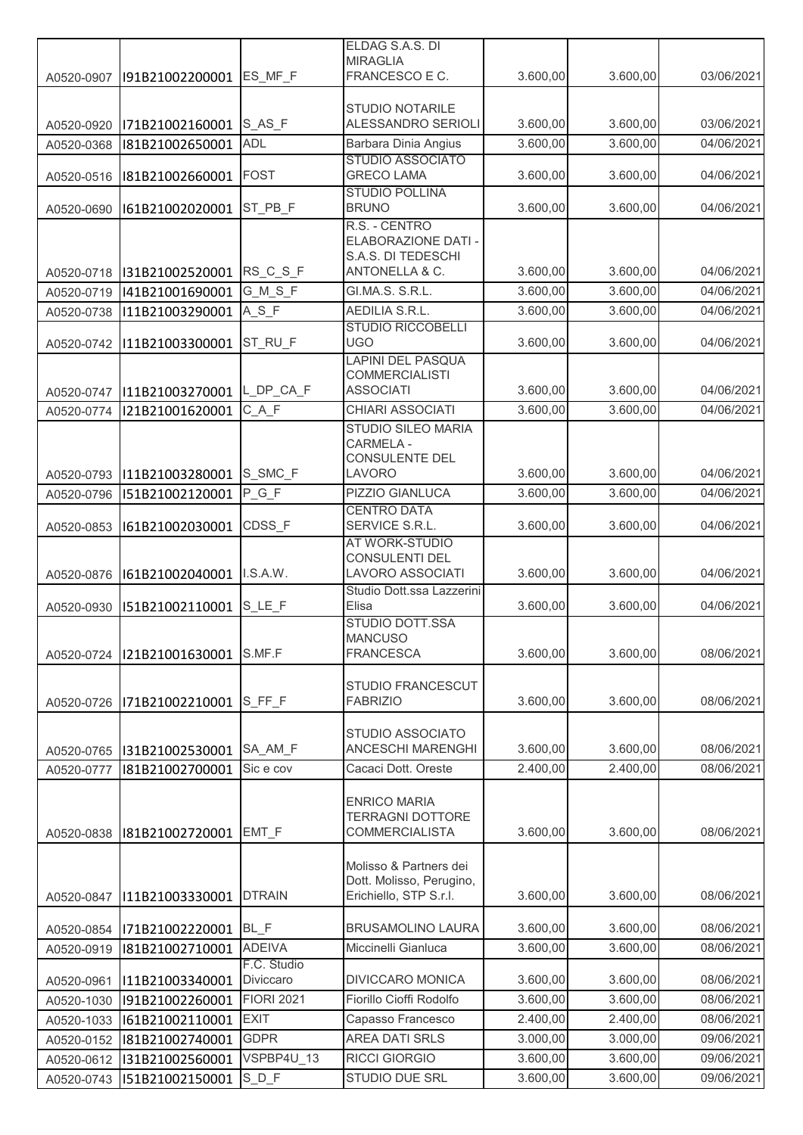|            |                 |                          | ELDAG S.A.S. DI                                            |          |          |            |
|------------|-----------------|--------------------------|------------------------------------------------------------|----------|----------|------------|
|            |                 | ES MF F                  | <b>MIRAGLIA</b><br>FRANCESCO E C.                          | 3.600,00 | 3.600,00 | 03/06/2021 |
| A0520-0907 | I91B21002200001 |                          |                                                            |          |          |            |
|            |                 |                          | STUDIO NOTARILE                                            |          |          |            |
| A0520-0920 | I71B21002160001 | S_AS_F                   | ALESSANDRO SERIOLI                                         | 3.600,00 | 3.600,00 | 03/06/2021 |
| A0520-0368 | I81B21002650001 | <b>ADL</b>               | Barbara Dinia Angius                                       | 3.600,00 | 3.600,00 | 04/06/2021 |
|            |                 | <b>FOST</b>              | <b>STUDIO ASSOCIATO</b><br><b>GRECO LAMA</b>               | 3.600,00 | 3.600,00 | 04/06/2021 |
| A0520-0516 | I81B21002660001 |                          | <b>STUDIO POLLINA</b>                                      |          |          |            |
| A0520-0690 | I61B21002020001 | ST PB F                  | <b>BRUNO</b>                                               | 3.600,00 | 3.600,00 | 04/06/2021 |
|            |                 |                          | R.S. - CENTRO<br>ELABORAZIONE DATI -<br>S.A.S. DI TEDESCHI |          |          |            |
| A0520-0718 | I31B21002520001 | RS_C_S_F                 | ANTONELLA & C.                                             | 3.600,00 | 3.600,00 | 04/06/2021 |
| A0520-0719 | I41B21001690001 | G_M_S_F                  | GI.MA.S. S.R.L.                                            | 3.600,00 | 3.600,00 | 04/06/2021 |
| A0520-0738 | I11B21003290001 | $A_S_F$                  | AEDILIA S.R.L.                                             | 3.600,00 | 3.600,00 | 04/06/2021 |
| A0520-0742 | I11B21003300001 | ST_RU_F                  | <b>STUDIO RICCOBELLI</b><br><b>UGO</b>                     | 3.600,00 | 3.600,00 | 04/06/2021 |
|            |                 |                          | <b>LAPINI DEL PASQUA</b>                                   |          |          |            |
| A0520-0747 | I11B21003270001 | L_DP_CA_F                | <b>COMMERCIALISTI</b><br><b>ASSOCIATI</b>                  | 3.600,00 | 3.600,00 | 04/06/2021 |
| A0520-0774 | I21B21001620001 | $C_A F$                  | CHIARI ASSOCIATI                                           | 3.600,00 | 3.600,00 | 04/06/2021 |
|            |                 |                          | STUDIO SILEO MARIA                                         |          |          |            |
| A0520-0793 | I11B21003280001 | S_SMC F                  | CARMELA -<br>CONSULENTE DEL<br>LAVORO                      | 3.600,00 | 3.600,00 | 04/06/2021 |
| A0520-0796 | I51B21002120001 | $P_G_F$                  | PIZZIO GIANLUCA                                            | 3.600,00 | 3.600,00 | 04/06/2021 |
|            |                 |                          | <b>CENTRO DATA</b>                                         |          |          |            |
| A0520-0853 | I61B21002030001 | CDSS F                   | SERVICE S.R.L.                                             | 3.600,00 | 3.600,00 | 04/06/2021 |
|            |                 |                          | AT WORK-STUDIO                                             |          |          |            |
| A0520-0876 | I61B21002040001 | I.S.A.W.                 | CONSULENTI DEL<br><b>LAVORO ASSOCIATI</b>                  | 3.600,00 | 3.600,00 | 04/06/2021 |
|            |                 |                          | Studio Dott.ssa Lazzerini                                  |          |          |            |
| A0520-0930 | I51B21002110001 | $S$ <sub>_LE_F</sub>     | Elisa                                                      | 3.600,00 | 3.600,00 | 04/06/2021 |
|            |                 |                          | STUDIO DOTT.SSA                                            |          |          |            |
| A0520-0724 | I21B21001630001 | S.MF.F                   | <b>MANCUSO</b><br><b>FRANCESCA</b>                         | 3.600,00 | 3.600,00 | 08/06/2021 |
|            |                 |                          |                                                            |          |          |            |
|            |                 |                          | STUDIO FRANCESCUT                                          |          |          |            |
| A0520-0726 | I71B21002210001 | $S_F F_F$                | <b>FABRIZIO</b>                                            | 3.600,00 | 3.600,00 | 08/06/2021 |
|            |                 |                          | <b>STUDIO ASSOCIATO</b>                                    |          |          |            |
| A0520-0765 | I31B21002530001 | SA_AM_F                  | <b>ANCESCHI MARENGHI</b>                                   | 3.600,00 | 3.600,00 | 08/06/2021 |
| A0520-0777 | I81B21002700001 | Sic e cov                | Cacaci Dott. Oreste                                        | 2.400,00 | 2.400,00 | 08/06/2021 |
|            |                 |                          | <b>ENRICO MARIA</b><br><b>TERRAGNI DOTTORE</b>             |          |          |            |
| A0520-0838 | I81B21002720001 | EMT F                    | <b>COMMERCIALISTA</b>                                      | 3.600,00 | 3.600,00 | 08/06/2021 |
|            |                 |                          | Molisso & Partners dei<br>Dott. Molisso, Perugino,         |          |          |            |
| A0520-0847 | I11B21003330001 | <b>DTRAIN</b>            | Erichiello, STP S.r.l.                                     | 3.600,00 | 3.600,00 | 08/06/2021 |
| A0520-0854 | I71B21002220001 | BL_F                     | <b>BRUSAMOLINO LAURA</b>                                   | 3.600,00 | 3.600,00 | 08/06/2021 |
| A0520-0919 | I81B21002710001 | <b>ADEIVA</b>            | Miccinelli Gianluca                                        | 3.600,00 | 3.600,00 | 08/06/2021 |
| A0520-0961 | I11B21003340001 | F.C. Studio<br>Diviccaro | <b>DIVICCARO MONICA</b>                                    | 3.600,00 | 3.600,00 | 08/06/2021 |
| A0520-1030 | I91B21002260001 | <b>FIORI 2021</b>        | Fiorillo Cioffi Rodolfo                                    | 3.600,00 | 3.600,00 | 08/06/2021 |
| A0520-1033 | I61B21002110001 | <b>EXIT</b>              | Capasso Francesco                                          | 2.400,00 | 2.400,00 | 08/06/2021 |
| A0520-0152 | I81B21002740001 | <b>GDPR</b>              | <b>AREA DATI SRLS</b>                                      | 3.000,00 | 3.000,00 | 09/06/2021 |
| A0520-0612 | I31B21002560001 | VSPBP4U_13               | <b>RICCI GIORGIO</b>                                       | 3.600,00 | 3.600,00 | 09/06/2021 |
| A0520-0743 | I51B21002150001 | $S_D_F$                  | STUDIO DUE SRL                                             | 3.600,00 | 3.600,00 | 09/06/2021 |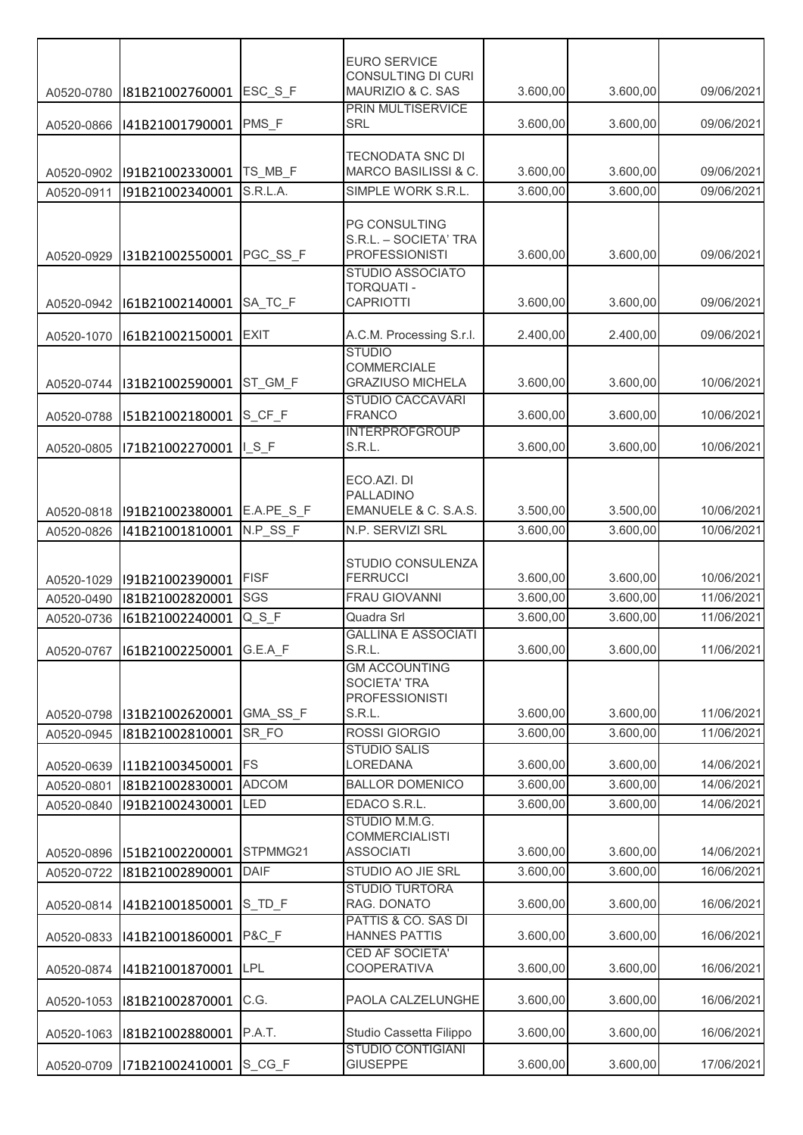| CONSULTING DI CURI<br>ESC S F<br>MAURIZIO & C. SAS<br>3.600,00<br>3.600,00<br>I81B21002760001<br>A0520-0780<br>PRIN MULTISERVICE<br>PMS_F<br><b>SRL</b><br>3.600,00<br>3.600,00<br>I41B21001790001<br>A0520-0866<br>TECNODATA SNC DI<br>MARCO BASILISSI & C.<br>3.600,00<br>TS_MB_F<br>3.600,00<br>I91B21002330001<br>A0520-0902<br>3.600,00<br>S.R.L.A.<br>SIMPLE WORK S.R.L.<br>3.600,00<br>I91B21002340001<br>A0520-0911<br>PG CONSULTING<br>S.R.L. - SOCIETA' TRA<br>PGC_SS_F<br><b>PROFESSIONISTI</b><br>3.600,00<br>3.600,00<br>I31B21002550001<br>A0520-0929<br><b>STUDIO ASSOCIATO</b><br>TORQUATI -<br>SA_TC_F<br><b>CAPRIOTTI</b><br>3.600,00<br>3.600,00<br>I61B21002140001<br>A0520-0942<br>A.C.M. Processing S.r.I.<br><b>EXIT</b><br>2.400,00<br>2.400,00<br>I61B21002150001<br>A0520-1070<br><b>STUDIO</b><br><b>COMMERCIALE</b><br><b>GRAZIUSO MICHELA</b><br>ST_GM_F<br>3.600,00<br>3.600,00<br>I31B21002590001<br>A0520-0744<br><b>STUDIO CACCAVARI</b><br><b>FRANCO</b><br>S_CF_F<br>3.600,00<br>3.600,00<br>I51B21002180001<br>A0520-0788<br><b>INTERPROFGROUP</b><br>S.R.L.<br>3.600,00<br>ISF<br>3.600,00<br>I71B21002270001<br>A0520-0805<br>ECO.AZI. DI<br><b>PALLADINO</b><br>EMANUELE & C. S.A.S.<br>3.500,00<br>E.A.PE_S_F<br>3.500,00<br>I91B21002380001<br>A0520-0818<br>N.P_SS_F<br>3.600,00<br>N.P. SERVIZI SRL<br>3.600,00<br>I41B21001810001<br>A0520-0826 |  | <b>EURO SERVICE</b> |  |                          |
|---------------------------------------------------------------------------------------------------------------------------------------------------------------------------------------------------------------------------------------------------------------------------------------------------------------------------------------------------------------------------------------------------------------------------------------------------------------------------------------------------------------------------------------------------------------------------------------------------------------------------------------------------------------------------------------------------------------------------------------------------------------------------------------------------------------------------------------------------------------------------------------------------------------------------------------------------------------------------------------------------------------------------------------------------------------------------------------------------------------------------------------------------------------------------------------------------------------------------------------------------------------------------------------------------------------------------------------------------------------------------------------------|--|---------------------|--|--------------------------|
|                                                                                                                                                                                                                                                                                                                                                                                                                                                                                                                                                                                                                                                                                                                                                                                                                                                                                                                                                                                                                                                                                                                                                                                                                                                                                                                                                                                             |  |                     |  | 09/06/2021               |
|                                                                                                                                                                                                                                                                                                                                                                                                                                                                                                                                                                                                                                                                                                                                                                                                                                                                                                                                                                                                                                                                                                                                                                                                                                                                                                                                                                                             |  |                     |  | 09/06/2021               |
|                                                                                                                                                                                                                                                                                                                                                                                                                                                                                                                                                                                                                                                                                                                                                                                                                                                                                                                                                                                                                                                                                                                                                                                                                                                                                                                                                                                             |  |                     |  |                          |
|                                                                                                                                                                                                                                                                                                                                                                                                                                                                                                                                                                                                                                                                                                                                                                                                                                                                                                                                                                                                                                                                                                                                                                                                                                                                                                                                                                                             |  |                     |  | 09/06/2021               |
|                                                                                                                                                                                                                                                                                                                                                                                                                                                                                                                                                                                                                                                                                                                                                                                                                                                                                                                                                                                                                                                                                                                                                                                                                                                                                                                                                                                             |  |                     |  | 09/06/2021               |
|                                                                                                                                                                                                                                                                                                                                                                                                                                                                                                                                                                                                                                                                                                                                                                                                                                                                                                                                                                                                                                                                                                                                                                                                                                                                                                                                                                                             |  |                     |  |                          |
|                                                                                                                                                                                                                                                                                                                                                                                                                                                                                                                                                                                                                                                                                                                                                                                                                                                                                                                                                                                                                                                                                                                                                                                                                                                                                                                                                                                             |  |                     |  | 09/06/2021               |
|                                                                                                                                                                                                                                                                                                                                                                                                                                                                                                                                                                                                                                                                                                                                                                                                                                                                                                                                                                                                                                                                                                                                                                                                                                                                                                                                                                                             |  |                     |  | 09/06/2021               |
|                                                                                                                                                                                                                                                                                                                                                                                                                                                                                                                                                                                                                                                                                                                                                                                                                                                                                                                                                                                                                                                                                                                                                                                                                                                                                                                                                                                             |  |                     |  | 09/06/2021               |
|                                                                                                                                                                                                                                                                                                                                                                                                                                                                                                                                                                                                                                                                                                                                                                                                                                                                                                                                                                                                                                                                                                                                                                                                                                                                                                                                                                                             |  |                     |  | 10/06/2021               |
|                                                                                                                                                                                                                                                                                                                                                                                                                                                                                                                                                                                                                                                                                                                                                                                                                                                                                                                                                                                                                                                                                                                                                                                                                                                                                                                                                                                             |  |                     |  | 10/06/2021               |
|                                                                                                                                                                                                                                                                                                                                                                                                                                                                                                                                                                                                                                                                                                                                                                                                                                                                                                                                                                                                                                                                                                                                                                                                                                                                                                                                                                                             |  |                     |  | 10/06/2021               |
|                                                                                                                                                                                                                                                                                                                                                                                                                                                                                                                                                                                                                                                                                                                                                                                                                                                                                                                                                                                                                                                                                                                                                                                                                                                                                                                                                                                             |  |                     |  | 10/06/2021               |
|                                                                                                                                                                                                                                                                                                                                                                                                                                                                                                                                                                                                                                                                                                                                                                                                                                                                                                                                                                                                                                                                                                                                                                                                                                                                                                                                                                                             |  |                     |  | 10/06/2021               |
| STUDIO CONSULENZA<br><b>FISF</b><br><b>FERRUCCI</b><br>3.600,00<br>3.600,00<br>I91B21002390001<br>A0520-1029                                                                                                                                                                                                                                                                                                                                                                                                                                                                                                                                                                                                                                                                                                                                                                                                                                                                                                                                                                                                                                                                                                                                                                                                                                                                                |  |                     |  | 10/06/2021               |
| SGS<br><b>FRAU GIOVANNI</b><br>3.600,00<br>3.600,00<br>I81B21002820001<br>A0520-0490                                                                                                                                                                                                                                                                                                                                                                                                                                                                                                                                                                                                                                                                                                                                                                                                                                                                                                                                                                                                                                                                                                                                                                                                                                                                                                        |  |                     |  | 11/06/2021               |
| 3.600,00<br>$Q_S F$<br>Quadra Srl<br>3.600,00<br>I61B21002240001<br>A0520-0736<br><b>GALLINA E ASSOCIATI</b>                                                                                                                                                                                                                                                                                                                                                                                                                                                                                                                                                                                                                                                                                                                                                                                                                                                                                                                                                                                                                                                                                                                                                                                                                                                                                |  |                     |  | 11/06/2021               |
| S.R.L.<br>3.600,00<br>3.600,00<br>G.E.A F<br>A0520-0767<br>I61B21002250001                                                                                                                                                                                                                                                                                                                                                                                                                                                                                                                                                                                                                                                                                                                                                                                                                                                                                                                                                                                                                                                                                                                                                                                                                                                                                                                  |  |                     |  | 11/06/2021               |
| <b>GM ACCOUNTING</b><br><b>SOCIETA' TRA</b><br><b>PROFESSIONISTI</b><br>3.600,00<br>3.600,00<br>GMA SS F                                                                                                                                                                                                                                                                                                                                                                                                                                                                                                                                                                                                                                                                                                                                                                                                                                                                                                                                                                                                                                                                                                                                                                                                                                                                                    |  |                     |  |                          |
| S.R.L.<br>I31B21002620001<br>A0520-0798<br>SR FO<br>ROSSI GIORGIO<br>3.600,00<br>3.600,00<br>I81B21002810001                                                                                                                                                                                                                                                                                                                                                                                                                                                                                                                                                                                                                                                                                                                                                                                                                                                                                                                                                                                                                                                                                                                                                                                                                                                                                |  |                     |  | 11/06/2021<br>11/06/2021 |
| A0520-0945<br><b>STUDIO SALIS</b>                                                                                                                                                                                                                                                                                                                                                                                                                                                                                                                                                                                                                                                                                                                                                                                                                                                                                                                                                                                                                                                                                                                                                                                                                                                                                                                                                           |  |                     |  |                          |
| <b>FS</b><br>LOREDANA<br>3.600,00<br>3.600,00<br>I11B21003450001<br>A0520-0639                                                                                                                                                                                                                                                                                                                                                                                                                                                                                                                                                                                                                                                                                                                                                                                                                                                                                                                                                                                                                                                                                                                                                                                                                                                                                                              |  |                     |  | 14/06/2021               |
| <b>BALLOR DOMENICO</b><br>3.600,00<br><b>ADCOM</b><br>3.600,00<br>A0520-0801<br>I81B21002830001                                                                                                                                                                                                                                                                                                                                                                                                                                                                                                                                                                                                                                                                                                                                                                                                                                                                                                                                                                                                                                                                                                                                                                                                                                                                                             |  |                     |  | 14/06/2021               |
| EDACO S.R.L.<br>3.600,00<br>3.600,00<br>LED<br>I91B21002430001<br>A0520-0840<br>STUDIO M.M.G.                                                                                                                                                                                                                                                                                                                                                                                                                                                                                                                                                                                                                                                                                                                                                                                                                                                                                                                                                                                                                                                                                                                                                                                                                                                                                               |  |                     |  | 14/06/2021               |
| <b>COMMERCIALISTI</b><br>STPMMG21<br><b>ASSOCIATI</b><br>3.600,00<br>3.600,00<br>I51B21002200001<br>A0520-0896                                                                                                                                                                                                                                                                                                                                                                                                                                                                                                                                                                                                                                                                                                                                                                                                                                                                                                                                                                                                                                                                                                                                                                                                                                                                              |  |                     |  | 14/06/2021               |
| STUDIO AO JIE SRL<br>3.600,00<br>3.600,00<br>DAIF<br>A0520-0722<br>I81B21002890001                                                                                                                                                                                                                                                                                                                                                                                                                                                                                                                                                                                                                                                                                                                                                                                                                                                                                                                                                                                                                                                                                                                                                                                                                                                                                                          |  |                     |  | 16/06/2021               |
| <b>STUDIO TURTORA</b><br>RAG. DONATO<br>S_TD_F<br>3.600,00<br>3.600,00<br>I41B21001850001<br>A0520-0814                                                                                                                                                                                                                                                                                                                                                                                                                                                                                                                                                                                                                                                                                                                                                                                                                                                                                                                                                                                                                                                                                                                                                                                                                                                                                     |  |                     |  | 16/06/2021               |
| PATTIS & CO. SAS DI<br>P&C F<br><b>HANNES PATTIS</b><br>3.600,00<br>3.600,00<br>I41B21001860001<br>A0520-0833                                                                                                                                                                                                                                                                                                                                                                                                                                                                                                                                                                                                                                                                                                                                                                                                                                                                                                                                                                                                                                                                                                                                                                                                                                                                               |  |                     |  | 16/06/2021               |
| CED AF SOCIETA'<br><b>LPL</b><br><b>COOPERATIVA</b><br>3.600,00<br>3.600,00<br>I41B21001870001<br>A0520-0874                                                                                                                                                                                                                                                                                                                                                                                                                                                                                                                                                                                                                                                                                                                                                                                                                                                                                                                                                                                                                                                                                                                                                                                                                                                                                |  |                     |  | 16/06/2021               |
| C.G.<br>PAOLA CALZELUNGHE<br>3.600,00<br>3.600,00<br>I81B21002870001<br>A0520-1053                                                                                                                                                                                                                                                                                                                                                                                                                                                                                                                                                                                                                                                                                                                                                                                                                                                                                                                                                                                                                                                                                                                                                                                                                                                                                                          |  |                     |  | 16/06/2021               |
| P.A.T.<br>Studio Cassetta Filippo<br>3.600,00<br>3.600,00<br>I81B21002880001<br>A0520-1063                                                                                                                                                                                                                                                                                                                                                                                                                                                                                                                                                                                                                                                                                                                                                                                                                                                                                                                                                                                                                                                                                                                                                                                                                                                                                                  |  |                     |  | 16/06/2021               |
| <b>STUDIO CONTIGIANI</b><br>3.600,00<br>S_CG_F<br><b>GIUSEPPE</b><br>3.600,00<br>I71B21002410001<br>A0520-0709                                                                                                                                                                                                                                                                                                                                                                                                                                                                                                                                                                                                                                                                                                                                                                                                                                                                                                                                                                                                                                                                                                                                                                                                                                                                              |  |                     |  | 17/06/2021               |